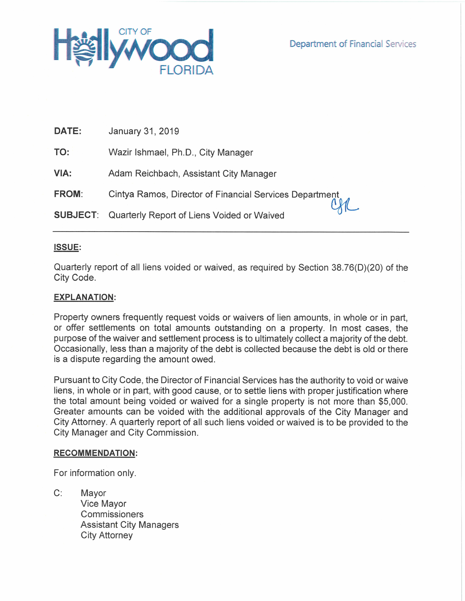

| DATE:        | January 31, 2019                                           |  |
|--------------|------------------------------------------------------------|--|
| TO:          | Wazir Ishmael, Ph.D., City Manager                         |  |
| VIA:         | Adam Reichbach, Assistant City Manager                     |  |
| <b>FROM:</b> | Cintya Ramos, Director of Financial Services Department    |  |
|              | <b>SUBJECT:</b> Quarterly Report of Liens Voided or Waived |  |

# **ISSUE:**

Quarterly report of all liens voided or waived, as required by Section 38.76(D)(20) of the City Code.

# **EXPLANATION:**

Property owners frequently request voids or waivers of lien amounts, in whole or in part, or offer settlements on total amounts outstanding on a property. In most cases, the purpose of the waiver and settlement process is to ultimately collect a majority of the debt. Occasionally, less than a majority of the debt is collected because the debt is old or there is a dispute regarding the amount owed.

Pursuant to City Code, the Director of Financial Services has the authority to void or waive liens, in whole or in part, with good cause, or to settle liens with proper justification where the total amount being voided or waived for a single property is not more than \$5,000. Greater amounts can be voided with the additional approvals of the City Manager and City Attorney. A quarterly report of all such liens voided or waived is to be provided to the City Manager and City Commission.

### **RECOMMENDATION:**

For information only.

 $C:$ Mayor Vice Mayor Commissioners **Assistant City Managers City Attorney**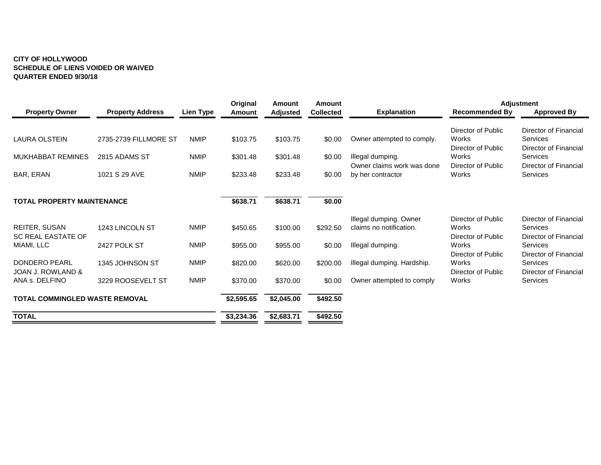### **CITY OF HOLLYWOOD SCHEDULE OF LIENS VOIDED OR WAIVED QUARTER ENDED 9/30/18**

|                                            |                         |             | Original   | <b>Amount</b>   | Amount           |                                                   |                                                   | <b>Adjustment</b>                                          |  |
|--------------------------------------------|-------------------------|-------------|------------|-----------------|------------------|---------------------------------------------------|---------------------------------------------------|------------------------------------------------------------|--|
| <b>Property Owner</b>                      | <b>Property Address</b> | Lien Type   | Amount     | <b>Adjusted</b> | <b>Collected</b> | <b>Explanation</b>                                | <b>Recommended By</b>                             | <b>Approved By</b>                                         |  |
| LAURA OLSTEIN                              | 2735-2739 FILLMORE ST   | <b>NMIP</b> | \$103.75   | \$103.75        | \$0.00           | Owner attempted to comply.                        | Director of Public<br>Works                       | Director of Financial<br><b>Services</b>                   |  |
| <b>MUKHABBAT REMINES</b>                   | 2815 ADAMS ST           | <b>NMIP</b> | \$301.48   | \$301.48        | \$0.00           | Illegal dumping.<br>Owner claims work was done    | Director of Public<br>Works<br>Director of Public | Director of Financial<br>Services<br>Director of Financial |  |
| BAR, ERAN                                  | 1021 S 29 AVE           | <b>NMIP</b> | \$233.48   | \$233.48        | \$0.00           | by her contractor                                 | Works                                             | Services                                                   |  |
| <b>TOTAL PROPERTY MAINTENANCE</b>          |                         |             | \$638.71   | \$638.71        | \$0.00           |                                                   |                                                   |                                                            |  |
|                                            |                         |             |            |                 |                  |                                                   |                                                   |                                                            |  |
| REITER, SUSAN<br><b>SC REAL EASTATE OF</b> | 1243 LINCOLN ST         | <b>NMIP</b> | \$450.65   | \$100.00        | \$292.50         | Illegal dumping. Owner<br>claims no notification. | Director of Public<br>Works<br>Director of Public | Director of Financial<br>Services<br>Director of Financial |  |
| MIAMI, LLC                                 | 2427 POLK ST            | <b>NMIP</b> | \$955.00   | \$955.00        | \$0.00           | Illegal dumping.                                  | Works<br>Director of Public                       | <b>Services</b><br>Director of Financial                   |  |
| <b>DONDERO PEARL</b><br>JOAN J. ROWLAND &  | 1345 JOHNSON ST         | <b>NMIP</b> | \$820.00   | \$620.00        | \$200.00         | Illegal dumping. Hardship.                        | Works<br>Director of Public                       | Services<br>Director of Financial                          |  |
| ANA s. DELFINO                             | 3229 ROOSEVELT ST       | <b>NMIP</b> | \$370.00   | \$370.00        | \$0.00           | Owner attempted to comply                         | Works                                             | Services                                                   |  |
| <b>TOTAL COMMINGLED WASTE REMOVAL</b>      |                         |             | \$2,595.65 | \$2,045.00      | \$492.50         |                                                   |                                                   |                                                            |  |
| <b>TOTAL</b>                               |                         |             | \$3,234.36 | \$2,683.71      | \$492.50         |                                                   |                                                   |                                                            |  |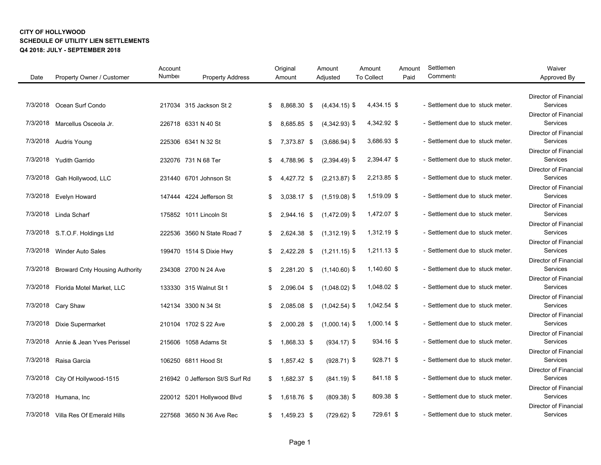| Date     | Property Owner / Customer             | Account<br>Number | <b>Property Address</b>         | Original<br>Amount | Amount<br>Adjusted | Amount<br><b>To Collect</b> | Amount<br>Paid | Settlemen<br>Comment:            | Waiver<br>Approved By                                      |
|----------|---------------------------------------|-------------------|---------------------------------|--------------------|--------------------|-----------------------------|----------------|----------------------------------|------------------------------------------------------------|
|          |                                       |                   |                                 |                    |                    |                             |                |                                  |                                                            |
| 7/3/2018 | Ocean Surf Condo                      |                   | 217034 315 Jackson St 2         | \$<br>8,868.30 \$  | $(4,434.15)$ \$    | 4,434.15 \$                 |                | - Settlement due to stuck meter. | Director of Financial<br>Services<br>Director of Financial |
| 7/3/2018 | Marcellus Osceola Jr.                 |                   | 226718 6331 N 40 St             | \$<br>8,685.85 \$  | $(4,342.93)$ \$    | 4,342.92 \$                 |                | - Settlement due to stuck meter. | Services                                                   |
|          | 7/3/2018 Audris Young                 |                   | 225306 6341 N 32 St             | \$<br>7,373.87 \$  | $(3,686.94)$ \$    | 3,686.93 \$                 |                | - Settlement due to stuck meter. | Director of Financial<br>Services                          |
|          | 7/3/2018 Yudith Garrido               |                   | 232076 731 N 68 Ter             | \$<br>4,788.96 \$  | $(2,394.49)$ \$    | 2,394.47 \$                 |                | - Settlement due to stuck meter. | Director of Financial<br>Services                          |
| 7/3/2018 | Gah Hollywood, LLC                    |                   | 231440 6701 Johnson St          | \$<br>4,427.72 \$  | $(2,213.87)$ \$    | 2,213.85 \$                 |                | - Settlement due to stuck meter. | Director of Financial<br>Services                          |
| 7/3/2018 | <b>Evelyn Howard</b>                  |                   | 147444 4224 Jefferson St        | \$<br>3,038.17 \$  | $(1,519.08)$ \$    | 1,519.09 \$                 |                | - Settlement due to stuck meter. | Director of Financial<br>Services                          |
|          | 7/3/2018 Linda Scharf                 |                   | 175852 1011 Lincoln St          | \$<br>2,944.16 \$  | $(1,472.09)$ \$    | 1,472.07 \$                 |                | - Settlement due to stuck meter. | Director of Financial<br>Services                          |
|          | 7/3/2018 S.T.O.F. Holdings Ltd        |                   | 222536 3560 N State Road 7      | \$<br>2,624.38 \$  | $(1,312.19)$ \$    | 1,312.19 \$                 |                | - Settlement due to stuck meter. | Director of Financial<br>Services                          |
| 7/3/2018 | Winder Auto Sales                     |                   | 199470 1514 S Dixie Hwy         | \$<br>2,422.28 \$  | $(1,211.15)$ \$    | 1,211.13 \$                 |                | - Settlement due to stuck meter. | Director of Financial<br>Services                          |
| 7/3/2018 | <b>Broward Cnty Housing Authority</b> |                   | 234308 2700 N 24 Ave            | \$<br>2,281.20 \$  | $(1,140.60)$ \$    | 1,140.60 \$                 |                | - Settlement due to stuck meter. | Director of Financial<br>Services                          |
| 7/3/2018 | Florida Motel Market, LLC             |                   | 133330 315 Walnut St 1          | \$<br>2.096.04 \$  | $(1,048.02)$ \$    | 1,048.02 \$                 |                | - Settlement due to stuck meter. | Director of Financial<br>Services                          |
|          | 7/3/2018 Cary Shaw                    |                   | 142134 3300 N 34 St             | \$<br>2.085.08 \$  | $(1,042.54)$ \$    | 1,042.54 \$                 |                | - Settlement due to stuck meter. | <b>Director of Financial</b><br><b>Services</b>            |
| 7/3/2018 | Dixie Supermarket                     |                   | 210104 1702 S 22 Ave            | \$<br>2,000.28 \$  | $(1,000.14)$ \$    | 1,000.14 \$                 |                | - Settlement due to stuck meter. | <b>Director of Financial</b><br><b>Services</b>            |
| 7/3/2018 | Annie & Jean Yves Perissel            |                   | 215606 1058 Adams St            | \$<br>1,868.33 \$  | $(934.17)$ \$      | 934.16 \$                   |                | - Settlement due to stuck meter. | <b>Director of Financial</b><br>Services                   |
| 7/3/2018 | Raisa Garcia                          |                   | 106250 6811 Hood St             | \$<br>1,857.42 \$  | $(928.71)$ \$      | 928.71 \$                   |                | - Settlement due to stuck meter. | Director of Financial<br><b>Services</b>                   |
| 7/3/2018 | City Of Hollywood-1515                |                   | 216942 0 Jefferson St/S Surf Rd | \$<br>1,682.37 \$  | $(841.19)$ \$      | 841.18 \$                   |                | - Settlement due to stuck meter. | Director of Financial<br>Services                          |
| 7/3/2018 | Humana, Inc                           |                   | 220012 5201 Hollywood Blvd      | \$<br>1,618.76 \$  | $(809.38)$ \$      | 809.38 \$                   |                | - Settlement due to stuck meter. | Director of Financial<br>Services                          |
|          | 7/3/2018 Villa Res Of Emerald Hills   |                   | 227568 3650 N 36 Ave Rec        | \$<br>1,459.23 \$  | $(729.62)$ \$      | 729.61 \$                   |                | - Settlement due to stuck meter. | <b>Director of Financial</b><br>Services                   |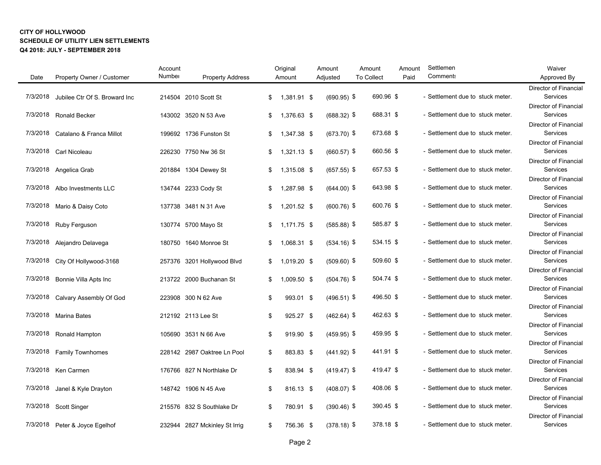|          |                                   | Account |                               | Original          | Amount        | Amount            | Amount | Settlemen                        | Waiver                            |
|----------|-----------------------------------|---------|-------------------------------|-------------------|---------------|-------------------|--------|----------------------------------|-----------------------------------|
| Date     | Property Owner / Customer         | Number  | <b>Property Address</b>       | Amount            | Adjusted      | <b>To Collect</b> | Paid   | <b>Comments</b>                  | Approved By                       |
|          |                                   |         |                               |                   |               |                   |        |                                  | Director of Financial             |
| 7/3/2018 | Jubilee Ctr Of S. Broward Inc     |         | 214504 2010 Scott St          | \$<br>1,381.91 \$ | $(690.95)$ \$ | 690.96 \$         |        | - Settlement due to stuck meter. | Services                          |
|          |                                   |         |                               |                   |               |                   |        |                                  | Director of Financial             |
|          | 7/3/2018 Ronald Becker            |         | 143002 3520 N 53 Ave          | \$<br>1,376.63 \$ | $(688.32)$ \$ | 688.31 \$         |        | - Settlement due to stuck meter. | Services                          |
|          |                                   |         |                               |                   |               | 673.68 \$         |        |                                  | Director of Financial<br>Services |
|          | 7/3/2018 Catalano & Franca Millot |         | 199692 1736 Funston St        | \$<br>1,347.38 \$ | $(673.70)$ \$ |                   |        | - Settlement due to stuck meter. | Director of Financial             |
|          | 7/3/2018 Carl Nicoleau            |         | 226230 7750 Nw 36 St          | \$<br>1,321.13 \$ | $(660.57)$ \$ | 660.56 \$         |        | - Settlement due to stuck meter. | Services                          |
|          |                                   |         |                               |                   |               |                   |        |                                  | Director of Financial             |
|          | 7/3/2018 Angelica Grab            |         | 201884 1304 Dewey St          | \$<br>1,315.08 \$ | $(657.55)$ \$ | 657.53 \$         |        | - Settlement due to stuck meter. | Services                          |
|          |                                   |         |                               |                   |               |                   |        |                                  | Director of Financial             |
|          | 7/3/2018 Albo Investments LLC     |         | 134744 2233 Cody St           | \$<br>1,287.98 \$ | $(644.00)$ \$ | 643.98 \$         |        | - Settlement due to stuck meter. | Services                          |
|          |                                   |         |                               |                   |               |                   |        |                                  | <b>Director of Financial</b>      |
|          | 7/3/2018 Mario & Daisy Coto       |         | 137738 3481 N 31 Ave          | \$<br>1,201.52 \$ | $(600.76)$ \$ | 600.76 \$         |        | - Settlement due to stuck meter. | Services                          |
|          |                                   |         |                               |                   |               |                   |        |                                  | <b>Director of Financial</b>      |
|          | 7/3/2018 Ruby Ferguson            |         | 130774 5700 Mayo St           | \$<br>1,171.75 \$ | $(585.88)$ \$ | 585.87 \$         |        | - Settlement due to stuck meter. | Services                          |
|          |                                   |         |                               |                   |               |                   |        |                                  | Director of Financial<br>Services |
|          | 7/3/2018 Alejandro Delavega       |         | 180750 1640 Monroe St         | \$<br>1,068.31 \$ | $(534.16)$ \$ | 534.15 \$         |        | - Settlement due to stuck meter. | Director of Financial             |
|          | 7/3/2018 City Of Hollywood-3168   |         | 257376 3201 Hollywood Blvd    | \$<br>1,019.20 \$ | $(509.60)$ \$ | 509.60 \$         |        | - Settlement due to stuck meter. | Services                          |
|          |                                   |         |                               |                   |               |                   |        |                                  | Director of Financial             |
|          | 7/3/2018 Bonnie Villa Apts Inc    |         | 213722 2000 Buchanan St       | \$<br>1,009.50 \$ | $(504.76)$ \$ | 504.74 \$         |        | - Settlement due to stuck meter. | Services                          |
|          |                                   |         |                               |                   |               |                   |        |                                  | Director of Financial             |
|          | 7/3/2018 Calvary Assembly Of God  |         | 223908 300 N 62 Ave           | \$<br>993.01 \$   | $(496.51)$ \$ | 496.50 \$         |        | - Settlement due to stuck meter. | Services                          |
|          |                                   |         |                               |                   |               |                   |        |                                  | Director of Financial             |
|          | 7/3/2018 Marina Bates             |         | 212192 2113 Lee St            | \$<br>925.27 \$   | $(462.64)$ \$ | 462.63 \$         |        | - Settlement due to stuck meter. | Services                          |
|          |                                   |         |                               |                   |               |                   |        |                                  | Director of Financial             |
|          | 7/3/2018 Ronald Hampton           |         | 105690 3531 N 66 Ave          | \$<br>919.90 \$   | $(459.95)$ \$ | 459.95 \$         |        | - Settlement due to stuck meter. | Services                          |
|          |                                   |         |                               |                   |               |                   |        |                                  | <b>Director of Financial</b>      |
|          | 7/3/2018 Family Townhomes         |         | 228142 2987 Oaktree Ln Pool   | \$<br>883.83 \$   | $(441.92)$ \$ | 441.91 \$         |        | - Settlement due to stuck meter. | Services<br>Director of Financial |
|          | 7/3/2018 Ken Carmen               |         | 176766 827 N Northlake Dr     | \$<br>838.94 \$   | $(419.47)$ \$ | 419.47 \$         |        | - Settlement due to stuck meter. | Services                          |
|          |                                   |         |                               |                   |               |                   |        |                                  | Director of Financial             |
| 7/3/2018 | Janel & Kyle Drayton              |         | 148742 1906 N 45 Ave          | \$<br>816.13 \$   | $(408.07)$ \$ | 408.06 \$         |        | - Settlement due to stuck meter. | Services                          |
|          |                                   |         |                               |                   |               |                   |        |                                  | Director of Financial             |
|          | 7/3/2018 Scott Singer             |         | 215576 832 S Southlake Dr     | \$<br>780.91 \$   | $(390.46)$ \$ | 390.45 \$         |        | - Settlement due to stuck meter. | Services                          |
|          |                                   |         |                               |                   |               |                   |        |                                  | Director of Financial             |
|          | 7/3/2018 Peter & Joyce Egelhof    |         | 232944 2827 Mckinley St Irrig | \$<br>756.36 \$   | $(378.18)$ \$ | 378.18 \$         |        | - Settlement due to stuck meter. | Services                          |
|          |                                   |         |                               |                   |               |                   |        |                                  |                                   |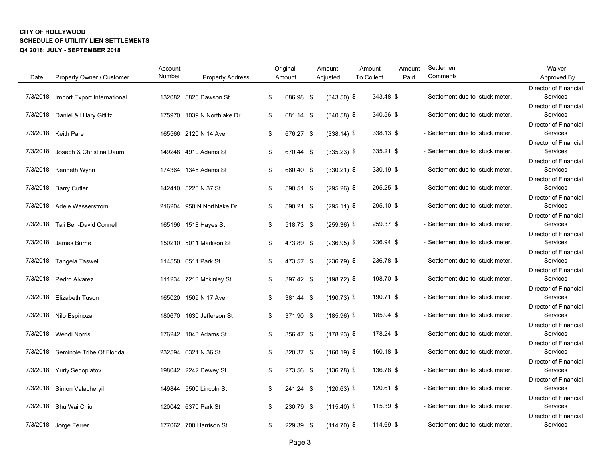| Number<br>Property Owner / Customer<br><b>Property Address</b><br><b>To Collect</b><br>Paid<br>Date<br>Amount<br>Adjusted<br>343.48 \$<br>7/3/2018<br>Import Export International<br>132082 5825 Dawson St<br>\$<br>686.98 \$<br>$(343.50)$ \$<br>340.56 \$<br>7/3/2018<br>Daniel & Hilary Gitlitz<br>175970 1039 N Northlake Dr<br>\$<br>681.14 \$<br>$(340.58)$ \$<br>338.13 \$<br>7/3/2018 Keith Pare<br>165566 2120 N 14 Ave<br>$(338.14)$ \$<br>\$<br>676.27 \$<br>335.21 \$<br>$(335.23)$ \$<br>7/3/2018<br>Joseph & Christina Daum<br>149248 4910 Adams St<br>\$<br>670.44 \$<br>330.19 \$<br>174364 1345 Adams St<br>\$<br>$(330.21)$ \$<br>7/3/2018 Kenneth Wynn<br>660.40 \$ | <b>Comment:</b><br>- Settlement due to stuck meter.<br>- Settlement due to stuck meter.<br>- Settlement due to stuck meter.<br>- Settlement due to stuck meter.<br>- Settlement due to stuck meter.<br>- Settlement due to stuck meter.<br>- Settlement due to stuck meter. | Approved By<br>Director of Financial<br><b>Services</b><br>Director of Financial<br>Services<br>Director of Financial<br>Services<br>Director of Financial<br>Services<br><b>Director of Financial</b><br>Services<br><b>Director of Financial</b><br>Services<br>Director of Financial<br>Services |
|----------------------------------------------------------------------------------------------------------------------------------------------------------------------------------------------------------------------------------------------------------------------------------------------------------------------------------------------------------------------------------------------------------------------------------------------------------------------------------------------------------------------------------------------------------------------------------------------------------------------------------------------------------------------------------------|-----------------------------------------------------------------------------------------------------------------------------------------------------------------------------------------------------------------------------------------------------------------------------|-----------------------------------------------------------------------------------------------------------------------------------------------------------------------------------------------------------------------------------------------------------------------------------------------------|
|                                                                                                                                                                                                                                                                                                                                                                                                                                                                                                                                                                                                                                                                                        |                                                                                                                                                                                                                                                                             |                                                                                                                                                                                                                                                                                                     |
|                                                                                                                                                                                                                                                                                                                                                                                                                                                                                                                                                                                                                                                                                        |                                                                                                                                                                                                                                                                             |                                                                                                                                                                                                                                                                                                     |
|                                                                                                                                                                                                                                                                                                                                                                                                                                                                                                                                                                                                                                                                                        |                                                                                                                                                                                                                                                                             |                                                                                                                                                                                                                                                                                                     |
|                                                                                                                                                                                                                                                                                                                                                                                                                                                                                                                                                                                                                                                                                        |                                                                                                                                                                                                                                                                             |                                                                                                                                                                                                                                                                                                     |
|                                                                                                                                                                                                                                                                                                                                                                                                                                                                                                                                                                                                                                                                                        |                                                                                                                                                                                                                                                                             |                                                                                                                                                                                                                                                                                                     |
|                                                                                                                                                                                                                                                                                                                                                                                                                                                                                                                                                                                                                                                                                        |                                                                                                                                                                                                                                                                             |                                                                                                                                                                                                                                                                                                     |
|                                                                                                                                                                                                                                                                                                                                                                                                                                                                                                                                                                                                                                                                                        |                                                                                                                                                                                                                                                                             |                                                                                                                                                                                                                                                                                                     |
|                                                                                                                                                                                                                                                                                                                                                                                                                                                                                                                                                                                                                                                                                        |                                                                                                                                                                                                                                                                             |                                                                                                                                                                                                                                                                                                     |
|                                                                                                                                                                                                                                                                                                                                                                                                                                                                                                                                                                                                                                                                                        |                                                                                                                                                                                                                                                                             |                                                                                                                                                                                                                                                                                                     |
|                                                                                                                                                                                                                                                                                                                                                                                                                                                                                                                                                                                                                                                                                        |                                                                                                                                                                                                                                                                             |                                                                                                                                                                                                                                                                                                     |
|                                                                                                                                                                                                                                                                                                                                                                                                                                                                                                                                                                                                                                                                                        |                                                                                                                                                                                                                                                                             |                                                                                                                                                                                                                                                                                                     |
| 295.25 \$<br>7/3/2018<br>$(295.26)$ \$<br><b>Barry Cutler</b><br>142410 5220 N 37 St<br>\$<br>590.51 \$                                                                                                                                                                                                                                                                                                                                                                                                                                                                                                                                                                                |                                                                                                                                                                                                                                                                             |                                                                                                                                                                                                                                                                                                     |
|                                                                                                                                                                                                                                                                                                                                                                                                                                                                                                                                                                                                                                                                                        |                                                                                                                                                                                                                                                                             |                                                                                                                                                                                                                                                                                                     |
| 295.10 \$<br>7/3/2018<br><b>Adele Wasserstrom</b><br>216204 950 N Northlake Dr<br>\$<br>590.21 \$<br>$(295.11)$ \$                                                                                                                                                                                                                                                                                                                                                                                                                                                                                                                                                                     |                                                                                                                                                                                                                                                                             |                                                                                                                                                                                                                                                                                                     |
|                                                                                                                                                                                                                                                                                                                                                                                                                                                                                                                                                                                                                                                                                        |                                                                                                                                                                                                                                                                             | <b>Director of Financial</b>                                                                                                                                                                                                                                                                        |
| 259.37 \$<br>7/3/2018 Tali Ben-David Connell<br>165196 1518 Hayes St<br>\$<br>518.73 \$<br>$(259.36)$ \$                                                                                                                                                                                                                                                                                                                                                                                                                                                                                                                                                                               | - Settlement due to stuck meter.                                                                                                                                                                                                                                            | <b>Services</b>                                                                                                                                                                                                                                                                                     |
|                                                                                                                                                                                                                                                                                                                                                                                                                                                                                                                                                                                                                                                                                        |                                                                                                                                                                                                                                                                             | <b>Director of Financial</b>                                                                                                                                                                                                                                                                        |
| 236.94 \$<br>7/3/2018<br>$(236.95)$ \$<br>James Burne<br>150210 5011 Madison St<br>\$<br>473.89 \$                                                                                                                                                                                                                                                                                                                                                                                                                                                                                                                                                                                     | - Settlement due to stuck meter.                                                                                                                                                                                                                                            | Services                                                                                                                                                                                                                                                                                            |
|                                                                                                                                                                                                                                                                                                                                                                                                                                                                                                                                                                                                                                                                                        |                                                                                                                                                                                                                                                                             | Director of Financial                                                                                                                                                                                                                                                                               |
| 236.78 \$<br>\$<br>$(236.79)$ \$<br>7/3/2018<br>114550 6511 Park St<br>473.57 \$<br><b>Tangela Taswell</b>                                                                                                                                                                                                                                                                                                                                                                                                                                                                                                                                                                             | - Settlement due to stuck meter.                                                                                                                                                                                                                                            | Services                                                                                                                                                                                                                                                                                            |
|                                                                                                                                                                                                                                                                                                                                                                                                                                                                                                                                                                                                                                                                                        |                                                                                                                                                                                                                                                                             | Director of Financial                                                                                                                                                                                                                                                                               |
| 198.70 \$<br>7/3/2018<br>Pedro Alvarez<br>111234 7213 Mckinley St<br>\$<br>397.42 \$<br>$(198.72)$ \$                                                                                                                                                                                                                                                                                                                                                                                                                                                                                                                                                                                  | - Settlement due to stuck meter.                                                                                                                                                                                                                                            | Services                                                                                                                                                                                                                                                                                            |
|                                                                                                                                                                                                                                                                                                                                                                                                                                                                                                                                                                                                                                                                                        |                                                                                                                                                                                                                                                                             | Director of Financial                                                                                                                                                                                                                                                                               |
| 190.71 \$<br>7/3/2018 Elizabeth Tuson<br>165020 1509 N 17 Ave<br>\$<br>381.44 \$<br>$(190.73)$ \$                                                                                                                                                                                                                                                                                                                                                                                                                                                                                                                                                                                      | - Settlement due to stuck meter.                                                                                                                                                                                                                                            | Services                                                                                                                                                                                                                                                                                            |
| 185.94 \$                                                                                                                                                                                                                                                                                                                                                                                                                                                                                                                                                                                                                                                                              | - Settlement due to stuck meter.                                                                                                                                                                                                                                            | Director of Financial<br><b>Services</b>                                                                                                                                                                                                                                                            |
| 7/3/2018 Nilo Espinoza<br>180670 1630 Jefferson St<br>\$<br>371.90 \$<br>$(185.96)$ \$                                                                                                                                                                                                                                                                                                                                                                                                                                                                                                                                                                                                 |                                                                                                                                                                                                                                                                             | Director of Financial                                                                                                                                                                                                                                                                               |
| 178.24 \$<br>7/3/2018 Wendi Norris<br>176242 1043 Adams St<br>\$<br>356.47 \$<br>$(178.23)$ \$                                                                                                                                                                                                                                                                                                                                                                                                                                                                                                                                                                                         | - Settlement due to stuck meter.                                                                                                                                                                                                                                            | <b>Services</b>                                                                                                                                                                                                                                                                                     |
|                                                                                                                                                                                                                                                                                                                                                                                                                                                                                                                                                                                                                                                                                        |                                                                                                                                                                                                                                                                             | Director of Financial                                                                                                                                                                                                                                                                               |
| 160.18 \$<br>7/3/2018<br>Seminole Tribe Of Florida<br>232594 6321 N 36 St<br>\$<br>320.37 \$<br>$(160.19)$ \$                                                                                                                                                                                                                                                                                                                                                                                                                                                                                                                                                                          | - Settlement due to stuck meter.                                                                                                                                                                                                                                            | Services                                                                                                                                                                                                                                                                                            |
|                                                                                                                                                                                                                                                                                                                                                                                                                                                                                                                                                                                                                                                                                        |                                                                                                                                                                                                                                                                             | Director of Financial                                                                                                                                                                                                                                                                               |
| 136.78 \$<br>7/3/2018<br>198042 2242 Dewey St<br>\$<br>$(136.78)$ \$<br><b>Yuriy Sedoplatov</b><br>273.56 \$                                                                                                                                                                                                                                                                                                                                                                                                                                                                                                                                                                           | - Settlement due to stuck meter.                                                                                                                                                                                                                                            | Services                                                                                                                                                                                                                                                                                            |
|                                                                                                                                                                                                                                                                                                                                                                                                                                                                                                                                                                                                                                                                                        |                                                                                                                                                                                                                                                                             | Director of Financial                                                                                                                                                                                                                                                                               |
| 120.61 \$<br>$(120.63)$ \$<br>7/3/2018<br>Simon Valacheryil<br>149844 5500 Lincoln St<br>\$<br>241.24 \$                                                                                                                                                                                                                                                                                                                                                                                                                                                                                                                                                                               | - Settlement due to stuck meter.                                                                                                                                                                                                                                            | Services                                                                                                                                                                                                                                                                                            |
|                                                                                                                                                                                                                                                                                                                                                                                                                                                                                                                                                                                                                                                                                        |                                                                                                                                                                                                                                                                             | <b>Director of Financial</b>                                                                                                                                                                                                                                                                        |
| 115.39 \$<br>7/3/2018 Shu Wai Chiu<br>120042 6370 Park St<br>\$<br>$(115.40)$ \$<br>230.79 \$                                                                                                                                                                                                                                                                                                                                                                                                                                                                                                                                                                                          | - Settlement due to stuck meter.                                                                                                                                                                                                                                            | Services                                                                                                                                                                                                                                                                                            |
|                                                                                                                                                                                                                                                                                                                                                                                                                                                                                                                                                                                                                                                                                        |                                                                                                                                                                                                                                                                             | <b>Director of Financial</b>                                                                                                                                                                                                                                                                        |
| 114.69 \$<br>7/3/2018 Jorge Ferrer<br>177062 700 Harrison St<br>$(114.70)$ \$<br>\$<br>229.39 \$                                                                                                                                                                                                                                                                                                                                                                                                                                                                                                                                                                                       | - Settlement due to stuck meter.                                                                                                                                                                                                                                            | Services                                                                                                                                                                                                                                                                                            |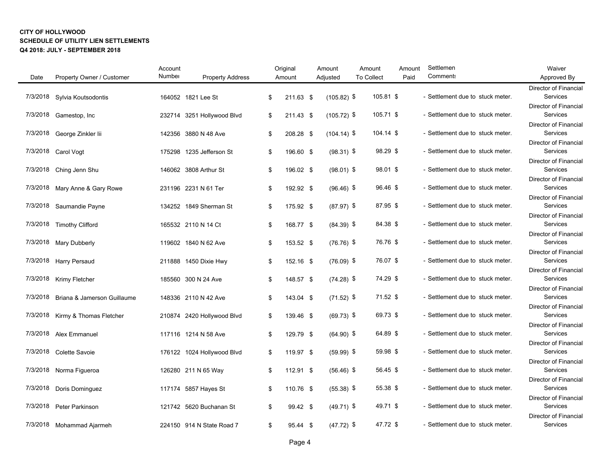|          |                                      | Account |                            | Original        | Amount        | Amount            |           | Amount | Settlemen                        | Waiver                                   |
|----------|--------------------------------------|---------|----------------------------|-----------------|---------------|-------------------|-----------|--------|----------------------------------|------------------------------------------|
| Date     | Property Owner / Customer            | Number  | <b>Property Address</b>    | Amount          | Adjusted      | <b>To Collect</b> |           | Paid   | <b>Comments</b>                  | Approved By                              |
|          |                                      |         |                            |                 |               |                   |           |        |                                  | Director of Financial                    |
| 7/3/2018 | Sylvia Koutsodontis                  |         | 164052 1821 Lee St         | \$<br>211.63 \$ | $(105.82)$ \$ |                   | 105.81 \$ |        | - Settlement due to stuck meter. | Services                                 |
|          |                                      |         |                            |                 |               |                   |           |        |                                  | <b>Director of Financial</b>             |
|          | 7/3/2018 Gamestop, Inc               |         | 232714 3251 Hollywood Blvd | \$<br>211.43 \$ | $(105.72)$ \$ |                   | 105.71 \$ |        | - Settlement due to stuck meter. | Services                                 |
|          |                                      |         |                            |                 |               |                   |           |        |                                  | Director of Financial                    |
| 7/3/2018 | George Zinkler lii                   |         | 142356 3880 N 48 Ave       | \$<br>208.28 \$ | $(104.14)$ \$ |                   | 104.14 \$ |        | - Settlement due to stuck meter. | Services                                 |
|          |                                      |         |                            |                 |               |                   |           |        |                                  | Director of Financial                    |
|          | 7/3/2018 Carol Vogt                  |         | 175298 1235 Jefferson St   | \$<br>196.60 \$ | $(98.31)$ \$  |                   | 98.29 \$  |        | - Settlement due to stuck meter. | Services                                 |
|          |                                      |         |                            |                 |               |                   |           |        |                                  | Director of Financial                    |
|          | 7/3/2018 Ching Jenn Shu              |         | 146062 3808 Arthur St      | \$<br>196.02 \$ | $(98.01)$ \$  |                   | 98.01 \$  |        | - Settlement due to stuck meter. | <b>Services</b>                          |
|          |                                      |         |                            |                 |               |                   |           |        |                                  | Director of Financial                    |
| 7/3/2018 | Mary Anne & Gary Rowe                |         | 231196 2231 N 61 Ter       | \$<br>192.92 \$ | $(96.46)$ \$  |                   | 96.46 \$  |        | - Settlement due to stuck meter. | <b>Services</b>                          |
|          |                                      |         |                            |                 |               |                   | 87.95 \$  |        | - Settlement due to stuck meter. | <b>Director of Financial</b><br>Services |
| 7/3/2018 | Saumandie Payne                      |         | 134252 1849 Sherman St     | \$<br>175.92 \$ | $(87.97)$ \$  |                   |           |        |                                  | <b>Director of Financial</b>             |
|          | 7/3/2018 Timothy Clifford            |         | 165532 2110 N 14 Ct        | \$<br>168.77 \$ | $(84.39)$ \$  |                   | 84.38 \$  |        | - Settlement due to stuck meter. | Services                                 |
|          |                                      |         |                            |                 |               |                   |           |        |                                  | <b>Director of Financial</b>             |
| 7/3/2018 | Mary Dubberly                        |         | 119602 1840 N 62 Ave       | \$<br>153.52 \$ | $(76.76)$ \$  |                   | 76.76 \$  |        | - Settlement due to stuck meter. | Services                                 |
|          |                                      |         |                            |                 |               |                   |           |        |                                  | Director of Financial                    |
| 7/3/2018 | <b>Harry Persaud</b>                 |         | 211888 1450 Dixie Hwy      | \$<br>152.16 \$ | $(76.09)$ \$  |                   | 76.07 \$  |        | - Settlement due to stuck meter. | Services                                 |
|          |                                      |         |                            |                 |               |                   |           |        |                                  | Director of Financial                    |
|          | 7/3/2018 Krimy Fletcher              |         | 185560 300 N 24 Ave        | \$<br>148.57 \$ | $(74.28)$ \$  |                   | 74.29 \$  |        | - Settlement due to stuck meter. | Services                                 |
|          |                                      |         |                            |                 |               |                   |           |        |                                  | Director of Financial                    |
|          | 7/3/2018 Briana & Jamerson Guillaume |         | 148336 2110 N 42 Ave       | \$<br>143.04 \$ | $(71.52)$ \$  |                   | 71.52 \$  |        | - Settlement due to stuck meter. | Services                                 |
|          |                                      |         |                            |                 |               |                   |           |        |                                  | Director of Financial                    |
| 7/3/2018 | Kirmy & Thomas Fletcher              |         | 210874 2420 Hollywood Blvd | \$<br>139.46 \$ | $(69.73)$ \$  |                   | 69.73 \$  |        | - Settlement due to stuck meter. | Services                                 |
|          |                                      |         |                            |                 |               |                   |           |        |                                  | <b>Director of Financial</b>             |
| 7/3/2018 | Alex Emmanuel                        |         | 117116 1214 N 58 Ave       | \$<br>129.79 \$ | $(64.90)$ \$  |                   | 64.89 \$  |        | - Settlement due to stuck meter. | Services                                 |
|          |                                      |         |                            |                 |               |                   |           |        |                                  | Director of Financial                    |
|          | 7/3/2018 Colette Savoie              |         | 176122 1024 Hollywood Blvd | \$<br>119.97 \$ | $(59.99)$ \$  |                   | 59.98 \$  |        | - Settlement due to stuck meter. | Services                                 |
|          |                                      |         |                            |                 |               |                   |           |        |                                  | Director of Financial                    |
| 7/3/2018 | Norma Figueroa                       |         | 126280 211 N 65 Way        | \$<br>112.91 \$ | $(56.46)$ \$  |                   | 56.45 \$  |        | - Settlement due to stuck meter. | Services                                 |
|          |                                      |         |                            |                 |               |                   |           |        |                                  | Director of Financial                    |
| 7/3/2018 | Doris Dominguez                      |         | 117174 5857 Hayes St       | \$<br>110.76 \$ | $(55.38)$ \$  |                   | 55.38 \$  |        | - Settlement due to stuck meter. | Services                                 |
|          |                                      |         |                            |                 |               |                   |           |        |                                  | Director of Financial                    |
| 7/3/2018 | Peter Parkinson                      |         | 121742 5620 Buchanan St    | \$<br>99.42 \$  | $(49.71)$ \$  |                   | 49.71 \$  |        | - Settlement due to stuck meter. | <b>Services</b>                          |
|          |                                      |         |                            |                 |               |                   | 47.72 \$  |        | - Settlement due to stuck meter. | <b>Director of Financial</b><br>Services |
|          | 7/3/2018 Mohammad Ajarmeh            |         | 224150 914 N State Road 7  | \$<br>95.44 \$  | $(47.72)$ \$  |                   |           |        |                                  |                                          |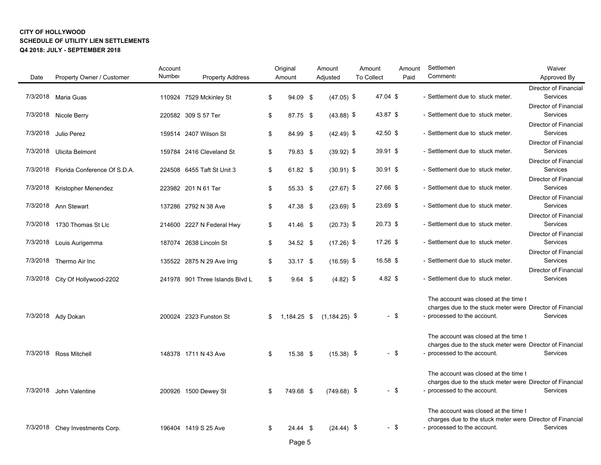| Date     | Property Owner / Customer       | Account<br>Number | <b>Property Address</b>         | Original<br>Amount | Amount<br>Adjusted | Amount<br><b>To Collect</b> | Amount<br>Paid | Settlemen<br><b>Comment:</b>                                                                                                      | Waiver<br>Approved By                    |
|----------|---------------------------------|-------------------|---------------------------------|--------------------|--------------------|-----------------------------|----------------|-----------------------------------------------------------------------------------------------------------------------------------|------------------------------------------|
|          |                                 |                   |                                 |                    |                    |                             |                |                                                                                                                                   | <b>Director of Financial</b>             |
|          | 7/3/2018 Maria Guas             |                   | 110924 7529 Mckinley St         | \$<br>94.09 \$     | $(47.05)$ \$       | 47.04 \$                    |                | - Settlement due to stuck meter.                                                                                                  | Services                                 |
|          |                                 |                   |                                 |                    |                    |                             |                |                                                                                                                                   | <b>Director of Financial</b>             |
|          | 7/3/2018 Nicole Berry           |                   | 220582 309 S 57 Ter             | \$<br>87.75 \$     | $(43.88)$ \$       | 43.87 \$                    |                | - Settlement due to stuck meter.                                                                                                  | Services<br><b>Director of Financial</b> |
| 7/3/2018 | Julio Perez                     |                   | 159514 2407 Wilson St           | \$<br>84.99 \$     | $(42.49)$ \$       | 42.50 \$                    |                | - Settlement due to stuck meter.                                                                                                  | Services                                 |
|          |                                 |                   |                                 |                    |                    |                             |                |                                                                                                                                   | <b>Director of Financial</b>             |
|          | 7/3/2018 Ulicita Belmont        |                   | 159784 2416 Cleveland St        | \$<br>79.83 \$     | $(39.92)$ \$       | 39.91 \$                    |                | - Settlement due to stuck meter.                                                                                                  | Services                                 |
|          |                                 |                   |                                 |                    |                    |                             |                |                                                                                                                                   | Director of Financial                    |
| 7/3/2018 | Florida Conference Of S.D.A.    |                   | 224508 6455 Taft St Unit 3      | \$<br>61.82 \$     | $(30.91)$ \$       | 30.91 \$                    |                | - Settlement due to stuck meter.                                                                                                  | Services                                 |
|          |                                 |                   |                                 |                    |                    |                             |                |                                                                                                                                   | <b>Director of Financial</b>             |
| 7/3/2018 | Kristopher Menendez             |                   | 223982 201 N 61 Ter             | \$<br>55.33 \$     | $(27.67)$ \$       | 27.66 \$                    |                | - Settlement due to stuck meter.                                                                                                  | Services                                 |
|          |                                 |                   |                                 |                    |                    |                             |                |                                                                                                                                   | <b>Director of Financial</b>             |
|          | 7/3/2018 Ann Stewart            |                   | 137286 2792 N 38 Ave            | \$<br>47.38 \$     | $(23.69)$ \$       | 23.69 \$                    |                | - Settlement due to stuck meter.                                                                                                  | <b>Services</b>                          |
| 7/3/2018 | 1730 Thomas St Llc              |                   | 214600 2227 N Federal Hwy       | \$<br>41.46 \$     | $(20.73)$ \$       | 20.73 \$                    |                | - Settlement due to stuck meter.                                                                                                  | <b>Director of Financial</b><br>Services |
|          |                                 |                   |                                 |                    |                    |                             |                |                                                                                                                                   | <b>Director of Financial</b>             |
|          | 7/3/2018 Louis Aurigemma        |                   | 187074 2638 Lincoln St          | \$<br>$34.52$ \$   | $(17.26)$ \$       | 17.26 \$                    |                | - Settlement due to stuck meter.                                                                                                  | Services                                 |
|          |                                 |                   |                                 |                    |                    |                             |                |                                                                                                                                   | <b>Director of Financial</b>             |
|          | 7/3/2018 Thermo Air Inc         |                   | 135522 2875 N 29 Ave Irrig      | \$<br>33.17 \$     | $(16.59)$ \$       | 16.58 \$                    |                | - Settlement due to stuck meter.                                                                                                  | Services                                 |
|          |                                 |                   |                                 |                    |                    |                             |                |                                                                                                                                   | Director of Financial                    |
|          | 7/3/2018 City Of Hollywood-2202 |                   | 241978 901 Three Islands Blvd L | \$<br>$9.64$ \$    | $(4.82)$ \$        | 4.82 \$                     |                | - Settlement due to stuck meter.                                                                                                  | Services                                 |
| 7/3/2018 | Ady Dokan                       |                   | 200024 2323 Funston St          | \$<br>1,184.25 \$  | $(1, 184.25)$ \$   |                             | - \$           | The account was closed at the time t<br>charges due to the stuck meter were Director of Financial<br>- processed to the account.  | <b>Services</b>                          |
|          | 7/3/2018 Ross Mitchell          |                   | 148378 1711 N 43 Ave            | \$<br>15.38 \$     | $(15.38)$ \$       |                             | $-$ \$         | The account was closed at the time to<br>charges due to the stuck meter were Director of Financial<br>- processed to the account. | Services                                 |
| 7/3/2018 | John Valentine                  |                   | 200926 1500 Dewey St            | \$<br>749.68 \$    | $(749.68)$ \$      |                             | $-$ \$         | The account was closed at the time t<br>charges due to the stuck meter were Director of Financial<br>- processed to the account.  | <b>Services</b>                          |
| 7/3/2018 | Chey Investments Corp.          |                   | 196404 1419 S 25 Ave            | \$<br>$24.44$ \$   | $(24.44)$ \$       |                             | $-$ \$         | The account was closed at the time t<br>charges due to the stuck meter were Director of Financial<br>- processed to the account.  | Services                                 |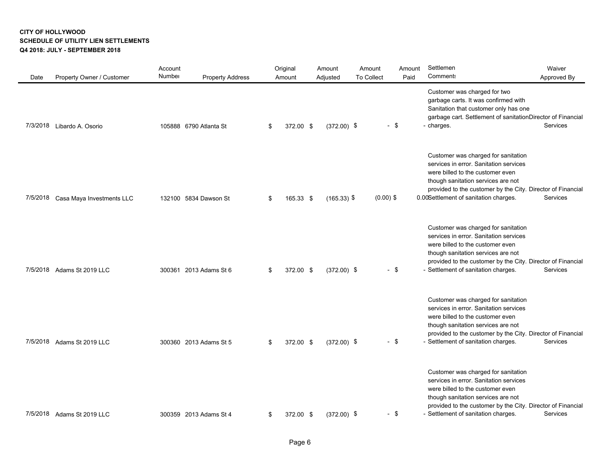| Date     | Property Owner / Customer  | Account<br>Number | <b>Property Address</b> | Original<br>Amount | Amount<br>Adjusted | Amount<br><b>To Collect</b> |             | Amount<br>Paid | Settlemen<br><b>Comment:</b>                                                                                                                                                                                                                                    | Waiver<br>Approved By |
|----------|----------------------------|-------------------|-------------------------|--------------------|--------------------|-----------------------------|-------------|----------------|-----------------------------------------------------------------------------------------------------------------------------------------------------------------------------------------------------------------------------------------------------------------|-----------------------|
| 7/3/2018 | Libardo A. Osorio          |                   | 105888 6790 Atlanta St  | \$<br>372.00 \$    | $(372.00)$ \$      |                             | $-$ \$      |                | Customer was charged for two<br>garbage carts. It was confirmed with<br>Sanitation that customer only has one<br>garbage cart. Settlement of sanitationDirector of Financial<br>- charges.                                                                      | <b>Services</b>       |
| 7/5/2018 | Casa Maya Investments LLC  |                   | 132100 5834 Dawson St   | \$<br>165.33 \$    | $(165.33)$ \$      |                             | $(0.00)$ \$ |                | Customer was charged for sanitation<br>services in error. Sanitation services<br>were billed to the customer even<br>though sanitation services are not<br>provided to the customer by the City. Director of Financial<br>0.00Settlement of sanitation charges. | <b>Services</b>       |
|          | 7/5/2018 Adams St 2019 LLC |                   | 300361 2013 Adams St 6  | \$<br>372.00 \$    | $(372.00)$ \$      |                             | $-$ \$      |                | Customer was charged for sanitation<br>services in error. Sanitation services<br>were billed to the customer even<br>though sanitation services are not<br>provided to the customer by the City. Director of Financial<br>- Settlement of sanitation charges.   | Services              |
| 7/5/2018 | Adams St 2019 LLC          |                   | 300360 2013 Adams St 5  | \$<br>372.00 \$    | $(372.00)$ \$      |                             | $-$ \$      |                | Customer was charged for sanitation<br>services in error. Sanitation services<br>were billed to the customer even<br>though sanitation services are not<br>provided to the customer by the City. Director of Financial<br>- Settlement of sanitation charges.   | Services              |
| 7/5/2018 | Adams St 2019 LLC          |                   | 300359 2013 Adams St 4  | \$<br>372.00 \$    | $(372.00)$ \$      |                             | $-$ \$      |                | Customer was charged for sanitation<br>services in error. Sanitation services<br>were billed to the customer even<br>though sanitation services are not<br>provided to the customer by the City. Director of Financial<br>- Settlement of sanitation charges.   | Services              |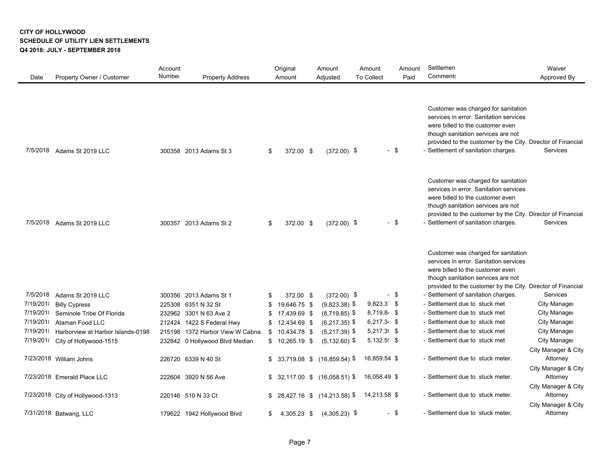| Date     | Property Owner / Customer         | Account<br>Number | <b>Property Address</b>         | Original<br>Amount | Amount<br>Adjusted        | Amount<br><b>To Collect</b> | Amount<br>Paid | Settlemen<br>Comment:                                                                                                                                                                                                                                         | Waiver<br>Approved By                                  |
|----------|-----------------------------------|-------------------|---------------------------------|--------------------|---------------------------|-----------------------------|----------------|---------------------------------------------------------------------------------------------------------------------------------------------------------------------------------------------------------------------------------------------------------------|--------------------------------------------------------|
| 7/5/2018 | Adams St 2019 LLC                 |                   | 300358 2013 Adams St 3          | \$<br>372.00 \$    | $(372.00)$ \$             |                             | - \$           | Customer was charged for sanitation<br>services in error. Sanitation services<br>were billed to the customer even<br>though sanitation services are not<br>provided to the customer by the City. Director of Financial<br>- Settlement of sanitation charges. | <b>Services</b>                                        |
| 7/5/2018 | Adams St 2019 LLC                 |                   | 300357 2013 Adams St 2          | \$<br>372.00 \$    | $(372.00)$ \$             |                             | - \$           | Customer was charged for sanitation<br>services in error. Sanitation services<br>were billed to the customer even<br>though sanitation services are not<br>provided to the customer by the City. Director of Financial<br>- Settlement of sanitation charges. | <b>Services</b>                                        |
|          |                                   |                   |                                 |                    |                           |                             |                | Customer was charged for sanitation<br>services in error. Sanitation services<br>were billed to the customer even<br>though sanitation services are not<br>provided to the customer by the City. Director of Financial                                        |                                                        |
| 7/5/2018 | Adams St 2019 LLC                 |                   | 300356 2013 Adams St 1          | \$<br>372.00 \$    | $(372.00)$ \$             |                             | $-$ \$         | - Settlement of sanitation charges.                                                                                                                                                                                                                           | <b>Services</b>                                        |
| 7/19/201 | <b>Billy Cypress</b>              |                   | 225308 6351 N 32 St             | \$<br>19,646.75 \$ | $(9,823.38)$ \$           | $9,823.3$ \$                |                | - Settlement due to stuck met                                                                                                                                                                                                                                 | <b>City Manager</b>                                    |
| 7/19/201 | Seminole Tribe Of Florida         |                   | 232962 3301 N 63 Ave 2          | \$<br>17,439.69 \$ | $(8,719.85)$ \$           | $8,719.84$ \$               |                | - Settlement due to stuck met                                                                                                                                                                                                                                 | <b>City Manager</b>                                    |
| 7/19/201 | Ataman Food LLC                   |                   | 212424 1422 S Federal Hwy       | \$<br>12,434.69 \$ | $(6,217.35)$ \$           | $6,217.34$ \$               |                | - Settlement due to stuck met                                                                                                                                                                                                                                 | City Manager                                           |
| 7/19/201 | Harborview at Harbor Islands-0198 |                   | 215198 1372 Harbor View W Cabna | $$10,434.78$ \$    | $(5,217.39)$ \$           | $5,217.3$ \$                |                | - Settlement due to stuck met                                                                                                                                                                                                                                 | <b>City Manager</b>                                    |
| 7/19/201 | City of Hollywood-1515            |                   | 232842 0 Hollywood Blvd Median  | $$10,265.19$ \$    | $(5, 132.60)$ \$          | $5,132.5$ \$                |                | - Settlement due to stuck met                                                                                                                                                                                                                                 | City Manager                                           |
|          | 7/23/2018 William Johns           |                   | 226720 6339 N 40 St             | $$33,719.08$ \$    | $(16,859.54)$ \$          | 16,859.54 \$                |                | - Settlement due to stuck meter.                                                                                                                                                                                                                              | City Manager & City<br>Attorney<br>City Manager & City |
|          | 7/23/2018 Emerald Place LLC       |                   | 222604 3920 N 56 Ave            | $$32,117.00$ \$    | $(16,058.51)$ \$          | 16,058.49 \$                |                | - Settlement due to stuck meter.                                                                                                                                                                                                                              | Attorney<br>City Manager & City                        |
|          | 7/23/2018 City of Hollywood-1313  |                   | 220146 510 N 33 Ct              |                    | \$28,427.16 \$(14,213.58) | 14,213.58 \$                |                | - Settlement due to stuck meter.                                                                                                                                                                                                                              | Attorney<br>City Manager & City                        |
|          | 7/31/2018 Batwang, LLC            |                   | 179622 1942 Hollywood Blvd      | \$<br>4,305.23 \$  | $(4,305.23)$ \$           |                             | - \$           | - Settlement due to stuck meter.                                                                                                                                                                                                                              | Attorney                                               |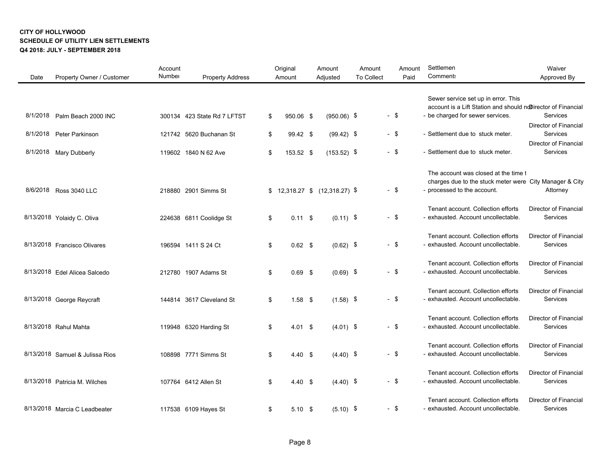| Date     | Property Owner / Customer       | Account<br>Number | <b>Property Address</b>     | Original<br>Amount   |            | Amount<br>Adjusted             | Amount<br><b>To Collect</b> |        | Amount<br>Paid | Settlemen<br><b>Comment:</b>                                                                                                            | Waiver<br>Approved By                           |
|----------|---------------------------------|-------------------|-----------------------------|----------------------|------------|--------------------------------|-----------------------------|--------|----------------|-----------------------------------------------------------------------------------------------------------------------------------------|-------------------------------------------------|
| 8/1/2018 | Palm Beach 2000 INC             |                   | 300134 423 State Rd 7 LFTST | \$<br>950.06 \$      |            | $(950.06)$ \$                  |                             | $-$ \$ |                | Sewer service set up in error. This<br>account is a Lift Station and should notirector of Financial<br>- be charged for sewer services. | Services                                        |
| 8/1/2018 | Peter Parkinson                 |                   | 121742 5620 Buchanan St     | \$<br>99.42 \$       |            | $(99.42)$ \$                   |                             | $-$ \$ |                | - Settlement due to stuck meter.                                                                                                        | Director of Financial<br><b>Services</b>        |
| 8/1/2018 | Mary Dubberly                   |                   | 119602 1840 N 62 Ave        | \$<br>153.52 \$      |            | $(153.52)$ \$                  |                             | $-$ \$ |                | - Settlement due to stuck meter.                                                                                                        | <b>Director of Financial</b><br>Services        |
|          | 8/6/2018 Ross 3040 LLC          |                   | 218880 2901 Simms St        |                      |            | $$12,318.27$ $$(12,318.27)$ \$ |                             | $-$ \$ |                | The account was closed at the time t<br>charges due to the stuck meter were City Manager & City<br>- processed to the account.          | Attorney                                        |
|          | 8/13/2018 Yolaidy C. Oliva      |                   | 224638 6811 Coolidge St     | \$<br>$0.11$ \$      |            | $(0.11)$ \$                    |                             | $-$ \$ |                | Tenant account. Collection efforts<br>- exhausted. Account uncollectable.                                                               | <b>Director of Financial</b><br>Services        |
|          | 8/13/2018 Francisco Olivares    |                   | 196594 1411 S 24 Ct         | \$<br>$0.62$ \$      |            | $(0.62)$ \$                    |                             | $-$ \$ |                | Tenant account. Collection efforts<br>- exhausted. Account uncollectable.                                                               | <b>Director of Financial</b><br>Services        |
|          | 8/13/2018 Edel Alicea Salcedo   |                   | 212780 1907 Adams St        | \$<br>0.69           | $\sqrt{3}$ | $(0.69)$ \$                    |                             | $-$ \$ |                | Tenant account. Collection efforts<br>- exhausted. Account uncollectable.                                                               | <b>Director of Financial</b><br>Services        |
|          | 8/13/2018 George Reycraft       |                   | 144814 3617 Cleveland St    | \$<br>$1.58$ \$      |            | $(1.58)$ \$                    |                             | $-$ \$ |                | Tenant account. Collection efforts<br>- exhausted. Account uncollectable.                                                               | Director of Financial<br>Services               |
|          | 8/13/2018 Rahul Mahta           |                   | 119948 6320 Harding St      | \$<br>$4.01 \quad $$ |            | $(4.01)$ \$                    |                             | $-$ \$ |                | Tenant account. Collection efforts<br>- exhausted. Account uncollectable.                                                               | <b>Director of Financial</b><br>Services        |
|          | 8/13/2018 Samuel & Julissa Rios |                   | 108898 7771 Simms St        | \$<br>4.40 S         |            | $(4.40)$ \$                    |                             | $-$ \$ |                | Tenant account. Collection efforts<br>- exhausted. Account uncollectable.                                                               | <b>Director of Financial</b><br>Services        |
|          | 8/13/2018 Patricia M. Wilches   |                   | 107764 6412 Allen St        | \$<br>$4.40~{\rm s}$ |            | $(4.40)$ \$                    |                             | $-$ \$ |                | Tenant account. Collection efforts<br>- exhausted. Account uncollectable.                                                               | <b>Director of Financial</b><br>Services        |
|          | 8/13/2018 Marcia C Leadbeater   |                   | 117538 6109 Hayes St        | \$<br>$5.10$ \$      |            | $(5.10)$ \$                    |                             | $-$ \$ |                | Tenant account. Collection efforts<br>- exhausted. Account uncollectable.                                                               | <b>Director of Financial</b><br><b>Services</b> |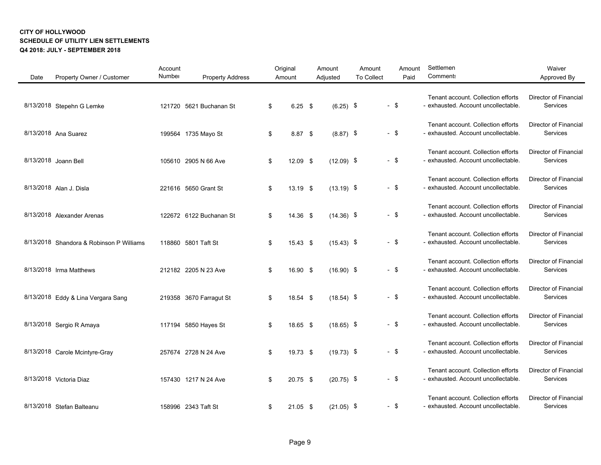| Date | Property Owner / Customer                | Account<br>Number | <b>Property Address</b> | Original<br>Amount | Amount<br>Adjusted | Amount<br><b>To Collect</b> | Amount<br>Paid | Settlemen<br>Comment:                                                     | Waiver<br>Approved By                           |
|------|------------------------------------------|-------------------|-------------------------|--------------------|--------------------|-----------------------------|----------------|---------------------------------------------------------------------------|-------------------------------------------------|
|      | 8/13/2018 Stepehn G Lemke                |                   | 121720 5621 Buchanan St | \$<br>$6.25$ \$    | $(6.25)$ \$        |                             | $-$ \$         | Tenant account. Collection efforts<br>- exhausted. Account uncollectable. | <b>Director of Financial</b><br>Services        |
|      | 8/13/2018 Ana Suarez                     |                   | 199564 1735 Mayo St     | \$<br>8.87 \$      | $(8.87)$ \$        |                             | $-$ \$         | Tenant account. Collection efforts<br>- exhausted. Account uncollectable. | <b>Director of Financial</b><br>Services        |
|      | 8/13/2018 Joann Bell                     |                   | 105610 2905 N 66 Ave    | \$<br>$12.09$ \$   | $(12.09)$ \$       |                             | $-$ \$         | Tenant account. Collection efforts<br>- exhausted. Account uncollectable. | <b>Director of Financial</b><br>Services        |
|      | 8/13/2018 Alan J. Disla                  |                   | 221616 5650 Grant St    | \$<br>$13.19$ \$   | $(13.19)$ \$       |                             | $-$ \$         | Tenant account. Collection efforts<br>- exhausted. Account uncollectable. | Director of Financial<br>Services               |
|      | 8/13/2018 Alexander Arenas               |                   | 122672 6122 Buchanan St | \$<br>14.36 \$     | $(14.36)$ \$       |                             | $-$ \$         | Tenant account. Collection efforts<br>- exhausted. Account uncollectable. | <b>Director of Financial</b><br>Services        |
|      | 8/13/2018 Shandora & Robinson P Williams |                   | 118860 5801 Taft St     | \$<br>15.43 \$     | $(15.43)$ \$       |                             | $-$ \$         | Tenant account. Collection efforts<br>- exhausted. Account uncollectable. | Director of Financial<br>Services               |
|      | 8/13/2018 Irma Matthews                  |                   | 212182 2205 N 23 Ave    | \$<br>16.90 \$     | $(16.90)$ \$       |                             | $-$ \$         | Tenant account. Collection efforts<br>- exhausted. Account uncollectable. | <b>Director of Financial</b><br>Services        |
|      | 8/13/2018 Eddy & Lina Vergara Sang       |                   | 219358 3670 Farragut St | \$<br>18.54 \$     | $(18.54)$ \$       |                             | $-$ \$         | Tenant account. Collection efforts<br>- exhausted. Account uncollectable. | <b>Director of Financial</b><br>Services        |
|      | 8/13/2018 Sergio R Amaya                 |                   | 117194 5850 Hayes St    | \$<br>18.65 \$     | $(18.65)$ \$       |                             | $-$ \$         | Tenant account. Collection efforts<br>- exhausted. Account uncollectable. | Director of Financial<br>Services               |
|      | 8/13/2018 Carole Mcintyre-Gray           |                   | 257674 2728 N 24 Ave    | \$<br>19.73 \$     | $(19.73)$ \$       |                             | $-$ \$         | Tenant account. Collection efforts<br>- exhausted. Account uncollectable. | <b>Director of Financial</b><br>Services        |
|      | 8/13/2018 Victoria Diaz                  |                   | 157430 1217 N 24 Ave    | \$<br>20.75 \$     | $(20.75)$ \$       |                             | $-$ \$         | Tenant account. Collection efforts<br>- exhausted. Account uncollectable. | <b>Director of Financial</b><br>Services        |
|      | 8/13/2018 Stefan Balteanu                |                   | 158996 2343 Taft St     | \$<br>$21.05$ \$   | $(21.05)$ \$       |                             | $-$ \$         | Tenant account. Collection efforts<br>- exhausted. Account uncollectable. | <b>Director of Financial</b><br><b>Services</b> |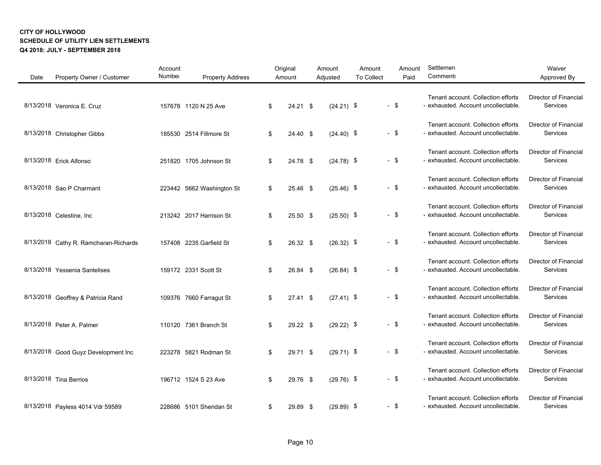| Date | Property Owner / Customer             | Account<br>Number | <b>Property Address</b>   | Original<br>Amount | Amount<br>Adjusted | Amount<br><b>To Collect</b> | Amount<br>Paid | Settlemen<br><b>Comment:</b>                                              | Waiver<br>Approved By                    |
|------|---------------------------------------|-------------------|---------------------------|--------------------|--------------------|-----------------------------|----------------|---------------------------------------------------------------------------|------------------------------------------|
|      | 8/13/2018 Veronica E. Cruz            |                   | 157678 1120 N 25 Ave      | \$<br>$24.21$ \$   | $(24.21)$ \$       |                             | $-$ \$         | Tenant account. Collection efforts<br>- exhausted. Account uncollectable. | Director of Financial<br>Services        |
|      | 8/13/2018 Christopher Gibbs           |                   | 185530 2514 Fillmore St   | \$<br>24.40 \$     | $(24.40)$ \$       |                             | $-$ \$         | Tenant account. Collection efforts<br>- exhausted. Account uncollectable. | Director of Financial<br>Services        |
|      | 8/13/2018 Erick Alfonso               |                   | 251820 1705 Johnson St    | \$<br>24.78 \$     | $(24.78)$ \$       |                             | $-$ \$         | Tenant account. Collection efforts<br>- exhausted. Account uncollectable. | Director of Financial<br>Services        |
|      | 8/13/2018 Sao P Charmant              |                   | 223442 5662 Washington St | \$<br>25.46 \$     | $(25.46)$ \$       |                             | $-$ \$         | Tenant account. Collection efforts<br>- exhausted. Account uncollectable. | <b>Director of Financial</b><br>Services |
|      | 8/13/2018 Celestine, Inc.             |                   | 213242 2017 Harrison St   | \$<br>25.50 \$     | $(25.50)$ \$       |                             | $-$ \$         | Tenant account. Collection efforts<br>- exhausted. Account uncollectable. | <b>Director of Financial</b><br>Services |
|      | 8/13/2018 Cathy R. Ramcharan-Richards |                   | 157408 2235 Garfield St   | \$<br>26.32 \$     | $(26.32)$ \$       |                             | $-$ \$         | Tenant account. Collection efforts<br>- exhausted. Account uncollectable. | Director of Financial<br>Services        |
|      | 8/13/2018 Yessenia Santelises         |                   | 159172 2331 Scott St      | \$<br>26.84 \$     | $(26.84)$ \$       |                             | $-$ \$         | Tenant account. Collection efforts<br>- exhausted. Account uncollectable. | Director of Financial<br>Services        |
|      | 8/13/2018 Geoffrey & Patricia Rand    |                   | 109376 7660 Farragut St   | \$<br>$27.41$ \$   | $(27.41)$ \$       |                             | $-$ \$         | Tenant account. Collection efforts<br>- exhausted. Account uncollectable. | Director of Financial<br>Services        |
|      | 8/13/2018 Peter A. Palmer             |                   | 110120 7361 Branch St     | \$<br>29.22 \$     | $(29.22)$ \$       |                             | $-$ \$         | Tenant account. Collection efforts<br>- exhausted. Account uncollectable. | Director of Financial<br>Services        |
|      | 8/13/2018 Good Guyz Development Inc   |                   | 223278 5821 Rodman St     | \$<br>29.71 \$     | $(29.71)$ \$       |                             | $-$ \$         | Tenant account. Collection efforts<br>- exhausted. Account uncollectable. | Director of Financial<br>Services        |
|      | 8/13/2018 Tina Berrios                |                   | 196712 1524 S 23 Ave      | \$<br>29.76 \$     | $(29.76)$ \$       |                             | $-$ \$         | Tenant account. Collection efforts<br>- exhausted. Account uncollectable. | <b>Director of Financial</b><br>Services |
|      | 8/13/2018 Payless 4014 Vdr 59589      |                   | 228686 5101 Sheridan St   | \$<br>29.89 \$     | $(29.89)$ \$       |                             | $-$ \$         | Tenant account. Collection efforts<br>- exhausted. Account uncollectable. | Director of Financial<br>Services        |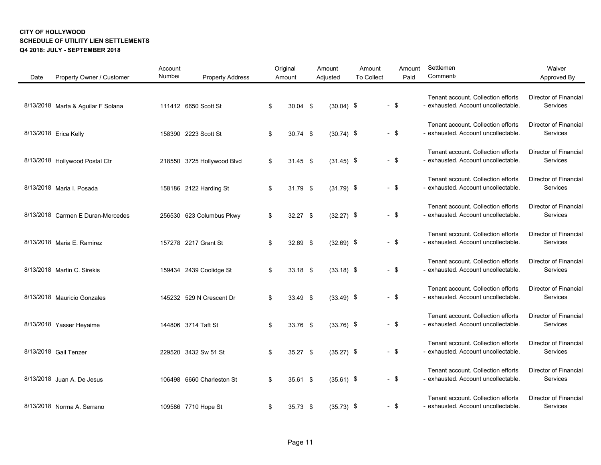| Date | Property Owner / Customer          | Account<br>Number | <b>Property Address</b>    | Original<br>Amount | Amount<br>Adjusted | Amount<br><b>To Collect</b> |        | Amount<br>Paid | Settlemen<br>Comment:                                                     | Waiver<br>Approved By                    |
|------|------------------------------------|-------------------|----------------------------|--------------------|--------------------|-----------------------------|--------|----------------|---------------------------------------------------------------------------|------------------------------------------|
|      | 8/13/2018 Marta & Aguilar F Solana |                   | 111412 6650 Scott St       | \$<br>$30.04$ \$   | $(30.04)$ \$       |                             | $-$ \$ |                | Tenant account. Collection efforts<br>- exhausted. Account uncollectable. | Director of Financial<br>Services        |
|      | 8/13/2018 Erica Kelly              |                   | 158390 2223 Scott St       | \$<br>$30.74$ \$   | $(30.74)$ \$       |                             | $-$ \$ |                | Tenant account. Collection efforts<br>- exhausted. Account uncollectable. | <b>Director of Financial</b><br>Services |
|      | 8/13/2018 Hollywood Postal Ctr     |                   | 218550 3725 Hollywood Blvd | \$<br>$31.45$ \$   | $(31.45)$ \$       |                             | $-$ \$ |                | Tenant account. Collection efforts<br>- exhausted. Account uncollectable. | <b>Director of Financial</b><br>Services |
|      | 8/13/2018 Maria I. Posada          |                   | 158186 2122 Harding St     | \$<br>31.79 \$     | $(31.79)$ \$       |                             | $-$ \$ |                | Tenant account. Collection efforts<br>- exhausted. Account uncollectable. | <b>Director of Financial</b><br>Services |
|      | 8/13/2018 Carmen E Duran-Mercedes  |                   | 256530 623 Columbus Pkwy   | \$<br>32.27 \$     | $(32.27)$ \$       |                             | $-$ \$ |                | Tenant account. Collection efforts<br>- exhausted. Account uncollectable. | Director of Financial<br>Services        |
|      | 8/13/2018 Maria E. Ramirez         |                   | 157278 2217 Grant St       | \$<br>32.69 \$     | $(32.69)$ \$       |                             | $-$ \$ |                | Tenant account. Collection efforts<br>- exhausted. Account uncollectable. | Director of Financial<br>Services        |
|      | 8/13/2018 Martin C. Sirekis        |                   | 159434 2439 Coolidge St    | \$<br>$33.18$ \$   | $(33.18)$ \$       |                             | $-$ \$ |                | Tenant account. Collection efforts<br>- exhausted. Account uncollectable. | Director of Financial<br>Services        |
|      | 8/13/2018 Mauricio Gonzales        |                   | 145232 529 N Crescent Dr   | \$<br>33.49 \$     | $(33.49)$ \$       |                             | $-$ \$ |                | Tenant account. Collection efforts<br>- exhausted. Account uncollectable. | Director of Financial<br>Services        |
|      | 8/13/2018 Yasser Heyaime           |                   | 144806 3714 Taft St        | \$<br>33.76 \$     | $(33.76)$ \$       |                             | $-$ \$ |                | Tenant account. Collection efforts<br>- exhausted. Account uncollectable. | <b>Director of Financial</b><br>Services |
|      | 8/13/2018 Gail Tenzer              |                   | 229520 3432 Sw 51 St       | \$<br>$35.27$ \$   | $(35.27)$ \$       |                             | $-$ \$ |                | Tenant account. Collection efforts<br>- exhausted. Account uncollectable. | Director of Financial<br>Services        |
|      | 8/13/2018 Juan A. De Jesus         |                   | 106498 6660 Charleston St  | \$<br>$35.61$ \$   | $(35.61)$ \$       |                             | - \$   |                | Tenant account. Collection efforts<br>- exhausted. Account uncollectable. | Director of Financial<br>Services        |
|      | 8/13/2018 Norma A. Serrano         |                   | 109586 7710 Hope St        | \$<br>35.73 \$     | $(35.73)$ \$       |                             | $-$ \$ |                | Tenant account. Collection efforts<br>- exhausted. Account uncollectable. | <b>Director of Financial</b><br>Services |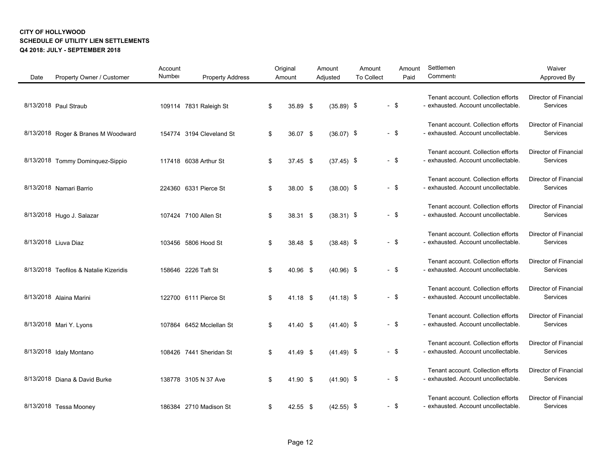| Date | Property Owner / Customer              | Account<br>Number | <b>Property Address</b>  | Original<br>Amount | Amount<br>Adjusted | Amount<br><b>To Collect</b> |        | Amount<br>Paid | Settlemen<br>Comment:                                                     | Waiver<br>Approved By                           |
|------|----------------------------------------|-------------------|--------------------------|--------------------|--------------------|-----------------------------|--------|----------------|---------------------------------------------------------------------------|-------------------------------------------------|
|      | 8/13/2018 Paul Straub                  |                   | 109114 7831 Raleigh St   | \$<br>35.89 \$     | $(35.89)$ \$       |                             | $-$ \$ |                | Tenant account. Collection efforts<br>- exhausted. Account uncollectable. | Director of Financial<br>Services               |
|      | 8/13/2018 Roger & Branes M Woodward    |                   | 154774 3194 Cleveland St | \$<br>36.07 \$     | $(36.07)$ \$       |                             | $-$ \$ |                | Tenant account. Collection efforts<br>- exhausted. Account uncollectable. | Director of Financial<br>Services               |
|      | 8/13/2018 Tommy Dominquez-Sippio       |                   | 117418 6038 Arthur St    | \$<br>$37.45$ \$   | $(37.45)$ \$       |                             | $-$ \$ |                | Tenant account. Collection efforts<br>- exhausted. Account uncollectable. | <b>Director of Financial</b><br><b>Services</b> |
|      | 8/13/2018 Namari Barrio                |                   | 224360 6331 Pierce St    | \$<br>38.00 \$     | $(38.00)$ \$       |                             | $-$ \$ |                | Tenant account. Collection efforts<br>- exhausted. Account uncollectable. | <b>Director of Financial</b><br>Services        |
|      | 8/13/2018 Hugo J. Salazar              |                   | 107424 7100 Allen St     | \$<br>38.31 \$     | $(38.31)$ \$       |                             | $-$ \$ |                | Tenant account. Collection efforts<br>- exhausted. Account uncollectable. | Director of Financial<br>Services               |
|      | 8/13/2018 Liuva Diaz                   |                   | 103456 5806 Hood St      | \$<br>38.48 \$     | $(38.48)$ \$       |                             | $-$ \$ |                | Tenant account. Collection efforts<br>- exhausted. Account uncollectable. | <b>Director of Financial</b><br>Services        |
|      | 8/13/2018 Teofilos & Natalie Kizeridis |                   | 158646 2226 Taft St      | \$<br>40.96 \$     | $(40.96)$ \$       |                             | $-$ \$ |                | Tenant account. Collection efforts<br>- exhausted. Account uncollectable. | <b>Director of Financial</b><br>Services        |
|      | 8/13/2018 Alaina Marini                |                   | 122700 6111 Pierce St    | \$<br>$41.18$ \$   | $(41.18)$ \$       |                             | $-$ \$ |                | Tenant account. Collection efforts<br>- exhausted. Account uncollectable. | Director of Financial<br>Services               |
|      | 8/13/2018 Mari Y. Lyons                |                   | 107864 6452 Mcclellan St | \$<br>41.40 \$     | $(41.40)$ \$       |                             | $-$ \$ |                | Tenant account. Collection efforts<br>- exhausted. Account uncollectable. | <b>Director of Financial</b><br>Services        |
|      | 8/13/2018 Idaly Montano                |                   | 108426 7441 Sheridan St  | \$<br>41.49 \$     | $(41.49)$ \$       |                             | $-$ \$ |                | Tenant account. Collection efforts<br>- exhausted. Account uncollectable. | <b>Director of Financial</b><br>Services        |
|      | 8/13/2018 Diana & David Burke          |                   | 138778 3105 N 37 Ave     | \$<br>41.90 \$     | $(41.90)$ \$       |                             | $-$ \$ |                | Tenant account. Collection efforts<br>- exhausted. Account uncollectable. | Director of Financial<br>Services               |
|      | 8/13/2018 Tessa Mooney                 |                   | 186384 2710 Madison St   | \$<br>42.55 \$     | $(42.55)$ \$       |                             | $-$ \$ |                | Tenant account. Collection efforts<br>- exhausted. Account uncollectable. | <b>Director of Financial</b><br><b>Services</b> |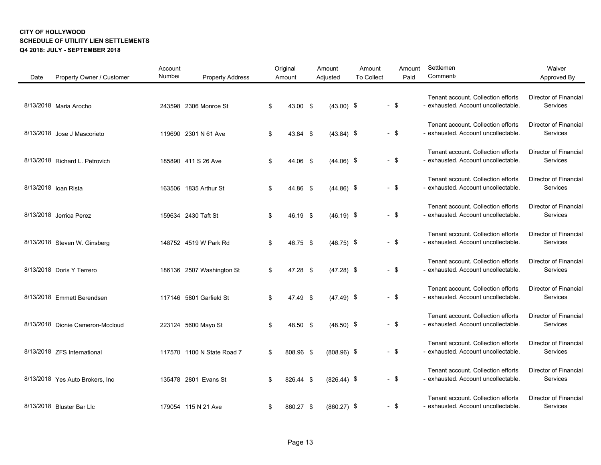| Date | Property Owner / Customer        | Account<br>Number | <b>Property Address</b>    | Original<br>Amount | Amount<br>Adjusted | Amount<br><b>To Collect</b> |        | Amount<br>Paid | Settlemen<br>Comment:                                                     | Waiver<br>Approved By                    |
|------|----------------------------------|-------------------|----------------------------|--------------------|--------------------|-----------------------------|--------|----------------|---------------------------------------------------------------------------|------------------------------------------|
|      | 8/13/2018 Maria Arocho           |                   | 243598 2306 Monroe St      | \$<br>43.00 \$     | $(43.00)$ \$       |                             | $-$ \$ |                | Tenant account. Collection efforts<br>- exhausted. Account uncollectable. | Director of Financial<br>Services        |
|      | 8/13/2018 Jose J Mascorieto      |                   | 119690 2301 N 61 Ave       | \$<br>43.84 \$     | $(43.84)$ \$       |                             | $-$ \$ |                | Tenant account. Collection efforts<br>- exhausted. Account uncollectable. | Director of Financial<br>Services        |
|      | 8/13/2018 Richard L. Petrovich   |                   | 185890 411 S 26 Ave        | \$<br>44.06 \$     | $(44.06)$ \$       |                             | $-$ \$ |                | Tenant account. Collection efforts<br>- exhausted. Account uncollectable. | <b>Director of Financial</b><br>Services |
|      | 8/13/2018 Ioan Rista             |                   | 163506 1835 Arthur St      | \$<br>44.86 \$     | $(44.86)$ \$       |                             | $-$ \$ |                | Tenant account. Collection efforts<br>- exhausted. Account uncollectable. | Director of Financial<br>Services        |
|      | 8/13/2018 Jerrica Perez          |                   | 159634 2430 Taft St        | \$<br>46.19 \$     | $(46.19)$ \$       |                             | $-$ \$ |                | Tenant account. Collection efforts<br>- exhausted. Account uncollectable. | Director of Financial<br>Services        |
|      | 8/13/2018 Steven W. Ginsberg     |                   | 148752 4519 W Park Rd      | \$<br>46.75 \$     | $(46.75)$ \$       |                             | $-$ \$ |                | Tenant account. Collection efforts<br>- exhausted. Account uncollectable. | <b>Director of Financial</b><br>Services |
|      | 8/13/2018 Doris Y Terrero        |                   | 186136 2507 Washington St  | \$<br>47.28 \$     | $(47.28)$ \$       |                             | $-$ \$ |                | Tenant account. Collection efforts<br>- exhausted. Account uncollectable. | <b>Director of Financial</b><br>Services |
|      | 8/13/2018 Emmett Berendsen       |                   | 117146 5801 Garfield St    | \$<br>47.49 \$     | $(47.49)$ \$       |                             | $-$ \$ |                | Tenant account. Collection efforts<br>- exhausted. Account uncollectable. | Director of Financial<br>Services        |
|      | 8/13/2018 Dionie Cameron-Mccloud |                   | 223124 5600 Mayo St        | \$<br>48.50 \$     | $(48.50)$ \$       |                             | $-$ \$ |                | Tenant account. Collection efforts<br>- exhausted. Account uncollectable. | <b>Director of Financial</b><br>Services |
|      | 8/13/2018 ZFS International      |                   | 117570 1100 N State Road 7 | \$<br>808.96 \$    | $(808.96)$ \$      |                             | $-$ \$ |                | Tenant account. Collection efforts<br>- exhausted. Account uncollectable. | Director of Financial<br>Services        |
|      | 8/13/2018 Yes Auto Brokers, Inc. |                   | 135478 2801 Evans St       | \$<br>826.44 \$    | $(826.44)$ \$      |                             | $-$ \$ |                | Tenant account. Collection efforts<br>- exhausted. Account uncollectable. | Director of Financial<br>Services        |
|      | 8/13/2018 Bluster Bar Llc        |                   | 179054 115 N 21 Ave        | \$<br>860.27 \$    | $(860.27)$ \$      |                             | $-$ \$ |                | Tenant account. Collection efforts<br>- exhausted. Account uncollectable. | <b>Director of Financial</b><br>Services |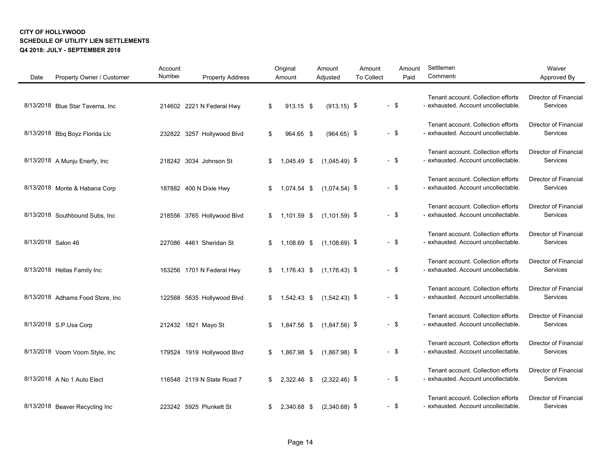| Date               | Property Owner / Customer        | Account<br>Number | <b>Property Address</b>    | Original<br>Amount | Amount<br>Adjusted | Amount<br><b>To Collect</b> |        | Amount<br>Paid | Settlemen<br>Comments                                                     | Waiver<br>Approved By                    |
|--------------------|----------------------------------|-------------------|----------------------------|--------------------|--------------------|-----------------------------|--------|----------------|---------------------------------------------------------------------------|------------------------------------------|
|                    | 8/13/2018 Blue Star Taverna, Inc |                   | 214602 2221 N Federal Hwy  | \$<br>$913.15$ \$  | $(913.15)$ \$      |                             | $-$ \$ |                | Tenant account. Collection efforts<br>- exhausted. Account uncollectable. | Director of Financial<br>Services        |
|                    | 8/13/2018 Bbq Boyz Florida Llc   |                   | 232822 3257 Hollywood Blvd | \$<br>964.65 \$    | $(964.65)$ \$      |                             | $-$ \$ |                | Tenant account. Collection efforts<br>- exhausted. Account uncollectable. | Director of Financial<br>Services        |
|                    | 8/13/2018 A Munju Enerfy, Inc    |                   | 218242 3034 Johnson St     | \$<br>1,045.49 \$  | $(1,045.49)$ \$    |                             | $-$ \$ |                | Tenant account. Collection efforts<br>- exhausted. Account uncollectable. | <b>Director of Financial</b><br>Services |
|                    | 8/13/2018 Monte & Habana Corp    |                   | 187882 400 N Dixie Hwy     | \$<br>1,074.54 \$  | $(1,074.54)$ \$    |                             | $-$ \$ |                | Tenant account. Collection efforts<br>- exhausted. Account uncollectable. | <b>Director of Financial</b><br>Services |
|                    | 8/13/2018 Southbound Subs, Inc   |                   | 218556 3765 Hollywood Blvd | \$<br>1,101.59 \$  | $(1,101.59)$ \$    |                             | $-$ \$ |                | Tenant account. Collection efforts<br>- exhausted. Account uncollectable. | Director of Financial<br>Services        |
| 8/13/2018 Salon 46 |                                  |                   | 227086 4461 Sheridan St    | \$<br>1,108.69 \$  | $(1, 108.69)$ \$   |                             | $-$ \$ |                | Tenant account. Collection efforts<br>- exhausted. Account uncollectable. | <b>Director of Financial</b><br>Services |
|                    | 8/13/2018 Hellas Family Inc      |                   | 163256 1701 N Federal Hwy  | \$<br>1,176.43 \$  | $(1, 176.43)$ \$   |                             | $-$ \$ |                | Tenant account. Collection efforts<br>- exhausted. Account uncollectable. | <b>Director of Financial</b><br>Services |
|                    | 8/13/2018 Adhams Food Store, Inc |                   | 122568 5635 Hollywood Blvd | \$<br>1,542.43 \$  | $(1,542.43)$ \$    |                             | $-$ \$ |                | Tenant account. Collection efforts<br>- exhausted. Account uncollectable. | Director of Financial<br>Services        |
|                    | 8/13/2018 S.P. Usa Corp          |                   | 212432 1821 Mayo St        | \$<br>1,847.56 \$  | $(1,847.56)$ \$    |                             | $-$ \$ |                | Tenant account. Collection efforts<br>- exhausted. Account uncollectable. | <b>Director of Financial</b><br>Services |
|                    | 8/13/2018 Voom Voom Style, Inc   |                   | 179524 1919 Hollywood Blvd | \$<br>1,867.98 \$  | $(1,867.98)$ \$    |                             | $-$ \$ |                | Tenant account. Collection efforts<br>- exhausted. Account uncollectable. | <b>Director of Financial</b><br>Services |
|                    | 8/13/2018 A No 1 Auto Elect      |                   | 116548 2119 N State Road 7 | \$<br>2,322.46 \$  | $(2,322.46)$ \$    |                             | $-$ \$ |                | Tenant account. Collection efforts<br>- exhausted. Account uncollectable. | Director of Financial<br>Services        |
|                    | 8/13/2018 Beaver Recycling Inc   |                   | 223242 5925 Plunkett St    | \$<br>2,340.68 \$  | $(2,340.68)$ \$    |                             | $-$ \$ |                | Tenant account. Collection efforts<br>- exhausted. Account uncollectable. | <b>Director of Financial</b><br>Services |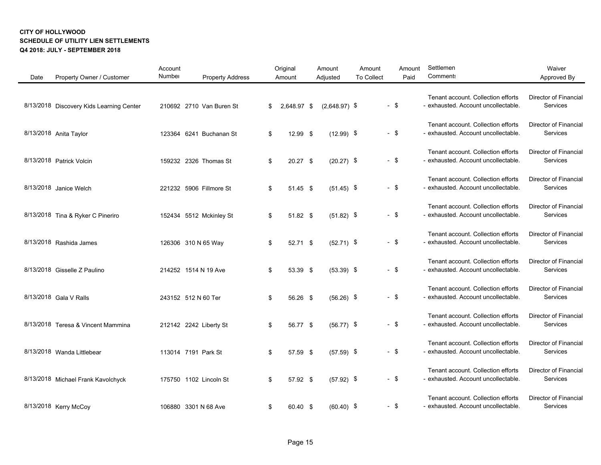| Date | Property Owner / Customer                | Account<br>Number | <b>Property Address</b>  | Original<br>Amount | Amount<br>Adjusted | Amount<br><b>To Collect</b> |        | Amount<br>Paid | Settlemen<br><b>Comment:</b>                                              | Waiver<br>Approved By                    |
|------|------------------------------------------|-------------------|--------------------------|--------------------|--------------------|-----------------------------|--------|----------------|---------------------------------------------------------------------------|------------------------------------------|
|      | 8/13/2018 Discovery Kids Learning Center |                   | 210692 2710 Van Buren St | \$<br>2,648.97 \$  | $(2,648.97)$ \$    |                             | $-$ \$ |                | Tenant account. Collection efforts<br>- exhausted. Account uncollectable. | <b>Director of Financial</b><br>Services |
|      | 8/13/2018 Anita Taylor                   |                   | 123364 6241 Buchanan St  | \$<br>12.99 \$     | $(12.99)$ \$       |                             | $-$ \$ |                | Tenant account. Collection efforts<br>- exhausted. Account uncollectable. | Director of Financial<br>Services        |
|      | 8/13/2018 Patrick Volcin                 |                   | 159232 2326 Thomas St    | \$<br>20.27 \$     | $(20.27)$ \$       |                             | $-$ \$ |                | Tenant account. Collection efforts<br>- exhausted. Account uncollectable. | Director of Financial<br>Services        |
|      | 8/13/2018 Janice Welch                   |                   | 221232 5906 Fillmore St  | \$<br>51.45 \$     | $(51.45)$ \$       |                             | $-$ \$ |                | Tenant account. Collection efforts<br>- exhausted. Account uncollectable. | <b>Director of Financial</b><br>Services |
|      | 8/13/2018 Tina & Ryker C Pineriro        |                   | 152434 5512 Mckinley St  | \$<br>51.82 \$     | $(51.82)$ \$       |                             | $-$ \$ |                | Tenant account. Collection efforts<br>- exhausted. Account uncollectable. | <b>Director of Financial</b><br>Services |
|      | 8/13/2018 Rashida James                  |                   | 126306 310 N 65 Way      | \$<br>52.71 \$     | $(52.71)$ \$       |                             | $-$ \$ |                | Tenant account. Collection efforts<br>- exhausted. Account uncollectable. | Director of Financial<br>Services        |
|      | 8/13/2018 Gisselle Z Paulino             |                   | 214252 1514 N 19 Ave     | \$<br>53.39 \$     | $(53.39)$ \$       |                             | $-$ \$ |                | Tenant account. Collection efforts<br>- exhausted. Account uncollectable. | <b>Director of Financial</b><br>Services |
|      | 8/13/2018 Gala V Ralls                   |                   | 243152 512 N 60 Ter      | \$<br>56.26 \$     | $(56.26)$ \$       |                             | $-$ \$ |                | Tenant account. Collection efforts<br>- exhausted. Account uncollectable. | <b>Director of Financial</b><br>Services |
|      | 8/13/2018 Teresa & Vincent Mammina       |                   | 212142 2242 Liberty St   | \$<br>56.77 \$     | $(56.77)$ \$       |                             | $-$ \$ |                | Tenant account. Collection efforts<br>- exhausted. Account uncollectable. | Director of Financial<br>Services        |
|      | 8/13/2018 Wanda Littlebear               |                   | 113014 7191 Park St      | \$<br>57.59 \$     | $(57.59)$ \$       |                             | $-$ \$ |                | Tenant account. Collection efforts<br>- exhausted. Account uncollectable. | Director of Financial<br>Services        |
|      | 8/13/2018 Michael Frank Kavolchyck       |                   | 175750 1102 Lincoln St   | \$<br>57.92 \$     | $(57.92)$ \$       |                             | $-$ \$ |                | Tenant account. Collection efforts<br>- exhausted. Account uncollectable. | <b>Director of Financial</b><br>Services |
|      | 8/13/2018 Kerry McCoy                    |                   | 106880 3301 N 68 Ave     | \$<br>60.40 \$     | $(60.40)$ \$       |                             | $-$ \$ |                | Tenant account. Collection efforts<br>- exhausted. Account uncollectable. | Director of Financial<br>Services        |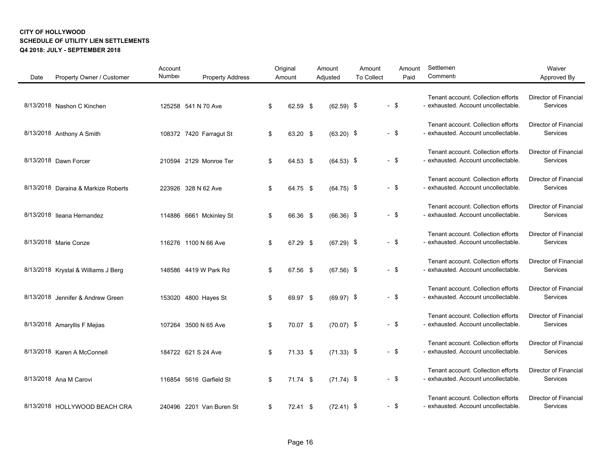| Date | Property Owner / Customer           | Account<br>Number | <b>Property Address</b>  | Original<br>Amount | Amount<br>Adjusted | Amount<br><b>To Collect</b> | Amount<br>Paid | Settlemen<br>Comment:                                                     | Waiver<br>Approved By                    |
|------|-------------------------------------|-------------------|--------------------------|--------------------|--------------------|-----------------------------|----------------|---------------------------------------------------------------------------|------------------------------------------|
|      | 8/13/2018 Nashon C Kinchen          |                   | 125258 541 N 70 Ave      | \$<br>62.59 \$     | $(62.59)$ \$       |                             | $-$ \$         | Tenant account. Collection efforts<br>- exhausted. Account uncollectable. | Director of Financial<br>Services        |
|      | 8/13/2018 Anthony A Smith           |                   | 108372 7420 Farragut St  | \$<br>63.20 \$     | $(63.20)$ \$       |                             | $-$ \$         | Tenant account. Collection efforts<br>- exhausted. Account uncollectable. | Director of Financial<br>Services        |
|      | 8/13/2018 Dawn Forcer               |                   | 210594 2129 Monroe Ter   | \$<br>64.53 \$     | $(64.53)$ \$       |                             | $-$ \$         | Tenant account. Collection efforts<br>- exhausted. Account uncollectable. | <b>Director of Financial</b><br>Services |
|      | 8/13/2018 Daraina & Markize Roberts |                   | 223926 328 N 62 Ave      | \$<br>64.75 \$     | $(64.75)$ \$       |                             | $-$ \$         | Tenant account. Collection efforts<br>- exhausted. Account uncollectable. | <b>Director of Financial</b><br>Services |
|      | 8/13/2018 Ileana Hernandez          |                   | 114886 6661 Mckinley St  | \$<br>66.36 \$     | $(66.36)$ \$       |                             | $-$ \$         | Tenant account. Collection efforts<br>- exhausted. Account uncollectable. | Director of Financial<br>Services        |
|      | 8/13/2018 Marie Conze               |                   | 116276 1100 N 66 Ave     | \$<br>67.29 \$     | $(67.29)$ \$       |                             | $-$ \$         | Tenant account. Collection efforts<br>- exhausted. Account uncollectable. | <b>Director of Financial</b><br>Services |
|      | 8/13/2018 Krystal & Williams J Berg |                   | 148586 4419 W Park Rd    | \$<br>67.56 \$     | $(67.56)$ \$       |                             | $-$ \$         | Tenant account. Collection efforts<br>- exhausted. Account uncollectable. | Director of Financial<br>Services        |
|      | 8/13/2018 Jennifer & Andrew Green   |                   | 153020 4800 Hayes St     | \$<br>69.97 \$     | $(69.97)$ \$       |                             | $-$ \$         | Tenant account. Collection efforts<br>- exhausted. Account uncollectable. | Director of Financial<br>Services        |
|      | 8/13/2018 Amaryllis F Mejias        |                   | 107264 3500 N 65 Ave     | \$<br>70.07 \$     | $(70.07)$ \$       |                             | $-$ \$         | Tenant account. Collection efforts<br>- exhausted. Account uncollectable. | Director of Financial<br>Services        |
|      | 8/13/2018 Karen A McConnell         |                   | 184722 621 S 24 Ave      | \$<br>71.33 \$     | $(71.33)$ \$       |                             | $-$ \$         | Tenant account. Collection efforts<br>- exhausted. Account uncollectable. | Director of Financial<br>Services        |
|      | 8/13/2018 Ana M Carovi              |                   | 116854 5616 Garfield St  | \$<br>$71.74$ \$   | $(71.74)$ \$       |                             | - \$           | Tenant account. Collection efforts<br>- exhausted. Account uncollectable. | Director of Financial<br>Services        |
|      | 8/13/2018 HOLLYWOOD BEACH CRA       |                   | 240496 2201 Van Buren St | \$<br>72.41 \$     | $(72.41)$ \$       |                             | - \$           | Tenant account. Collection efforts<br>- exhausted. Account uncollectable. | <b>Director of Financial</b><br>Services |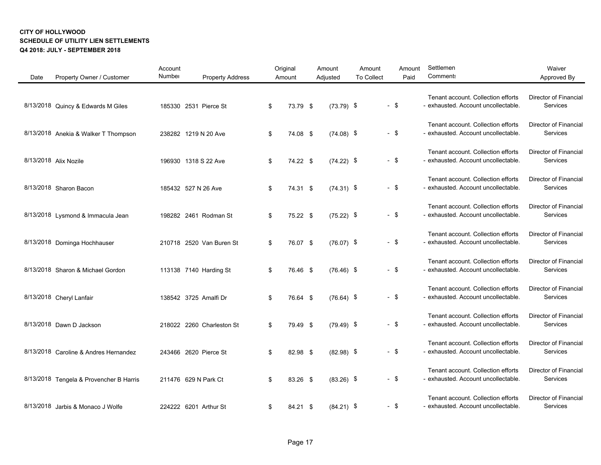| Date | Property Owner / Customer               | Account<br>Number | <b>Property Address</b>   | Original<br>Amount | Amount<br>Adjusted | Amount<br>To Collect | Amount<br>Paid | Settlemen<br>Comment:                                                     | Waiver<br>Approved By                    |
|------|-----------------------------------------|-------------------|---------------------------|--------------------|--------------------|----------------------|----------------|---------------------------------------------------------------------------|------------------------------------------|
|      | 8/13/2018 Quincy & Edwards M Giles      |                   | 185330 2531 Pierce St     | \$<br>73.79 \$     | $(73.79)$ \$       |                      | $-$ \$         | Tenant account. Collection efforts<br>- exhausted. Account uncollectable. | Director of Financial<br>Services        |
|      | 8/13/2018 Anekia & Walker T Thompson    |                   | 238282 1219 N 20 Ave      | \$<br>74.08 \$     | $(74.08)$ \$       |                      | $-$ \$         | Tenant account. Collection efforts<br>- exhausted. Account uncollectable. | Director of Financial<br>Services        |
|      | 8/13/2018 Alix Nozile                   |                   | 196930 1318 S 22 Ave      | \$<br>74.22 \$     | $(74.22)$ \$       |                      | $-$ \$         | Tenant account. Collection efforts<br>- exhausted. Account uncollectable. | Director of Financial<br>Services        |
|      | 8/13/2018 Sharon Bacon                  |                   | 185432 527 N 26 Ave       | \$<br>74.31 \$     | $(74.31)$ \$       |                      | $-$ \$         | Tenant account. Collection efforts<br>- exhausted. Account uncollectable. | <b>Director of Financial</b><br>Services |
|      | 8/13/2018 Lysmond & Immacula Jean       |                   | 198282 2461 Rodman St     | \$<br>75.22 \$     | $(75.22)$ \$       |                      | - \$           | Tenant account. Collection efforts<br>- exhausted. Account uncollectable. | <b>Director of Financial</b><br>Services |
|      | 8/13/2018 Dominga Hochhauser            |                   | 210718 2520 Van Buren St  | \$<br>76.07 \$     | $(76.07)$ \$       |                      | $-$ \$         | Tenant account. Collection efforts<br>- exhausted. Account uncollectable. | Director of Financial<br>Services        |
|      | 8/13/2018 Sharon & Michael Gordon       |                   | 113138 7140 Harding St    | \$<br>76.46 \$     | $(76.46)$ \$       |                      | $-$ \$         | Tenant account. Collection efforts<br>- exhausted. Account uncollectable. | <b>Director of Financial</b><br>Services |
|      | 8/13/2018 Cheryl Lanfair                |                   | 138542 3725 Amalfi Dr     | \$<br>76.64 \$     | $(76.64)$ \$       |                      | - \$           | Tenant account. Collection efforts<br>- exhausted. Account uncollectable. | <b>Director of Financial</b><br>Services |
|      | 8/13/2018 Dawn D Jackson                |                   | 218022 2260 Charleston St | \$<br>79.49 \$     | $(79.49)$ \$       |                      | $-$ \$         | Tenant account. Collection efforts<br>- exhausted. Account uncollectable. | Director of Financial<br>Services        |
|      | 8/13/2018 Caroline & Andres Hernandez   |                   | 243466 2620 Pierce St     | \$<br>82.98 \$     | $(82.98)$ \$       |                      | $-$ \$         | Tenant account. Collection efforts<br>- exhausted. Account uncollectable. | <b>Director of Financial</b><br>Services |
|      | 8/13/2018 Tengela & Provencher B Harris |                   | 211476 629 N Park Ct      | \$<br>83.26 \$     | $(83.26)$ \$       |                      | - \$           | Tenant account. Collection efforts<br>- exhausted. Account uncollectable. | <b>Director of Financial</b><br>Services |
|      | 8/13/2018 Jarbis & Monaco J Wolfe       |                   | 224222 6201 Arthur St     | \$<br>84.21 \$     | $(84.21)$ \$       |                      | - \$           | Tenant account. Collection efforts<br>- exhausted. Account uncollectable. | Director of Financial<br>Services        |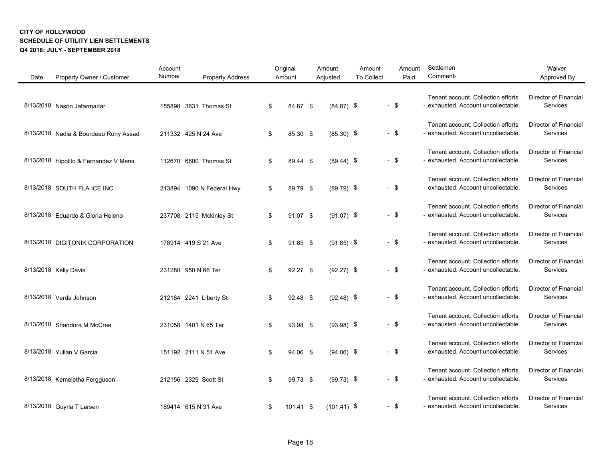| Date | Property Owner / Customer             | Account<br>Number         | <b>Property Address</b> | Original<br>Amount | Amount<br>Adjusted | Amount<br><b>To Collect</b> | Amount<br>Paid | Settlemen<br><b>Comments</b>                                              | Waiver<br>Approved By                    |
|------|---------------------------------------|---------------------------|-------------------------|--------------------|--------------------|-----------------------------|----------------|---------------------------------------------------------------------------|------------------------------------------|
|      | 8/13/2018 Nasrin Jafarmadar           | 155898 3631 Thomas St     |                         | \$<br>84.87 \$     | $(84.87)$ \$       |                             | $-$ \$         | Tenant account. Collection efforts<br>- exhausted. Account uncollectable. | Director of Financial<br>Services        |
|      | 8/13/2018 Nadia & Bourdeau Rony Assad | 211332 425 N 24 Ave       |                         | \$<br>85.30 \$     | $(85.30)$ \$       |                             | $-$ \$         | Tenant account. Collection efforts<br>- exhausted. Account uncollectable. | Director of Financial<br>Services        |
|      | 8/13/2018 Hipolito & Fernandez V Mena | 112670 6600 Thomas St     |                         | \$<br>89.44 \$     | $(89.44)$ \$       |                             | $-$ \$         | Tenant account. Collection efforts<br>- exhausted. Account uncollectable. | Director of Financial<br>Services        |
|      | 8/13/2018 SOUTH FLA ICE INC           | 213894 1090 N Federal Hwy |                         | \$<br>89.79 \$     | $(89.79)$ \$       |                             | $-$ \$         | Tenant account. Collection efforts<br>- exhausted. Account uncollectable. | <b>Director of Financial</b><br>Services |
|      | 8/13/2018 Eduardo & Gloria Heleno     | 237708 2115 Mckinley St   |                         | \$<br>91.07 \$     | $(91.07)$ \$       |                             | $-$ \$         | Tenant account. Collection efforts<br>- exhausted. Account uncollectable. | <b>Director of Financial</b><br>Services |
|      | 8/13/2018 DIGITONIK CORPORATION       | 178914 419 S 21 Ave       |                         | \$<br>91.85 \$     | $(91.85)$ \$       |                             | $-$ \$         | Tenant account. Collection efforts<br>- exhausted. Account uncollectable. | Director of Financial<br>Services        |
|      | 8/13/2018 Kelly Davis                 | 231280 950 N 66 Ter       |                         | \$<br>$92.27$ \$   | $(92.27)$ \$       |                             | $-$ \$         | Tenant account. Collection efforts<br>- exhausted. Account uncollectable. | Director of Financial<br>Services        |
|      | 8/13/2018 Verda Johnson               | 212184 2241 Liberty St    |                         | \$<br>92.48 \$     | $(92.48)$ \$       |                             | $-$ \$         | Tenant account. Collection efforts<br>- exhausted. Account uncollectable. | <b>Director of Financial</b><br>Services |
|      | 8/13/2018 Shandora M McCree           | 231058 1401 N 65 Ter      |                         | \$<br>93.98 \$     | $(93.98)$ \$       |                             | $-$ \$         | Tenant account. Collection efforts<br>- exhausted. Account uncollectable. | Director of Financial<br>Services        |
|      | 8/13/2018 Yulian V Garcia             | 151192 2111 N 51 Ave      |                         | \$<br>94.06 \$     | $(94.06)$ \$       |                             | $-$ \$         | Tenant account. Collection efforts<br>- exhausted. Account uncollectable. | Director of Financial<br>Services        |
|      | 8/13/2018 Kemeletha Fergguson         | 212156 2329 Scott St      |                         | \$<br>99.73 \$     | $(99.73)$ \$       |                             | $-$ \$         | Tenant account. Collection efforts<br>- exhausted. Account uncollectable. | <b>Director of Financial</b><br>Services |
|      | 8/13/2018 Guyrla T Larsen             | 189414 615 N 31 Ave       |                         | \$<br>$101.41$ \$  | $(101.41)$ \$      |                             | $-$ \$         | Tenant account. Collection efforts<br>- exhausted. Account uncollectable. | Director of Financial<br>Services        |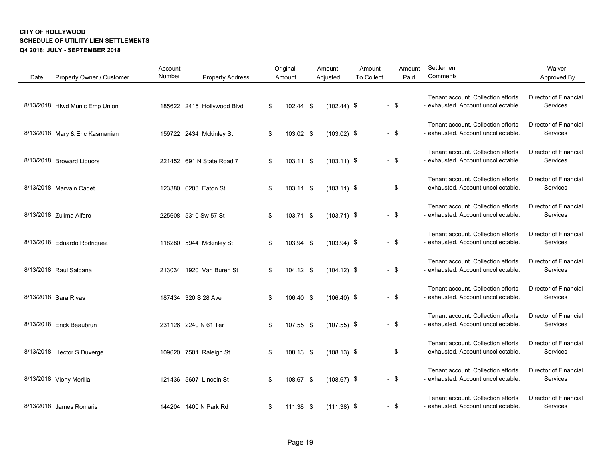| Date | Property Owner / Customer       | Account<br>Number | <b>Property Address</b>    | Original<br>Amount | Amount<br>Adjusted | Amount<br><b>To Collect</b> | Amount<br>Paid | Settlemen<br><b>Comment:</b>                                              | Waiver<br>Approved By                    |
|------|---------------------------------|-------------------|----------------------------|--------------------|--------------------|-----------------------------|----------------|---------------------------------------------------------------------------|------------------------------------------|
|      | 8/13/2018 Hlwd Munic Emp Union  |                   | 185622 2415 Hollywood Blvd | \$<br>102.44 \$    | $(102.44)$ \$      |                             | $-$ \$         | Tenant account. Collection efforts<br>- exhausted. Account uncollectable. | <b>Director of Financial</b><br>Services |
|      | 8/13/2018 Mary & Eric Kasmanian |                   | 159722 2434 Mckinley St    | \$<br>103.02 \$    | $(103.02)$ \$      |                             | $-$ \$         | Tenant account. Collection efforts<br>- exhausted. Account uncollectable. | Director of Financial<br>Services        |
|      | 8/13/2018 Broward Liquors       |                   | 221452 691 N State Road 7  | \$<br>103.11 \$    | $(103.11)$ \$      |                             | $-$ \$         | Tenant account. Collection efforts<br>- exhausted. Account uncollectable. | Director of Financial<br>Services        |
|      | 8/13/2018 Marvain Cadet         |                   | 123380 6203 Eaton St       | \$<br>103.11 \$    | $(103.11)$ \$      |                             | $-$ \$         | Tenant account. Collection efforts<br>- exhausted. Account uncollectable. | <b>Director of Financial</b><br>Services |
|      | 8/13/2018 Zulima Alfaro         |                   | 225608 5310 Sw 57 St       | \$<br>103.71 \$    | $(103.71)$ \$      |                             | $-$ \$         | Tenant account. Collection efforts<br>- exhausted. Account uncollectable. | <b>Director of Financial</b><br>Services |
|      | 8/13/2018 Eduardo Rodriquez     |                   | 118280 5944 Mckinley St    | \$<br>103.94 \$    | $(103.94)$ \$      |                             | $-$ \$         | Tenant account. Collection efforts<br>- exhausted. Account uncollectable. | Director of Financial<br>Services        |
|      | 8/13/2018 Raul Saldana          |                   | 213034 1920 Van Buren St   | \$<br>104.12 \$    | $(104.12)$ \$      |                             | $-$ \$         | Tenant account. Collection efforts<br>- exhausted. Account uncollectable. | <b>Director of Financial</b><br>Services |
|      | 8/13/2018 Sara Rivas            |                   | 187434 320 S 28 Ave        | \$<br>106.40 \$    | $(106.40)$ \$      |                             | $-$ \$         | Tenant account. Collection efforts<br>- exhausted. Account uncollectable. | <b>Director of Financial</b><br>Services |
|      | 8/13/2018 Erick Beaubrun        |                   | 231126 2240 N 61 Ter       | \$<br>107.55 \$    | $(107.55)$ \$      |                             | $-$ \$         | Tenant account. Collection efforts<br>- exhausted. Account uncollectable. | Director of Financial<br>Services        |
|      | 8/13/2018 Hector S Duverge      |                   | 109620 7501 Raleigh St     | \$<br>108.13 \$    | $(108.13)$ \$      |                             | $-$ \$         | Tenant account. Collection efforts<br>- exhausted. Account uncollectable. | Director of Financial<br>Services        |
|      | 8/13/2018 Viony Merilia         |                   | 121436 5607 Lincoln St     | \$<br>108.67 \$    | $(108.67)$ \$      |                             | $-$ \$         | Tenant account. Collection efforts<br>- exhausted. Account uncollectable. | <b>Director of Financial</b><br>Services |
|      | 8/13/2018 James Romaris         |                   | 144204 1400 N Park Rd      | \$<br>111.38 \$    | $(111.38)$ \$      |                             | $-$ \$         | Tenant account. Collection efforts<br>- exhausted. Account uncollectable. | Director of Financial<br>Services        |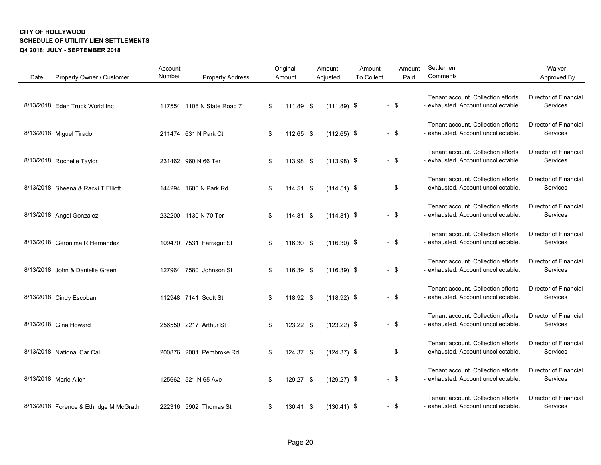| Date | Property Owner / Customer              | Account<br>Number | <b>Property Address</b>    | Original<br>Amount | Amount<br>Adjusted | Amount<br><b>To Collect</b> | Amount<br>Paid | Settlemen<br><b>Comment:</b>                                              | Waiver<br>Approved By                    |
|------|----------------------------------------|-------------------|----------------------------|--------------------|--------------------|-----------------------------|----------------|---------------------------------------------------------------------------|------------------------------------------|
|      | 8/13/2018 Eden Truck World Inc         |                   | 117554 1108 N State Road 7 | \$<br>111.89 \$    | $(111.89)$ \$      |                             | $-$ \$         | Tenant account. Collection efforts<br>- exhausted. Account uncollectable. | Director of Financial<br>Services        |
|      | 8/13/2018 Miguel Tirado                |                   | 211474 631 N Park Ct       | \$<br>112.65 \$    | $(112.65)$ \$      |                             | $-$ \$         | Tenant account. Collection efforts<br>- exhausted. Account uncollectable. | Director of Financial<br>Services        |
|      | 8/13/2018 Rochelle Taylor              |                   | 231462 960 N 66 Ter        | \$<br>113.98 \$    | $(113.98)$ \$      |                             | $-$ \$         | Tenant account. Collection efforts<br>- exhausted. Account uncollectable. | <b>Director of Financial</b><br>Services |
|      | 8/13/2018 Sheena & Racki T Elliott     |                   | 144294 1600 N Park Rd      | \$<br>$114.51$ \$  | $(114.51)$ \$      |                             | $-$ \$         | Tenant account. Collection efforts<br>- exhausted. Account uncollectable. | <b>Director of Financial</b><br>Services |
|      | 8/13/2018 Angel Gonzalez               |                   | 232200 1130 N 70 Ter       | \$<br>114.81 \$    | $(114.81)$ \$      |                             | $-$ \$         | Tenant account. Collection efforts<br>- exhausted. Account uncollectable. | Director of Financial<br>Services        |
|      | 8/13/2018 Geronima R Hernandez         |                   | 109470 7531 Farragut St    | \$<br>116.30 \$    | $(116.30)$ \$      |                             | $-$ \$         | Tenant account. Collection efforts<br>- exhausted. Account uncollectable. | <b>Director of Financial</b><br>Services |
|      | 8/13/2018 John & Danielle Green        |                   | 127964 7580 Johnson St     | \$<br>116.39 \$    | $(116.39)$ \$      |                             | $-$ \$         | Tenant account. Collection efforts<br>- exhausted. Account uncollectable. | Director of Financial<br>Services        |
|      | 8/13/2018 Cindy Escoban                |                   | 112948 7141 Scott St       | \$<br>118.92 \$    | $(118.92)$ \$      |                             | $-$ \$         | Tenant account. Collection efforts<br>- exhausted. Account uncollectable. | Director of Financial<br>Services        |
|      | 8/13/2018 Gina Howard                  |                   | 256550 2217 Arthur St      | \$<br>123.22 \$    | $(123.22)$ \$      |                             | $-$ \$         | Tenant account. Collection efforts<br>- exhausted. Account uncollectable. | <b>Director of Financial</b><br>Services |
|      | 8/13/2018 National Car Cal             |                   | 200876 2001 Pembroke Rd    | \$<br>124.37 \$    | $(124.37)$ \$      |                             | $-$ \$         | Tenant account. Collection efforts<br>- exhausted. Account uncollectable. | Director of Financial<br>Services        |
|      | 8/13/2018 Marie Allen                  |                   | 125662 521 N 65 Ave        | \$<br>129.27 \$    | $(129.27)$ \$      |                             | $-$ \$         | Tenant account. Collection efforts<br>- exhausted. Account uncollectable. | Director of Financial<br>Services        |
|      | 8/13/2018 Forence & Ethridge M McGrath |                   | 222316 5902 Thomas St      | \$<br>130.41 \$    | $(130.41)$ \$      |                             | $-$ \$         | Tenant account. Collection efforts<br>- exhausted. Account uncollectable. | <b>Director of Financial</b><br>Services |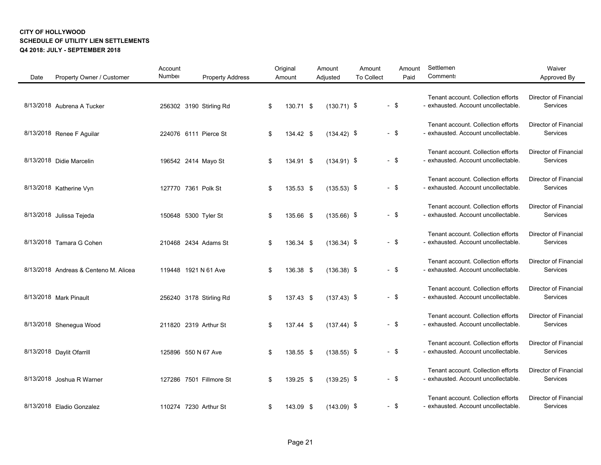| Date | Property Owner / Customer             | Account<br>Number    | <b>Property Address</b> | Original<br>Amount | Amount<br>Adjusted | Amount<br><b>To Collect</b> |        | Amount<br>Paid | Settlemen<br>Comment:                                                     | Waiver<br>Approved By                    |
|------|---------------------------------------|----------------------|-------------------------|--------------------|--------------------|-----------------------------|--------|----------------|---------------------------------------------------------------------------|------------------------------------------|
|      | 8/13/2018 Aubrena A Tucker            |                      | 256302 3190 Stirling Rd | \$<br>130.71 \$    | $(130.71)$ \$      |                             | $-$ \$ |                | Tenant account. Collection efforts<br>- exhausted. Account uncollectable. | Director of Financial<br>Services        |
|      | 8/13/2018 Renee F Aguilar             |                      | 224076 6111 Pierce St   | \$<br>134.42 \$    | $(134.42)$ \$      |                             | $-$ \$ |                | Tenant account. Collection efforts<br>- exhausted. Account uncollectable. | Director of Financial<br>Services        |
|      | 8/13/2018 Didie Marcelin              |                      | 196542 2414 Mayo St     | \$<br>134.91 \$    | $(134.91)$ \$      |                             | $-$ \$ |                | Tenant account. Collection efforts<br>- exhausted. Account uncollectable. | Director of Financial<br>Services        |
|      | 8/13/2018 Katherine Vyn               | 127770 7361 Polk St  |                         | \$<br>135.53 \$    | $(135.53)$ \$      |                             | $-$ \$ |                | Tenant account. Collection efforts<br>- exhausted. Account uncollectable. | Director of Financial<br>Services        |
|      | 8/13/2018 Julissa Tejeda              | 150648 5300 Tyler St |                         | \$<br>135.66 \$    | $(135.66)$ \$      |                             | $-$ \$ |                | Tenant account. Collection efforts<br>- exhausted. Account uncollectable. | Director of Financial<br>Services        |
|      | 8/13/2018 Tamara G Cohen              |                      | 210468 2434 Adams St    | \$<br>136.34 \$    | $(136.34)$ \$      |                             | - \$   |                | Tenant account. Collection efforts<br>- exhausted. Account uncollectable. | <b>Director of Financial</b><br>Services |
|      | 8/13/2018 Andreas & Centeno M. Alicea |                      | 119448 1921 N 61 Ave    | \$<br>136.38 \$    | $(136.38)$ \$      |                             | $-$ \$ |                | Tenant account. Collection efforts<br>- exhausted. Account uncollectable. | <b>Director of Financial</b><br>Services |
|      | 8/13/2018 Mark Pinault                |                      | 256240 3178 Stirling Rd | \$<br>137.43 \$    | $(137.43)$ \$      |                             | $-$ \$ |                | Tenant account. Collection efforts<br>- exhausted. Account uncollectable. | Director of Financial<br>Services        |
|      | 8/13/2018 Shenegua Wood               |                      | 211820 2319 Arthur St   | \$<br>137.44 \$    | $(137.44)$ \$      |                             | - \$   |                | Tenant account. Collection efforts<br>- exhausted. Account uncollectable. | Director of Financial<br>Services        |
|      | 8/13/2018 Daylit Ofarrill             | 125896 550 N 67 Ave  |                         | \$<br>138.55 \$    | $(138.55)$ \$      |                             | $-$ \$ |                | Tenant account. Collection efforts<br>- exhausted. Account uncollectable. | <b>Director of Financial</b><br>Services |
|      | 8/13/2018 Joshua R Warner             |                      | 127286 7501 Fillmore St | \$<br>139.25 \$    | $(139.25)$ \$      |                             | $-$ \$ |                | Tenant account. Collection efforts<br>- exhausted. Account uncollectable. | Director of Financial<br>Services        |
|      | 8/13/2018 Eladio Gonzalez             |                      | 110274 7230 Arthur St   | \$<br>143.09 \$    | $(143.09)$ \$      |                             | - \$   |                | Tenant account. Collection efforts<br>- exhausted. Account uncollectable. | Director of Financial<br>Services        |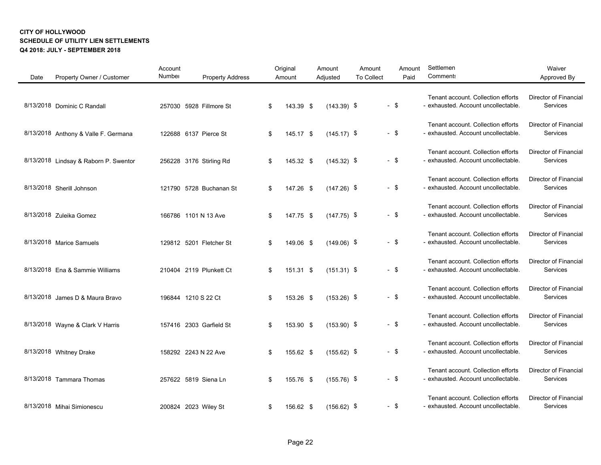| Date | Property Owner / Customer             | Account<br>Number | <b>Property Address</b> | Original<br>Amount | Amount<br>Adjusted | Amount<br><b>To Collect</b> | Amount<br>Paid | Settlemen<br><b>Comment:</b>                                              | Waiver<br>Approved By                    |
|------|---------------------------------------|-------------------|-------------------------|--------------------|--------------------|-----------------------------|----------------|---------------------------------------------------------------------------|------------------------------------------|
|      | 8/13/2018 Dominic C Randall           |                   | 257030 5928 Fillmore St | \$<br>143.39 \$    | $(143.39)$ \$      |                             | $-$ \$         | Tenant account. Collection efforts<br>- exhausted. Account uncollectable. | <b>Director of Financial</b><br>Services |
|      | 8/13/2018 Anthony & Valle F. Germana  |                   | 122688 6137 Pierce St   | \$<br>145.17 \$    | $(145.17)$ \$      |                             | $-$ \$         | Tenant account. Collection efforts<br>- exhausted. Account uncollectable. | <b>Director of Financial</b><br>Services |
|      | 8/13/2018 Lindsay & Raborn P. Swentor |                   | 256228 3176 Stirling Rd | \$<br>145.32 \$    | $(145.32)$ \$      |                             | $-$ \$         | Tenant account. Collection efforts<br>- exhausted. Account uncollectable. | Director of Financial<br>Services        |
|      | 8/13/2018 Sherill Johnson             |                   | 121790 5728 Buchanan St | \$<br>147.26 \$    | $(147.26)$ \$      |                             | $-$ \$         | Tenant account. Collection efforts<br>- exhausted. Account uncollectable. | Director of Financial<br>Services        |
|      | 8/13/2018 Zuleika Gomez               |                   | 166786 1101 N 13 Ave    | \$<br>147.75 \$    | $(147.75)$ \$      |                             | $-$ \$         | Tenant account. Collection efforts<br>- exhausted. Account uncollectable. | Director of Financial<br>Services        |
|      | 8/13/2018 Marice Samuels              |                   | 129812 5201 Fletcher St | \$<br>149.06 \$    | $(149.06)$ \$      |                             | $-$ \$         | Tenant account. Collection efforts<br>- exhausted. Account uncollectable. | <b>Director of Financial</b><br>Services |
|      | 8/13/2018 Ena & Sammie Williams       |                   | 210404 2119 Plunkett Ct | \$<br>151.31 \$    | $(151.31)$ \$      |                             | $-$ \$         | Tenant account. Collection efforts<br>- exhausted. Account uncollectable. | <b>Director of Financial</b><br>Services |
|      | 8/13/2018 James D & Maura Bravo       |                   | 196844 1210 S 22 Ct     | \$<br>153.26 \$    | $(153.26)$ \$      |                             | $-$ \$         | Tenant account. Collection efforts<br>- exhausted. Account uncollectable. | Director of Financial<br>Services        |
|      | 8/13/2018 Wayne & Clark V Harris      |                   | 157416 2303 Garfield St | \$<br>153.90 \$    | $(153.90)$ \$      |                             | $-$ \$         | Tenant account. Collection efforts<br>- exhausted. Account uncollectable. | Director of Financial<br>Services        |
|      | 8/13/2018 Whitney Drake               |                   | 158292 2243 N 22 Ave    | \$<br>155.62 \$    | $(155.62)$ \$      |                             | $-$ \$         | Tenant account. Collection efforts<br>- exhausted. Account uncollectable. | <b>Director of Financial</b><br>Services |
|      | 8/13/2018 Tammara Thomas              |                   | 257622 5819 Siena Ln    | \$<br>155.76 \$    | $(155.76)$ \$      |                             | $-$ \$         | Tenant account. Collection efforts<br>- exhausted. Account uncollectable. | <b>Director of Financial</b><br>Services |
|      | 8/13/2018 Mihai Simionescu            |                   | 200824 2023 Wiley St    | \$<br>156.62 \$    | $(156.62)$ \$      |                             | $-$ \$         | Tenant account. Collection efforts<br>- exhausted. Account uncollectable. | Director of Financial<br>Services        |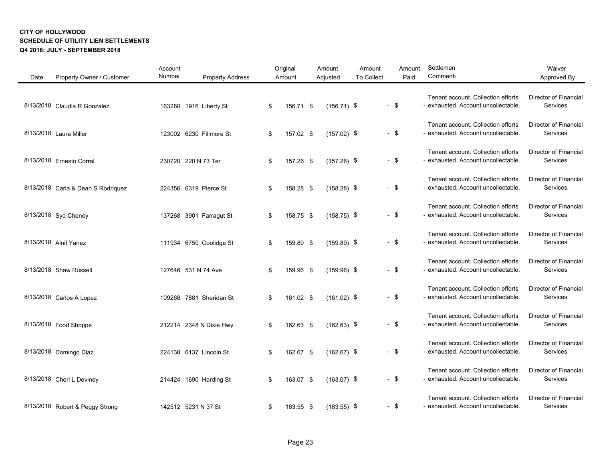| Date | Property Owner / Customer          | Account<br>Number | <b>Property Address</b> | Original<br>Amount | Amount<br>Adjusted | Amount<br><b>To Collect</b> | Amount<br>Paid | Settlemen<br>Comment:                                                     | Waiver<br>Approved By                    |
|------|------------------------------------|-------------------|-------------------------|--------------------|--------------------|-----------------------------|----------------|---------------------------------------------------------------------------|------------------------------------------|
|      | 8/13/2018 Claudia R Gonzalez       |                   | 163260 1916 Liberty St  | \$<br>156.71 \$    | $(156.71)$ \$      |                             | $-$ \$         | Tenant account. Collection efforts<br>- exhausted. Account uncollectable. | Director of Financial<br>Services        |
|      | 8/13/2018 Laura Miller             |                   | 123002 6230 Fillmore St | \$<br>157.02 \$    | $(157.02)$ \$      |                             | $-$ \$         | Tenant account. Collection efforts<br>- exhausted. Account uncollectable. | Director of Financial<br>Services        |
|      | 8/13/2018 Ernesto Corral           |                   | 230720 220 N 73 Ter     | \$<br>157.26 \$    | $(157.26)$ \$      |                             | $-$ \$         | Tenant account. Collection efforts<br>- exhausted. Account uncollectable. | Director of Financial<br>Services        |
|      | 8/13/2018 Carla & Dean S Rodriquez |                   | 224356 6319 Pierce St   | \$<br>158.28 \$    | $(158.28)$ \$      |                             | $-$ \$         | Tenant account. Collection efforts<br>- exhausted. Account uncollectable. | Director of Financial<br>Services        |
|      | 8/13/2018 Syd Chenoy               |                   | 137268 3901 Farragut St | \$<br>158.75 \$    | $(158.75)$ \$      |                             | $-$ \$         | Tenant account. Collection efforts<br>- exhausted. Account uncollectable. | Director of Financial<br>Services        |
|      | 8/13/2018 Alnif Yanez              |                   | 111934 6750 Coolidge St | \$<br>159.89 \$    | $(159.89)$ \$      |                             | - \$           | Tenant account. Collection efforts<br>- exhausted. Account uncollectable. | <b>Director of Financial</b><br>Services |
|      | 8/13/2018 Shaw Russell             |                   | 127646 531 N 74 Ave     | \$<br>159.96 \$    | $(159.96)$ \$      |                             | $-$ \$         | Tenant account. Collection efforts<br>- exhausted. Account uncollectable. | <b>Director of Financial</b><br>Services |
|      | 8/13/2018 Carlos A Lopez           |                   | 109268 7881 Sheridan St | \$<br>161.02 \$    | $(161.02)$ \$      |                             | $-$ \$         | Tenant account. Collection efforts<br>- exhausted. Account uncollectable. | Director of Financial<br>Services        |
|      | 8/13/2018 Food Shoppe              |                   | 212214 2348 N Dixie Hwy | \$<br>162.63 \$    | $(162.63)$ \$      |                             | - \$           | Tenant account. Collection efforts<br>- exhausted. Account uncollectable. | Director of Financial<br>Services        |
|      | 8/13/2018 Domingo Diaz             |                   | 224138 6137 Lincoln St  | \$<br>162.67 \$    | $(162.67)$ \$      |                             | $-$ \$         | Tenant account. Collection efforts<br>- exhausted. Account uncollectable. | <b>Director of Financial</b><br>Services |
|      | 8/13/2018 Cherl L Deviney          |                   | 214424 1690 Harding St  | \$<br>163.07 \$    | $(163.07)$ \$      |                             | $-$ \$         | Tenant account. Collection efforts<br>- exhausted. Account uncollectable. | Director of Financial<br>Services        |
|      | 8/13/2018 Robert & Peggy Strong    |                   | 142512 5231 N 37 St     | \$<br>163.55 \$    | $(163.55)$ \$      |                             | - \$           | Tenant account. Collection efforts<br>- exhausted. Account uncollectable. | Director of Financial<br>Services        |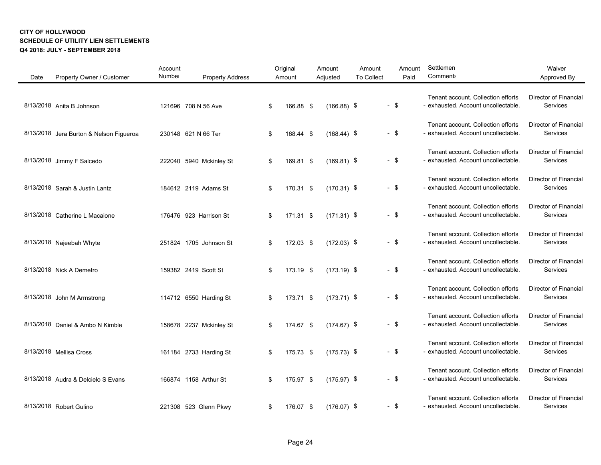| Date | Property Owner / Customer               | Account<br>Number | <b>Property Address</b> | Original<br>Amount | Amount<br>Adjusted | Amount<br><b>To Collect</b> | Amount<br>Paid | Settlemen<br>Comment:                                                     | Waiver<br>Approved By                    |
|------|-----------------------------------------|-------------------|-------------------------|--------------------|--------------------|-----------------------------|----------------|---------------------------------------------------------------------------|------------------------------------------|
|      | 8/13/2018 Anita B Johnson               |                   | 121696 708 N 56 Ave     | \$<br>166.88 \$    | $(166.88)$ \$      |                             | $-$ \$         | Tenant account. Collection efforts<br>- exhausted. Account uncollectable. | Director of Financial<br>Services        |
|      | 8/13/2018 Jera Burton & Nelson Figueroa |                   | 230148 621 N 66 Ter     | \$<br>168.44 \$    | $(168.44)$ \$      |                             | $-$ \$         | Tenant account. Collection efforts<br>- exhausted. Account uncollectable. | Director of Financial<br>Services        |
|      | 8/13/2018 Jimmy F Salcedo               |                   | 222040 5940 Mckinley St | \$<br>169.81 \$    | $(169.81)$ \$      |                             | $-$ \$         | Tenant account. Collection efforts<br>- exhausted. Account uncollectable. | Director of Financial<br>Services        |
|      | 8/13/2018 Sarah & Justin Lantz          |                   | 184612 2119 Adams St    | \$<br>170.31 \$    | $(170.31)$ \$      |                             | $-$ \$         | Tenant account. Collection efforts<br>- exhausted. Account uncollectable. | Director of Financial<br>Services        |
|      | 8/13/2018 Catherine L Macaione          |                   | 176476 923 Harrison St  | \$<br>171.31 \$    | $(171.31)$ \$      |                             | $-$ \$         | Tenant account. Collection efforts<br>- exhausted. Account uncollectable. | Director of Financial<br>Services        |
|      | 8/13/2018 Najeebah Whyte                |                   | 251824 1705 Johnson St  | \$<br>172.03 \$    | $(172.03)$ \$      |                             | - \$           | Tenant account. Collection efforts<br>- exhausted. Account uncollectable. | <b>Director of Financial</b><br>Services |
|      | 8/13/2018 Nick A Demetro                |                   | 159382 2419 Scott St    | \$<br>173.19 \$    | $(173.19)$ \$      |                             | $-$ \$         | Tenant account. Collection efforts<br>- exhausted. Account uncollectable. | <b>Director of Financial</b><br>Services |
|      | 8/13/2018 John M Armstrong              |                   | 114712 6550 Harding St  | \$<br>173.71 \$    | $(173.71)$ \$      |                             | $-$ \$         | Tenant account. Collection efforts<br>- exhausted. Account uncollectable. | Director of Financial<br>Services        |
|      | 8/13/2018 Daniel & Ambo N Kimble        |                   | 158678 2237 Mckinley St | \$<br>174.67 \$    | $(174.67)$ \$      |                             | $-$ \$         | Tenant account. Collection efforts<br>- exhausted. Account uncollectable. | Director of Financial<br>Services        |
|      | 8/13/2018 Mellisa Cross                 |                   | 161184 2733 Harding St  | \$<br>175.73 \$    | $(175.73)$ \$      |                             | $-$ \$         | Tenant account. Collection efforts<br>- exhausted. Account uncollectable. | <b>Director of Financial</b><br>Services |
|      | 8/13/2018 Audra & Delcielo S Evans      |                   | 166874 1158 Arthur St   | \$<br>175.97 \$    | $(175.97)$ \$      |                             | - \$           | Tenant account. Collection efforts<br>- exhausted. Account uncollectable. | Director of Financial<br>Services        |
|      | 8/13/2018 Robert Gulino                 |                   | 221308 523 Glenn Pkwy   | \$<br>176.07 \$    | $(176.07)$ \$      |                             | - \$           | Tenant account. Collection efforts<br>- exhausted. Account uncollectable. | Director of Financial<br>Services        |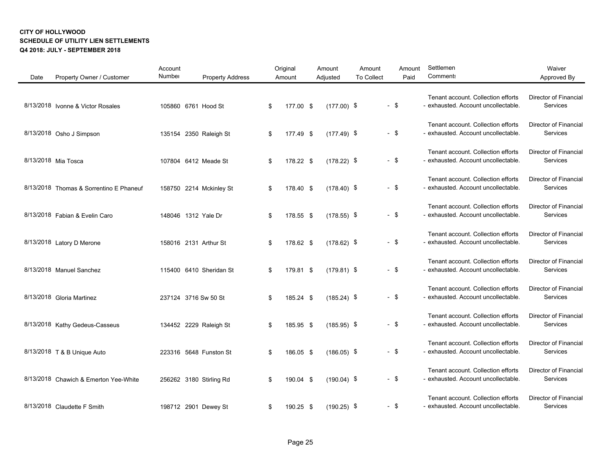| Date | Property Owner / Customer               | Account<br>Number | <b>Property Address</b> | Original<br>Amount | Amount<br>Adjusted | Amount<br><b>To Collect</b> | Amount<br>Paid | Settlemen<br>Comment:                                                     | Waiver<br>Approved By                    |
|------|-----------------------------------------|-------------------|-------------------------|--------------------|--------------------|-----------------------------|----------------|---------------------------------------------------------------------------|------------------------------------------|
|      | 8/13/2018 Ivonne & Victor Rosales       |                   | 105860 6761 Hood St     | \$<br>177.00 \$    | $(177.00)$ \$      |                             | $-$ \$         | Tenant account. Collection efforts<br>- exhausted. Account uncollectable. | Director of Financial<br>Services        |
|      | 8/13/2018 Osho J Simpson                |                   | 135154 2350 Raleigh St  | \$<br>177.49 \$    | $(177.49)$ \$      |                             | $-$ \$         | Tenant account. Collection efforts<br>- exhausted. Account uncollectable. | Director of Financial<br>Services        |
|      | 8/13/2018 Mia Tosca                     |                   | 107804 6412 Meade St    | \$<br>178.22 \$    | $(178.22)$ \$      |                             | $-$ \$         | Tenant account. Collection efforts<br>- exhausted. Account uncollectable. | Director of Financial<br>Services        |
|      | 8/13/2018 Thomas & Sorrentino E Phaneuf |                   | 158750 2214 Mckinley St | \$<br>178.40 \$    | $(178.40)$ \$      |                             | $-$ \$         | Tenant account. Collection efforts<br>- exhausted. Account uncollectable. | Director of Financial<br>Services        |
|      | 8/13/2018 Fabian & Evelin Caro          |                   | 148046 1312 Yale Dr     | \$<br>178.55 \$    | $(178.55)$ \$      |                             | $-$ \$         | Tenant account. Collection efforts<br>- exhausted. Account uncollectable. | Director of Financial<br>Services        |
|      | 8/13/2018 Latory D Merone               |                   | 158016 2131 Arthur St   | \$<br>178.62 \$    | $(178.62)$ \$      |                             | - \$           | Tenant account. Collection efforts<br>- exhausted. Account uncollectable. | <b>Director of Financial</b><br>Services |
|      | 8/13/2018 Manuel Sanchez                |                   | 115400 6410 Sheridan St | \$<br>179.81 \$    | $(179.81)$ \$      |                             | $-$ \$         | Tenant account. Collection efforts<br>- exhausted. Account uncollectable. | <b>Director of Financial</b><br>Services |
|      | 8/13/2018 Gloria Martinez               |                   | 237124 3716 Sw 50 St    | \$<br>185.24 \$    | $(185.24)$ \$      |                             | $-$ \$         | Tenant account. Collection efforts<br>- exhausted. Account uncollectable. | Director of Financial<br>Services        |
|      | 8/13/2018 Kathy Gedeus-Casseus          |                   | 134452 2229 Raleigh St  | \$<br>185.95 \$    | $(185.95)$ \$      |                             | $-$ \$         | Tenant account. Collection efforts<br>- exhausted. Account uncollectable. | Director of Financial<br>Services        |
|      | 8/13/2018 T & B Unique Auto             |                   | 223316 5648 Funston St  | \$<br>186.05 \$    | $(186.05)$ \$      |                             | $-$ \$         | Tenant account. Collection efforts<br>- exhausted. Account uncollectable. | <b>Director of Financial</b><br>Services |
|      | 8/13/2018 Chawich & Emerton Yee-White   |                   | 256262 3180 Stirling Rd | \$<br>190.04 \$    | $(190.04)$ \$      |                             | $-$ \$         | Tenant account. Collection efforts<br>- exhausted. Account uncollectable. | Director of Financial<br>Services        |
|      | 8/13/2018 Claudette F Smith             |                   | 198712 2901 Dewey St    | \$<br>190.25 \$    | $(190.25)$ \$      |                             | - \$           | Tenant account. Collection efforts<br>- exhausted. Account uncollectable. | Director of Financial<br>Services        |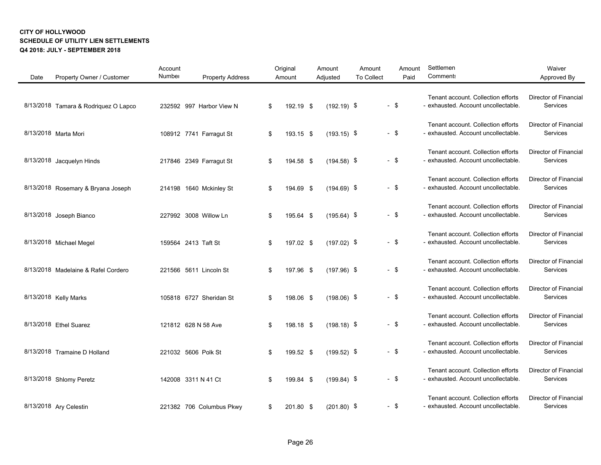| Date | Property Owner / Customer            | Account<br>Number | <b>Property Address</b>  | Original<br>Amount | Amount<br>Adjusted | Amount<br><b>To Collect</b> | Amount<br>Paid | Settlemen<br><b>Comment:</b>                                              | Waiver<br>Approved By                    |
|------|--------------------------------------|-------------------|--------------------------|--------------------|--------------------|-----------------------------|----------------|---------------------------------------------------------------------------|------------------------------------------|
|      | 8/13/2018 Tamara & Rodriquez O Lapco |                   | 232592 997 Harbor View N | \$<br>192.19 \$    | $(192.19)$ \$      |                             | $-$ \$         | Tenant account. Collection efforts<br>- exhausted. Account uncollectable. | <b>Director of Financial</b><br>Services |
|      | 8/13/2018 Marta Mori                 |                   | 108912 7741 Farragut St  | \$<br>193.15 \$    | $(193.15)$ \$      |                             | $-$ \$         | Tenant account. Collection efforts<br>- exhausted. Account uncollectable. | Director of Financial<br>Services        |
|      | 8/13/2018 Jacquelyn Hinds            |                   | 217846 2349 Farragut St  | \$<br>194.58 \$    | $(194.58)$ \$      |                             | $-$ \$         | Tenant account. Collection efforts<br>- exhausted. Account uncollectable. | Director of Financial<br>Services        |
|      | 8/13/2018 Rosemary & Bryana Joseph   |                   | 214198 1640 Mckinley St  | \$<br>194.69 \$    | $(194.69)$ \$      |                             | $-$ \$         | Tenant account. Collection efforts<br>- exhausted. Account uncollectable. | <b>Director of Financial</b><br>Services |
|      | 8/13/2018 Joseph Bianco              |                   | 227992 3008 Willow Ln    | \$<br>195.64 \$    | $(195.64)$ \$      |                             | $-$ \$         | Tenant account. Collection efforts<br>- exhausted. Account uncollectable. | <b>Director of Financial</b><br>Services |
|      | 8/13/2018 Michael Megel              |                   | 159564 2413 Taft St      | \$<br>197.02 \$    | $(197.02)$ \$      |                             | $-$ \$         | Tenant account. Collection efforts<br>- exhausted. Account uncollectable. | Director of Financial<br>Services        |
|      | 8/13/2018 Madelaine & Rafel Cordero  |                   | 221566 5611 Lincoln St   | \$<br>197.96 \$    | $(197.96)$ \$      |                             | $-$ \$         | Tenant account. Collection efforts<br>- exhausted. Account uncollectable. | <b>Director of Financial</b><br>Services |
|      | 8/13/2018 Kelly Marks                |                   | 105818 6727 Sheridan St  | \$<br>198.06 \$    | $(198.06)$ \$      |                             | $-$ \$         | Tenant account. Collection efforts<br>- exhausted. Account uncollectable. | Director of Financial<br>Services        |
|      | 8/13/2018 Ethel Suarez               |                   | 121812 628 N 58 Ave      | \$<br>198.18 \$    | $(198.18)$ \$      |                             | $-$ \$         | Tenant account. Collection efforts<br>- exhausted. Account uncollectable. | Director of Financial<br>Services        |
|      | 8/13/2018 Tramaine D Holland         |                   | 221032 5606 Polk St      | \$<br>199.52 \$    | $(199.52)$ \$      |                             | $-$ \$         | Tenant account. Collection efforts<br>- exhausted. Account uncollectable. | Director of Financial<br>Services        |
|      | 8/13/2018 Shlomy Peretz              |                   | 142008 3311 N 41 Ct      | \$<br>199.84 \$    | $(199.84)$ \$      |                             | $-$ \$         | Tenant account. Collection efforts<br>- exhausted. Account uncollectable. | <b>Director of Financial</b><br>Services |
|      | 8/13/2018 Ary Celestin               |                   | 221382 706 Columbus Pkwy | \$<br>201.80 \$    | $(201.80)$ \$      |                             | $-$ \$         | Tenant account. Collection efforts<br>- exhausted. Account uncollectable. | Director of Financial<br>Services        |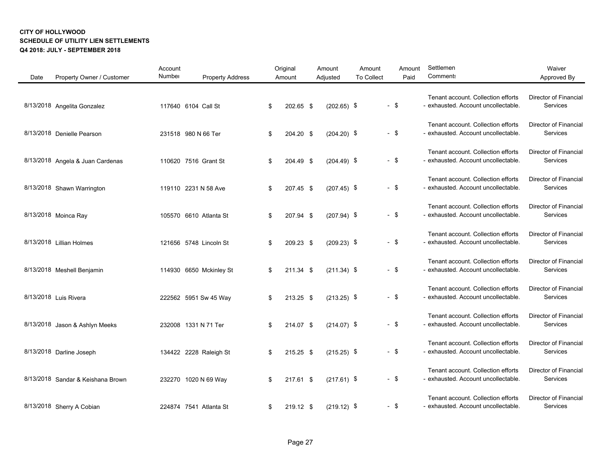| Date | Property Owner / Customer         | Account<br>Number | <b>Property Address</b> | Original<br>Amount | Amount<br>Adjusted | Amount<br><b>To Collect</b> |        | Amount<br>Paid | Settlemen<br>Comment:                                                     | Waiver<br>Approved By                    |
|------|-----------------------------------|-------------------|-------------------------|--------------------|--------------------|-----------------------------|--------|----------------|---------------------------------------------------------------------------|------------------------------------------|
|      | 8/13/2018 Angelita Gonzalez       |                   | 117640 6104 Call St     | \$<br>202.65 \$    | $(202.65)$ \$      |                             | $-$ \$ |                | Tenant account. Collection efforts<br>- exhausted. Account uncollectable. | <b>Director of Financial</b><br>Services |
|      | 8/13/2018 Denielle Pearson        |                   | 231518 980 N 66 Ter     | \$<br>204.20 \$    | $(204.20)$ \$      |                             | $-$ \$ |                | Tenant account. Collection efforts<br>- exhausted. Account uncollectable. | Director of Financial<br>Services        |
|      | 8/13/2018 Angela & Juan Cardenas  |                   | 110620 7516 Grant St    | \$<br>204.49 \$    | $(204.49)$ \$      |                             | $-$ \$ |                | Tenant account. Collection efforts<br>- exhausted. Account uncollectable. | Director of Financial<br>Services        |
|      | 8/13/2018 Shawn Warrington        |                   | 119110 2231 N 58 Ave    | \$<br>207.45 \$    | $(207.45)$ \$      |                             | $-$ \$ |                | Tenant account. Collection efforts<br>- exhausted. Account uncollectable. | <b>Director of Financial</b><br>Services |
|      | 8/13/2018 Moinca Ray              |                   | 105570 6610 Atlanta St  | \$<br>207.94 \$    | $(207.94)$ \$      |                             | $-$ \$ |                | Tenant account. Collection efforts<br>- exhausted. Account uncollectable. | <b>Director of Financial</b><br>Services |
|      | 8/13/2018 Lillian Holmes          |                   | 121656 5748 Lincoln St  | \$<br>209.23 \$    | $(209.23)$ \$      |                             | $-$ \$ |                | Tenant account. Collection efforts<br>- exhausted. Account uncollectable. | Director of Financial<br>Services        |
|      | 8/13/2018 Meshell Benjamin        |                   | 114930 6650 Mckinley St | \$<br>211.34 \$    | $(211.34)$ \$      |                             | $-$ \$ |                | Tenant account. Collection efforts<br>- exhausted. Account uncollectable. | <b>Director of Financial</b><br>Services |
|      | 8/13/2018 Luis Rivera             |                   | 222562 5951 Sw 45 Way   | \$<br>213.25 \$    | $(213.25)$ \$      |                             | $-$ \$ |                | Tenant account. Collection efforts<br>- exhausted. Account uncollectable. | Director of Financial<br>Services        |
|      | 8/13/2018 Jason & Ashlyn Meeks    |                   | 232008 1331 N 71 Ter    | \$<br>214.07 \$    | $(214.07)$ \$      |                             | $-$ \$ |                | Tenant account. Collection efforts<br>- exhausted. Account uncollectable. | Director of Financial<br>Services        |
|      | 8/13/2018 Darline Joseph          |                   | 134422 2228 Raleigh St  | \$<br>215.25 \$    | $(215.25)$ \$      |                             | $-$ \$ |                | Tenant account. Collection efforts<br>- exhausted. Account uncollectable. | Director of Financial<br>Services        |
|      | 8/13/2018 Sandar & Keishana Brown |                   | 232270 1020 N 69 Way    | \$<br>217.61 \$    | $(217.61)$ \$      |                             | $-$ \$ |                | Tenant account. Collection efforts<br>- exhausted. Account uncollectable. | <b>Director of Financial</b><br>Services |
|      | 8/13/2018 Sherry A Cobian         |                   | 224874 7541 Atlanta St  | \$<br>219.12 \$    | $(219.12)$ \$      |                             | - \$   |                | Tenant account. Collection efforts<br>- exhausted. Account uncollectable. | Director of Financial<br>Services        |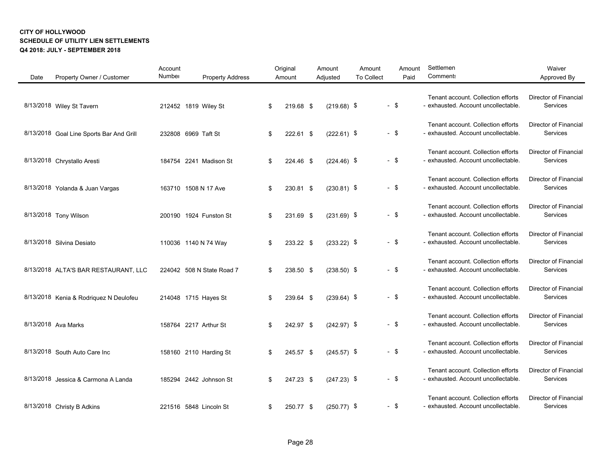| Date | Property Owner / Customer                | Account<br>Number | <b>Property Address</b>   | Original<br>Amount | Amount<br>Adjusted | Amount<br><b>To Collect</b> | Amount<br>Paid | Settlemen<br><b>Comment:</b>                                              | Waiver<br>Approved By                    |
|------|------------------------------------------|-------------------|---------------------------|--------------------|--------------------|-----------------------------|----------------|---------------------------------------------------------------------------|------------------------------------------|
|      | 8/13/2018 Wiley St Tavern                |                   | 212452 1819 Wiley St      | \$<br>219.68 \$    | $(219.68)$ \$      |                             | $-$ \$         | Tenant account. Collection efforts<br>- exhausted. Account uncollectable. | Director of Financial<br>Services        |
|      | 8/13/2018 Goal Line Sports Bar And Grill |                   | 232808 6969 Taft St       | \$<br>222.61 \$    | $(222.61)$ \$      |                             | $-$ \$         | Tenant account. Collection efforts<br>- exhausted. Account uncollectable. | Director of Financial<br>Services        |
|      | 8/13/2018 Chrystallo Aresti              |                   | 184754 2241 Madison St    | \$<br>224.46 \$    | $(224.46)$ \$      |                             | $-$ \$         | Tenant account. Collection efforts<br>- exhausted. Account uncollectable. | Director of Financial<br>Services        |
|      | 8/13/2018 Yolanda & Juan Vargas          |                   | 163710 1508 N 17 Ave      | \$<br>230.81 \$    | $(230.81)$ \$      |                             | $-$ \$         | Tenant account. Collection efforts<br>- exhausted. Account uncollectable. | <b>Director of Financial</b><br>Services |
|      | 8/13/2018 Tony Wilson                    |                   | 200190 1924 Funston St    | \$<br>231.69 \$    | $(231.69)$ \$      |                             | $-$ \$         | Tenant account. Collection efforts<br>- exhausted. Account uncollectable. | <b>Director of Financial</b><br>Services |
|      | 8/13/2018 Silvina Desiato                |                   | 110036 1140 N 74 Way      | \$<br>233.22 \$    | $(233.22)$ \$      |                             | $-$ \$         | Tenant account. Collection efforts<br>- exhausted. Account uncollectable. | Director of Financial<br>Services        |
|      | 8/13/2018 ALTA'S BAR RESTAURANT, LLC     |                   | 224042 508 N State Road 7 | \$<br>238.50 \$    | $(238.50)$ \$      |                             | $-$ \$         | Tenant account. Collection efforts<br>- exhausted. Account uncollectable. | <b>Director of Financial</b><br>Services |
|      | 8/13/2018 Kenia & Rodriguez N Deulofeu   |                   | 214048 1715 Hayes St      | \$<br>239.64 \$    | $(239.64)$ \$      |                             | $-$ \$         | Tenant account. Collection efforts<br>- exhausted. Account uncollectable. | Director of Financial<br>Services        |
|      | 8/13/2018 Ava Marks                      |                   | 158764 2217 Arthur St     | \$<br>242.97 \$    | $(242.97)$ \$      |                             | $-$ \$         | Tenant account. Collection efforts<br>- exhausted. Account uncollectable. | Director of Financial<br>Services        |
|      | 8/13/2018 South Auto Care Inc            |                   | 158160 2110 Harding St    | \$<br>245.57 \$    | $(245.57)$ \$      |                             | $-$ \$         | Tenant account. Collection efforts<br>- exhausted. Account uncollectable. | Director of Financial<br>Services        |
|      | 8/13/2018 Jessica & Carmona A Landa      |                   | 185294 2442 Johnson St    | \$<br>247.23 \$    | $(247.23)$ \$      |                             | $-$ \$         | Tenant account. Collection efforts<br>- exhausted. Account uncollectable. | <b>Director of Financial</b><br>Services |
|      | 8/13/2018 Christy B Adkins               |                   | 221516 5848 Lincoln St    | \$<br>250.77 \$    | $(250.77)$ \$      |                             | $-$ \$         | Tenant account. Collection efforts<br>- exhausted. Account uncollectable. | Director of Financial<br>Services        |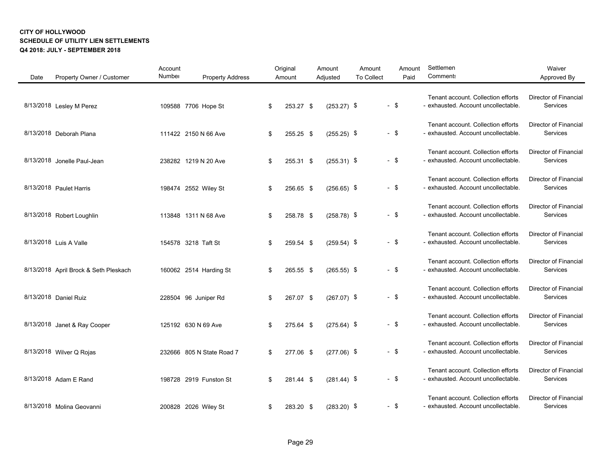| Date | Property Owner / Customer             | Account<br>Number | <b>Property Address</b>   | Original<br>Amount | Amount<br>Adjusted | Amount<br><b>To Collect</b> |        | Amount<br>Paid | Settlemen<br>Comment:                                                     | Waiver<br>Approved By                    |
|------|---------------------------------------|-------------------|---------------------------|--------------------|--------------------|-----------------------------|--------|----------------|---------------------------------------------------------------------------|------------------------------------------|
|      | 8/13/2018 Lesley M Perez              |                   | 109588 7706 Hope St       | \$<br>253.27 \$    | $(253.27)$ \$      |                             | $-$ \$ |                | Tenant account. Collection efforts<br>- exhausted. Account uncollectable. | Director of Financial<br>Services        |
|      | 8/13/2018 Deborah Plana               |                   | 111422 2150 N 66 Ave      | \$<br>255.25 \$    | $(255.25)$ \$      |                             | $-$ \$ |                | Tenant account. Collection efforts<br>- exhausted. Account uncollectable. | Director of Financial<br>Services        |
|      | 8/13/2018 Jonelle Paul-Jean           |                   | 238282 1219 N 20 Ave      | \$<br>255.31 \$    | $(255.31)$ \$      |                             | $-$ \$ |                | Tenant account. Collection efforts<br>- exhausted. Account uncollectable. | <b>Director of Financial</b><br>Services |
|      | 8/13/2018 Paulet Harris               |                   | 198474 2552 Wiley St      | \$<br>256.65 \$    | $(256.65)$ \$      |                             | $-$ \$ |                | Tenant account. Collection efforts<br>- exhausted. Account uncollectable. | <b>Director of Financial</b><br>Services |
|      | 8/13/2018 Robert Loughlin             |                   | 113848 1311 N 68 Ave      | \$<br>258.78 \$    | $(258.78)$ \$      |                             | $-$ \$ |                | Tenant account. Collection efforts<br>- exhausted. Account uncollectable. | Director of Financial<br>Services        |
|      | 8/13/2018 Luis A Valle                |                   | 154578 3218 Taft St       | \$<br>259.54 \$    | $(259.54)$ \$      |                             | $-$ \$ |                | Tenant account. Collection efforts<br>- exhausted. Account uncollectable. | <b>Director of Financial</b><br>Services |
|      | 8/13/2018 April Brock & Seth Pleskach |                   | 160062 2514 Harding St    | \$<br>265.55 \$    | $(265.55)$ \$      |                             | $-$ \$ |                | Tenant account. Collection efforts<br>- exhausted. Account uncollectable. | <b>Director of Financial</b><br>Services |
|      | 8/13/2018 Daniel Ruiz                 |                   | 228504 96 Juniper Rd      | \$<br>267.07 \$    | $(267.07)$ \$      |                             | $-$ \$ |                | Tenant account. Collection efforts<br>- exhausted. Account uncollectable. | Director of Financial<br>Services        |
|      | 8/13/2018 Janet & Ray Cooper          |                   | 125192 630 N 69 Ave       | \$<br>275.64 \$    | $(275.64)$ \$      |                             | $-$ \$ |                | Tenant account. Collection efforts<br>- exhausted. Account uncollectable. | <b>Director of Financial</b><br>Services |
|      | 8/13/2018 Wilver Q Rojas              |                   | 232666 805 N State Road 7 | \$<br>277.06 \$    | $(277.06)$ \$      |                             | $-$ \$ |                | Tenant account. Collection efforts<br>- exhausted. Account uncollectable. | Director of Financial<br>Services        |
|      | 8/13/2018 Adam E Rand                 |                   | 198728 2919 Funston St    | \$<br>281.44 \$    | $(281.44)$ \$      |                             | $-$ \$ |                | Tenant account. Collection efforts<br>- exhausted. Account uncollectable. | <b>Director of Financial</b><br>Services |
|      | 8/13/2018 Molina Geovanni             |                   | 200828 2026 Wiley St      | \$<br>283.20 \$    | $(283.20)$ \$      |                             | $-$ \$ |                | Tenant account. Collection efforts<br>- exhausted. Account uncollectable. | Director of Financial<br>Services        |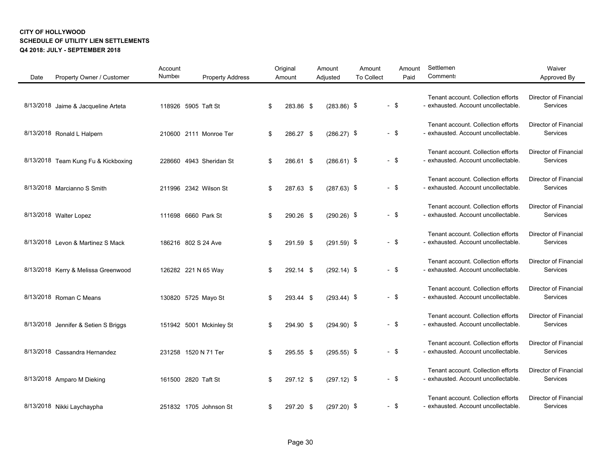| Date | Property Owner / Customer            | Account<br>Number | <b>Property Address</b> | Original<br>Amount | Amount<br>Adjusted | Amount<br><b>To Collect</b> | Amount<br>Paid | Settlemen<br><b>Comment:</b>                                              | Waiver<br>Approved By                    |
|------|--------------------------------------|-------------------|-------------------------|--------------------|--------------------|-----------------------------|----------------|---------------------------------------------------------------------------|------------------------------------------|
|      | 8/13/2018 Jaime & Jacqueline Arteta  |                   | 118926 5905 Taft St     | \$<br>283.86 \$    | $(283.86)$ \$      |                             | $-$ \$         | Tenant account. Collection efforts<br>- exhausted. Account uncollectable. | <b>Director of Financial</b><br>Services |
|      | 8/13/2018 Ronald L Halpern           |                   | 210600 2111 Monroe Ter  | \$<br>286.27 \$    | $(286.27)$ \$      |                             | $-$ \$         | Tenant account. Collection efforts<br>- exhausted. Account uncollectable. | Director of Financial<br>Services        |
|      | 8/13/2018 Team Kung Fu & Kickboxing  |                   | 228660 4943 Sheridan St | \$<br>286.61 \$    | $(286.61)$ \$      |                             | $-$ \$         | Tenant account. Collection efforts<br>- exhausted. Account uncollectable. | Director of Financial<br>Services        |
|      | 8/13/2018 Marcianno S Smith          |                   | 211996 2342 Wilson St   | \$<br>287.63 \$    | $(287.63)$ \$      |                             | $-$ \$         | Tenant account. Collection efforts<br>- exhausted. Account uncollectable. | <b>Director of Financial</b><br>Services |
|      | 8/13/2018 Walter Lopez               |                   | 111698 6660 Park St     | \$<br>290.26 \$    | $(290.26)$ \$      |                             | $-$ \$         | Tenant account. Collection efforts<br>- exhausted. Account uncollectable. | <b>Director of Financial</b><br>Services |
|      | 8/13/2018 Levon & Martinez S Mack    |                   | 186216 802 S 24 Ave     | \$<br>291.59 \$    | $(291.59)$ \$      |                             | $-$ \$         | Tenant account. Collection efforts<br>- exhausted. Account uncollectable. | Director of Financial<br>Services        |
|      | 8/13/2018 Kerry & Melissa Greenwood  |                   | 126282 221 N 65 Way     | \$<br>292.14 \$    | $(292.14)$ \$      |                             | $-$ \$         | Tenant account. Collection efforts<br>- exhausted. Account uncollectable. | <b>Director of Financial</b><br>Services |
|      | 8/13/2018 Roman C Means              |                   | 130820 5725 Mayo St     | \$<br>293.44 \$    | $(293.44)$ \$      |                             | $-$ \$         | Tenant account. Collection efforts<br>- exhausted. Account uncollectable. | <b>Director of Financial</b><br>Services |
|      | 8/13/2018 Jennifer & Setien S Briggs |                   | 151942 5001 Mckinley St | \$<br>294.90 \$    | $(294.90)$ \$      |                             | $-$ \$         | Tenant account. Collection efforts<br>- exhausted. Account uncollectable. | Director of Financial<br>Services        |
|      | 8/13/2018 Cassandra Hernandez        |                   | 231258 1520 N 71 Ter    | \$<br>295.55 \$    | $(295.55)$ \$      |                             | $-$ \$         | Tenant account. Collection efforts<br>- exhausted. Account uncollectable. | Director of Financial<br>Services        |
|      | 8/13/2018 Amparo M Dieking           |                   | 161500 2820 Taft St     | \$<br>297.12 \$    | $(297.12)$ \$      |                             | $-$ \$         | Tenant account. Collection efforts<br>- exhausted. Account uncollectable. | <b>Director of Financial</b><br>Services |
|      | 8/13/2018 Nikki Laychaypha           |                   | 251832 1705 Johnson St  | \$<br>297.20 \$    | $(297.20)$ \$      |                             | $-$ \$         | Tenant account. Collection efforts<br>- exhausted. Account uncollectable. | <b>Director of Financial</b><br>Services |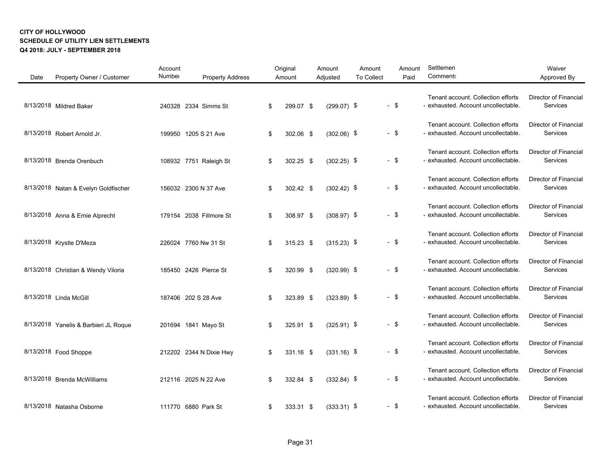| Date | Property Owner / Customer             | Account<br>Number | <b>Property Address</b> | Original<br>Amount | Amount<br>Adjusted | Amount<br><b>To Collect</b> |        | Amount<br>Paid | Settlemen<br><b>Comment:</b>                                              | Waiver<br>Approved By                           |
|------|---------------------------------------|-------------------|-------------------------|--------------------|--------------------|-----------------------------|--------|----------------|---------------------------------------------------------------------------|-------------------------------------------------|
|      | 8/13/2018 Mildred Baker               |                   | 240328 2334 Simms St    | \$<br>299.07 \$    | $(299.07)$ \$      |                             | $-$ \$ |                | Tenant account. Collection efforts<br>- exhausted. Account uncollectable. | <b>Director of Financial</b><br>Services        |
|      | 8/13/2018 Robert Arnold Jr.           |                   | 199950 1205 S 21 Ave    | \$<br>302.06 \$    | $(302.06)$ \$      |                             | $-$ \$ |                | Tenant account. Collection efforts<br>- exhausted. Account uncollectable. | <b>Director of Financial</b><br><b>Services</b> |
|      | 8/13/2018 Brenda Orenbuch             |                   | 108932 7751 Raleigh St  | \$<br>302.25 \$    | $(302.25)$ \$      |                             | $-$ \$ |                | Tenant account. Collection efforts<br>- exhausted. Account uncollectable. | Director of Financial<br>Services               |
|      | 8/13/2018 Natan & Evelyn Goldfischer  |                   | 156032 2300 N 37 Ave    | \$<br>302.42 \$    | $(302.42)$ \$      |                             | $-$ \$ |                | Tenant account. Collection efforts<br>- exhausted. Account uncollectable. | Director of Financial<br>Services               |
|      | 8/13/2018 Anna & Ernie Alprecht       |                   | 179154 2038 Fillmore St | \$<br>308.97 \$    | $(308.97)$ \$      |                             | $-$ \$ |                | Tenant account. Collection efforts<br>- exhausted. Account uncollectable. | Director of Financial<br>Services               |
|      | 8/13/2018 Krystle D'Meza              |                   | 226024 7760 Nw 31 St    | \$<br>$315.23$ \$  | $(315.23)$ \$      |                             | $-$ \$ |                | Tenant account. Collection efforts<br>- exhausted. Account uncollectable. | <b>Director of Financial</b><br>Services        |
|      | 8/13/2018 Christian & Wendy Viloria   |                   | 185450 2426 Pierce St   | \$<br>320.99 \$    | $(320.99)$ \$      |                             | $-$ \$ |                | Tenant account. Collection efforts<br>- exhausted. Account uncollectable. | <b>Director of Financial</b><br>Services        |
|      | 8/13/2018 Linda McGill                |                   | 187406 202 S 28 Ave     | \$<br>323.89 \$    | $(323.89)$ \$      |                             | $-$ \$ |                | Tenant account. Collection efforts<br>- exhausted. Account uncollectable. | Director of Financial<br>Services               |
|      | 8/13/2018 Yanelis & Barbieri JL Roque |                   | 201694 1841 Mayo St     | \$<br>325.91 \$    | $(325.91)$ \$      |                             | $-$ \$ |                | Tenant account. Collection efforts<br>- exhausted. Account uncollectable. | Director of Financial<br>Services               |
|      | 8/13/2018 Food Shoppe                 |                   | 212202 2344 N Dixie Hwy | \$<br>331.16 \$    | $(331.16)$ \$      |                             | $-$ \$ |                | Tenant account. Collection efforts<br>- exhausted. Account uncollectable. | Director of Financial<br>Services               |
|      | 8/13/2018 Brenda McWilliams           |                   | 212116 2025 N 22 Ave    | \$<br>332.84 \$    | $(332.84)$ \$      |                             | $-$ \$ |                | Tenant account. Collection efforts<br>- exhausted. Account uncollectable. | <b>Director of Financial</b><br>Services        |
|      | 8/13/2018 Natasha Osborne             |                   | 111770 6880 Park St     | \$<br>333.31 \$    | $(333.31)$ \$      |                             | $-$ \$ |                | Tenant account. Collection efforts<br>- exhausted. Account uncollectable. | Director of Financial<br>Services               |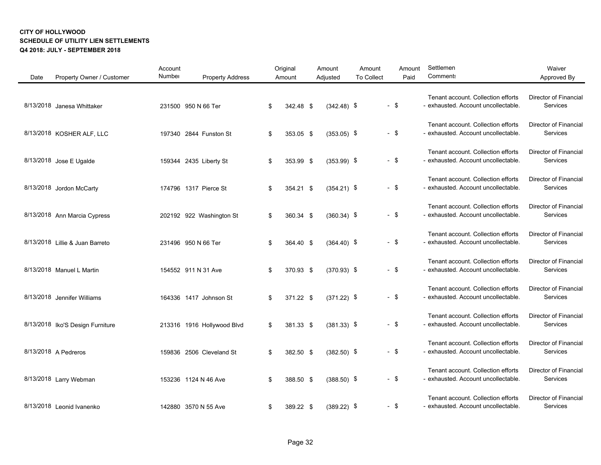| Date | Property Owner / Customer        | Account<br>Number | <b>Property Address</b>    | Original<br>Amount | Amount<br>Adjusted | Amount<br><b>To Collect</b> |        | Amount<br>Paid | Settlemen<br>Comment:                                                     | Waiver<br>Approved By                    |
|------|----------------------------------|-------------------|----------------------------|--------------------|--------------------|-----------------------------|--------|----------------|---------------------------------------------------------------------------|------------------------------------------|
|      | 8/13/2018 Janesa Whittaker       |                   | 231500 950 N 66 Ter        | \$<br>342.48 \$    | $(342.48)$ \$      |                             | $-$ \$ |                | Tenant account. Collection efforts<br>- exhausted. Account uncollectable. | <b>Director of Financial</b><br>Services |
|      | 8/13/2018 KOSHER ALF, LLC        |                   | 197340 2844 Funston St     | \$<br>353.05 \$    | $(353.05)$ \$      |                             | $-$ \$ |                | Tenant account. Collection efforts<br>- exhausted. Account uncollectable. | <b>Director of Financial</b><br>Services |
|      | 8/13/2018 Jose E Ugalde          |                   | 159344 2435 Liberty St     | \$<br>353.99 \$    | $(353.99)$ \$      |                             | $-$ \$ |                | Tenant account. Collection efforts<br>- exhausted. Account uncollectable. | <b>Director of Financial</b><br>Services |
|      | 8/13/2018 Jordon McCarty         |                   | 174796 1317 Pierce St      | \$<br>354.21 \$    | $(354.21)$ \$      |                             | $-$ \$ |                | Tenant account. Collection efforts<br>- exhausted. Account uncollectable. | <b>Director of Financial</b><br>Services |
|      | 8/13/2018 Ann Marcia Cypress     |                   | 202192 922 Washington St   | \$<br>360.34 \$    | $(360.34)$ \$      |                             | $-$ \$ |                | Tenant account. Collection efforts<br>- exhausted. Account uncollectable. | Director of Financial<br>Services        |
|      | 8/13/2018 Lillie & Juan Barreto  |                   | 231496 950 N 66 Ter        | \$<br>364.40 \$    | $(364.40)$ \$      |                             | $-$ \$ |                | Tenant account. Collection efforts<br>- exhausted. Account uncollectable. | <b>Director of Financial</b><br>Services |
|      | 8/13/2018 Manuel L Martin        |                   | 154552 911 N 31 Ave        | \$<br>370.93 \$    | $(370.93)$ \$      |                             | $-$ \$ |                | Tenant account. Collection efforts<br>- exhausted. Account uncollectable. | <b>Director of Financial</b><br>Services |
|      | 8/13/2018 Jennifer Williams      |                   | 164336 1417 Johnson St     | \$<br>371.22 \$    | $(371.22)$ \$      |                             | $-$ \$ |                | Tenant account. Collection efforts<br>- exhausted. Account uncollectable. | Director of Financial<br>Services        |
|      | 8/13/2018 Iko'S Design Furniture |                   | 213316 1916 Hollywood Blvd | \$<br>381.33 \$    | $(381.33)$ \$      |                             | $-$ \$ |                | Tenant account. Collection efforts<br>- exhausted. Account uncollectable. | <b>Director of Financial</b><br>Services |
|      | 8/13/2018 A Pedreros             |                   | 159836 2506 Cleveland St   | \$<br>382.50 \$    | $(382.50)$ \$      |                             | $-$ \$ |                | Tenant account. Collection efforts<br>- exhausted. Account uncollectable. | Director of Financial<br>Services        |
|      | 8/13/2018 Larry Webman           |                   | 153236 1124 N 46 Ave       | \$<br>388.50 \$    | $(388.50)$ \$      |                             | $-$ \$ |                | Tenant account. Collection efforts<br>- exhausted. Account uncollectable. | <b>Director of Financial</b><br>Services |
|      | 8/13/2018 Leonid Ivanenko        |                   | 142880 3570 N 55 Ave       | \$<br>389.22 \$    | $(389.22)$ \$      |                             | $-$ \$ |                | Tenant account. Collection efforts<br>- exhausted. Account uncollectable. | Director of Financial<br>Services        |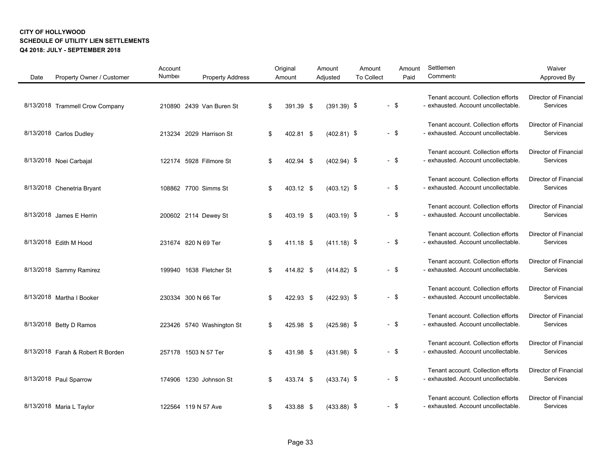| Date | Property Owner / Customer         | Account<br>Number    | <b>Property Address</b>   | Original<br>Amount | Amount<br>Adjusted | Amount<br><b>To Collect</b> |        | Amount<br>Paid | Settlemen<br><b>Comment:</b>                                              | Waiver<br>Approved By                    |
|------|-----------------------------------|----------------------|---------------------------|--------------------|--------------------|-----------------------------|--------|----------------|---------------------------------------------------------------------------|------------------------------------------|
|      | 8/13/2018 Trammell Crow Company   |                      | 210890 2439 Van Buren St  | \$<br>391.39 \$    | $(391.39)$ \$      |                             | $-$ \$ |                | Tenant account. Collection efforts<br>- exhausted. Account uncollectable. | <b>Director of Financial</b><br>Services |
|      | 8/13/2018 Carlos Dudley           |                      | 213234 2029 Harrison St   | \$<br>402.81 \$    | $(402.81)$ \$      |                             | $-$ \$ |                | Tenant account. Collection efforts<br>- exhausted. Account uncollectable. | Director of Financial<br>Services        |
|      | 8/13/2018 Noei Carbajal           |                      | 122174 5928 Fillmore St   | \$<br>402.94 \$    | $(402.94)$ \$      |                             | $-$ \$ |                | Tenant account. Collection efforts<br>- exhausted. Account uncollectable. | <b>Director of Financial</b><br>Services |
|      | 8/13/2018 Chenetria Bryant        |                      | 108862 7700 Simms St      | \$<br>403.12 \$    | $(403.12)$ \$      |                             | $-$ \$ |                | Tenant account. Collection efforts<br>- exhausted. Account uncollectable. | <b>Director of Financial</b><br>Services |
|      | 8/13/2018 James E Herrin          |                      | 200602 2114 Dewey St      | \$<br>403.19 \$    | $(403.19)$ \$      |                             | $-$ \$ |                | Tenant account. Collection efforts<br>- exhausted. Account uncollectable. | Director of Financial<br>Services        |
|      | 8/13/2018 Edith M Hood            | 231674 820 N 69 Ter  |                           | \$<br>411.18 \$    | $(411.18)$ \$      |                             | $-$ \$ |                | Tenant account. Collection efforts<br>- exhausted. Account uncollectable. | <b>Director of Financial</b><br>Services |
|      | 8/13/2018 Sammy Ramirez           |                      | 199940 1638 Fletcher St   | \$<br>414.82 \$    | $(414.82)$ \$      |                             | $-$ \$ |                | Tenant account. Collection efforts<br>- exhausted. Account uncollectable. | <b>Director of Financial</b><br>Services |
|      | 8/13/2018 Martha I Booker         | 230334 300 N 66 Ter  |                           | \$<br>422.93 \$    | $(422.93)$ \$      |                             | $-$ \$ |                | Tenant account. Collection efforts<br>- exhausted. Account uncollectable. | Director of Financial<br>Services        |
|      | 8/13/2018 Betty D Ramos           |                      | 223426 5740 Washington St | \$<br>425.98 \$    | $(425.98)$ \$      |                             | $-$ \$ |                | Tenant account. Collection efforts<br>- exhausted. Account uncollectable. | <b>Director of Financial</b><br>Services |
|      | 8/13/2018 Farah & Robert R Borden | 257178 1503 N 57 Ter |                           | \$<br>431.98 \$    | $(431.98)$ \$      |                             | $-$ \$ |                | Tenant account. Collection efforts<br>- exhausted. Account uncollectable. | Director of Financial<br>Services        |
|      | 8/13/2018 Paul Sparrow            |                      | 174906 1230 Johnson St    | \$<br>433.74 \$    | $(433.74)$ \$      |                             | $-$ \$ |                | Tenant account. Collection efforts<br>- exhausted. Account uncollectable. | Director of Financial<br>Services        |
|      | 8/13/2018 Maria L Taylor          | 122564 119 N 57 Ave  |                           | \$<br>433.88 \$    | $(433.88)$ \$      |                             | $-$ \$ |                | Tenant account. Collection efforts<br>- exhausted. Account uncollectable. | <b>Director of Financial</b><br>Services |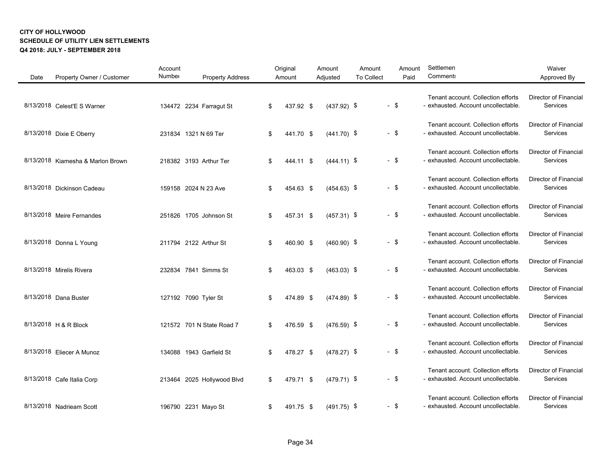| Date | Property Owner / Customer         | Account<br>Number | <b>Property Address</b>    | Original<br>Amount | Amount<br>Adjusted | Amount<br><b>To Collect</b> |        | Amount<br>Paid | Settlemen<br>Comment:                                                     | Waiver<br>Approved By                    |
|------|-----------------------------------|-------------------|----------------------------|--------------------|--------------------|-----------------------------|--------|----------------|---------------------------------------------------------------------------|------------------------------------------|
|      | 8/13/2018 Celest'E S Warner       |                   | 134472 2234 Farragut St    | \$<br>437.92 \$    | $(437.92)$ \$      |                             | $-$ \$ |                | Tenant account. Collection efforts<br>- exhausted. Account uncollectable. | Director of Financial<br>Services        |
|      | 8/13/2018 Dixie E Oberry          |                   | 231834 1321 N 69 Ter       | \$<br>441.70 \$    | $(441.70)$ \$      |                             | $-$ \$ |                | Tenant account. Collection efforts<br>- exhausted. Account uncollectable. | Director of Financial<br>Services        |
|      | 8/13/2018 Kiamesha & Marlon Brown |                   | 218382 3193 Arthur Ter     | \$<br>444.11 \$    | $(444.11)$ \$      |                             | $-$ \$ |                | Tenant account. Collection efforts<br>- exhausted. Account uncollectable. | <b>Director of Financial</b><br>Services |
|      | 8/13/2018 Dickinson Cadeau        |                   | 159158 2024 N 23 Ave       | \$<br>454.63 \$    | $(454.63)$ \$      |                             | $-$ \$ |                | Tenant account. Collection efforts<br>- exhausted. Account uncollectable. | <b>Director of Financial</b><br>Services |
|      | 8/13/2018 Meire Fernandes         |                   | 251826 1705 Johnson St     | \$<br>457.31 \$    | $(457.31)$ \$      |                             | $-$ \$ |                | Tenant account. Collection efforts<br>- exhausted. Account uncollectable. | Director of Financial<br>Services        |
|      | 8/13/2018 Donna L Young           |                   | 211794 2122 Arthur St      | \$<br>460.90 \$    | $(460.90)$ \$      |                             | $-$ \$ |                | Tenant account. Collection efforts<br>- exhausted. Account uncollectable. | <b>Director of Financial</b><br>Services |
|      | 8/13/2018 Mirelis Rivera          |                   | 232834 7841 Simms St       | \$<br>463.03 \$    | $(463.03)$ \$      |                             | $-$ \$ |                | Tenant account. Collection efforts<br>- exhausted. Account uncollectable. | <b>Director of Financial</b><br>Services |
|      | 8/13/2018 Dana Buster             |                   | 127192 7090 Tyler St       | \$<br>474.89 \$    | $(474.89)$ \$      |                             | $-$ \$ |                | Tenant account. Collection efforts<br>- exhausted. Account uncollectable. | Director of Financial<br>Services        |
|      | 8/13/2018 H & R Block             |                   | 121572 701 N State Road 7  | \$<br>476.59 \$    | $(476.59)$ \$      |                             | $-$ \$ |                | Tenant account. Collection efforts<br>- exhausted. Account uncollectable. | Director of Financial<br>Services        |
|      | 8/13/2018 Eliecer A Munoz         |                   | 134088 1943 Garfield St    | \$<br>478.27 \$    | $(478.27)$ \$      |                             | $-$ \$ |                | Tenant account. Collection efforts<br>- exhausted. Account uncollectable. | Director of Financial<br>Services        |
|      | 8/13/2018 Cafe Italia Corp        |                   | 213464 2025 Hollywood Blvd | \$<br>479.71 \$    | $(479.71)$ \$      |                             | - \$   |                | Tenant account. Collection efforts<br>- exhausted. Account uncollectable. | <b>Director of Financial</b><br>Services |
|      | 8/13/2018 Nadrieam Scott          |                   | 196790 2231 Mayo St        | \$<br>491.75 \$    | $(491.75)$ \$      |                             | - \$   |                | Tenant account. Collection efforts<br>- exhausted. Account uncollectable. | Director of Financial<br>Services        |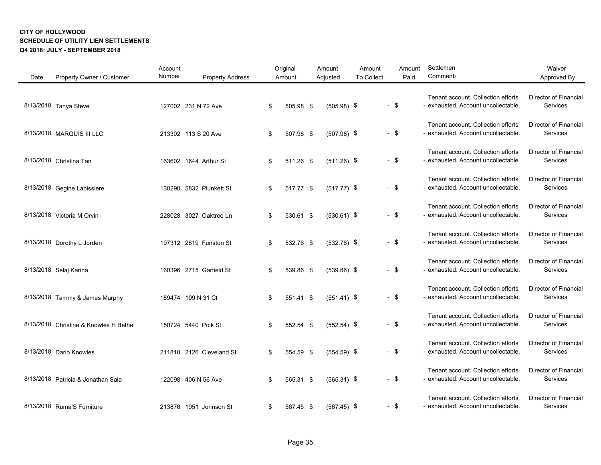| Date<br>Property Owner / Customer      | Account<br>Number<br><b>Property Address</b> | Original<br>Amount | Amount<br>Adjusted | Amount<br>Amount<br>Paid<br><b>To Collect</b> | Settlemen<br>Comment:                                                     | Waiver<br>Approved By                    |
|----------------------------------------|----------------------------------------------|--------------------|--------------------|-----------------------------------------------|---------------------------------------------------------------------------|------------------------------------------|
| 8/13/2018 Tanya Steve                  | 127002 231 N 72 Ave                          | 505.98 \$<br>\$    | $(505.98)$ \$      | $-$ \$                                        | Tenant account. Collection efforts<br>- exhausted. Account uncollectable. | Director of Financial<br>Services        |
| 8/13/2018 MARQUIS III LLC              | 213302 113 S 20 Ave                          | \$<br>507.98 \$    | $(507.98)$ \$      | $-$ \$                                        | Tenant account. Collection efforts<br>- exhausted. Account uncollectable. | <b>Director of Financial</b><br>Services |
| 8/13/2018 Christina Tan                | 163602 1644 Arthur St                        | 511.26 \$<br>\$    | $(511.26)$ \$      | $-$ \$                                        | Tenant account. Collection efforts<br>- exhausted. Account uncollectable. | Director of Financial<br>Services        |
| 8/13/2018 Gegine Labissiere            | 130290 5832 Plunkett St                      | \$<br>517.77 \$    | $(517.77)$ \$      | $-$ \$                                        | Tenant account. Collection efforts<br>- exhausted. Account uncollectable. | <b>Director of Financial</b><br>Services |
| 8/13/2018 Victoria M Orvin             | 228028 3027 Oaktree Ln                       | 530.61 \$<br>\$    | $(530.61)$ \$      | $-$ \$                                        | Tenant account. Collection efforts<br>- exhausted. Account uncollectable. | <b>Director of Financial</b><br>Services |
| 8/13/2018 Dorothy L Jorden             | 197312 2819 Funston St                       | 532.76 \$<br>\$    | $(532.76)$ \$      | $-$ \$                                        | Tenant account. Collection efforts<br>- exhausted. Account uncollectable. | Director of Financial<br>Services        |
| 8/13/2018 Selaj Karina                 | 160396 2715 Garfield St                      | 539.86 \$<br>\$    | $(539.86)$ \$      | $-$ \$                                        | Tenant account. Collection efforts<br>- exhausted. Account uncollectable. | Director of Financial<br>Services        |
| 8/13/2018 Tammy & James Murphy         | 189474 109 N 31 Ct                           | 551.41 \$<br>\$    | $(551.41)$ \$      | $-$ \$                                        | Tenant account. Collection efforts<br>- exhausted. Account uncollectable. | <b>Director of Financial</b><br>Services |
| 8/13/2018 Christine & Knowles H Bethel | 150724 5440 Polk St                          | 552.54 \$<br>\$    | $(552.54)$ \$      | $-$ \$                                        | Tenant account. Collection efforts<br>- exhausted. Account uncollectable. | Director of Financial<br>Services        |
| 8/13/2018 Dario Knowles                | 211810 2126 Cleveland St                     | 554.59 \$<br>\$    | $(554.59)$ \$      | $-$ \$                                        | Tenant account. Collection efforts<br>- exhausted. Account uncollectable. | <b>Director of Financial</b><br>Services |
| 8/13/2018 Patricia & Jonathan Sala     | 122098 406 N 56 Ave                          | 565.31 \$<br>\$    | $(565.31)$ \$      | $-$ \$                                        | Tenant account. Collection efforts<br>- exhausted. Account uncollectable. | <b>Director of Financial</b><br>Services |
| 8/13/2018 Ruma'S Furniture             | 213876 1951 Johnson St                       | 567.45 \$<br>\$    | $(567.45)$ \$      | $-$ \$                                        | Tenant account. Collection efforts<br>- exhausted. Account uncollectable. | <b>Director of Financial</b><br>Services |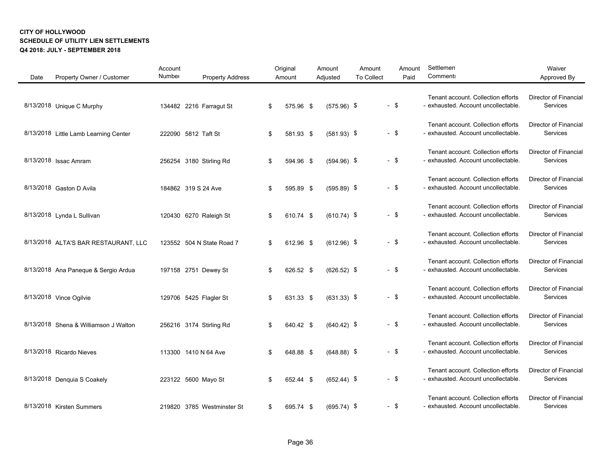| Date | Property Owner / Customer             | Account<br>Number   | <b>Property Address</b>    | Original<br>Amount | Amount<br>Adjusted | Amount<br><b>To Collect</b> |        | Amount<br>Paid | Settlemen<br>Comment:                                                     | Waiver<br>Approved By                    |
|------|---------------------------------------|---------------------|----------------------------|--------------------|--------------------|-----------------------------|--------|----------------|---------------------------------------------------------------------------|------------------------------------------|
|      | 8/13/2018 Unique C Murphy             |                     | 134482 2216 Farragut St    | \$<br>575.96 \$    | $(575.96)$ \$      |                             | $-$ \$ |                | Tenant account. Collection efforts<br>- exhausted. Account uncollectable. | <b>Director of Financial</b><br>Services |
|      | 8/13/2018 Little Lamb Learning Center | 222090 5812 Taft St |                            | \$<br>581.93 \$    | $(581.93)$ \$      |                             | $-$ \$ |                | Tenant account. Collection efforts<br>- exhausted. Account uncollectable. | Director of Financial<br>Services        |
|      | 8/13/2018 Issac Amram                 |                     | 256254 3180 Stirling Rd    | \$<br>594.96 \$    | $(594.96)$ \$      |                             | $-$ \$ |                | Tenant account. Collection efforts<br>- exhausted. Account uncollectable. | <b>Director of Financial</b><br>Services |
|      | 8/13/2018 Gaston D Avila              | 184862 319 S 24 Ave |                            | \$<br>595.89 \$    | $(595.89)$ \$      |                             | $-$ \$ |                | Tenant account. Collection efforts<br>- exhausted. Account uncollectable. | <b>Director of Financial</b><br>Services |
|      | 8/13/2018 Lynda L Sullivan            |                     | 120430 6270 Raleigh St     | \$<br>610.74 \$    | $(610.74)$ \$      |                             | $-$ \$ |                | Tenant account. Collection efforts<br>- exhausted. Account uncollectable. | Director of Financial<br>Services        |
|      | 8/13/2018 ALTA'S BAR RESTAURANT, LLC  |                     | 123552 504 N State Road 7  | \$<br>612.96 \$    | $(612.96)$ \$      |                             | $-$ \$ |                | Tenant account. Collection efforts<br>- exhausted. Account uncollectable. | <b>Director of Financial</b><br>Services |
|      | 8/13/2018 Ana Paneque & Sergio Ardua  |                     | 197158 2751 Dewey St       | \$<br>626.52 \$    | $(626.52)$ \$      |                             | $-$ \$ |                | Tenant account. Collection efforts<br>- exhausted. Account uncollectable. | <b>Director of Financial</b><br>Services |
|      | 8/13/2018 Vince Ogilvie               |                     | 129706 5425 Flagler St     | \$<br>631.33 \$    | $(631.33)$ \$      |                             | $-$ \$ |                | Tenant account. Collection efforts<br>- exhausted. Account uncollectable. | Director of Financial<br>Services        |
|      | 8/13/2018 Shena & Williamson J Walton |                     | 256216 3174 Stirling Rd    | \$<br>640.42 \$    | $(640.42)$ \$      |                             | $-$ \$ |                | Tenant account. Collection efforts<br>- exhausted. Account uncollectable. | <b>Director of Financial</b><br>Services |
|      | 8/13/2018 Ricardo Nieves              |                     | 113300 1410 N 64 Ave       | \$<br>648.88 \$    | $(648.88)$ \$      |                             | $-$ \$ |                | Tenant account. Collection efforts<br>- exhausted. Account uncollectable. | Director of Financial<br>Services        |
|      | 8/13/2018 Denguia S Coakely           |                     | 223122 5600 Mayo St        | \$<br>652.44 \$    | $(652.44)$ \$      |                             | $-$ \$ |                | Tenant account. Collection efforts<br>- exhausted. Account uncollectable. | Director of Financial<br>Services        |
|      | 8/13/2018 Kirsten Summers             |                     | 219820 3785 Westminster St | \$<br>695.74 \$    | $(695.74)$ \$      |                             | $-$ \$ |                | Tenant account. Collection efforts<br>- exhausted. Account uncollectable. | <b>Director of Financial</b><br>Services |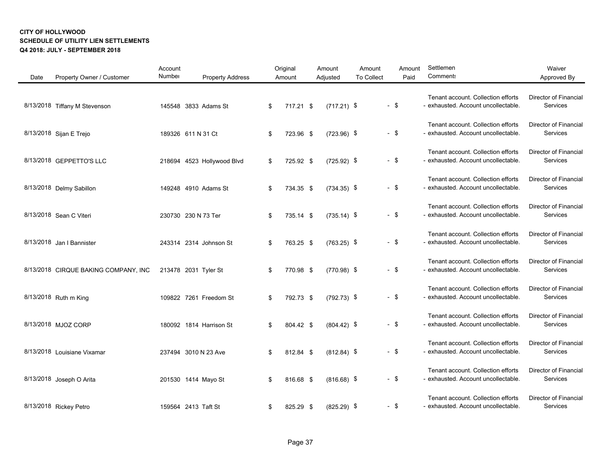| Date | Property Owner / Customer            | Account<br>Number | <b>Property Address</b>    | Original<br>Amount | Amount<br>Adjusted | Amount<br><b>To Collect</b> | Amount<br>Paid | Settlemen<br>Comment:                                                     | Waiver<br>Approved By                    |
|------|--------------------------------------|-------------------|----------------------------|--------------------|--------------------|-----------------------------|----------------|---------------------------------------------------------------------------|------------------------------------------|
|      | 8/13/2018 Tiffany M Stevenson        |                   | 145548 3833 Adams St       | \$<br>717.21 \$    | $(717.21)$ \$      |                             | $-$ \$         | Tenant account. Collection efforts<br>- exhausted. Account uncollectable. | <b>Director of Financial</b><br>Services |
|      | 8/13/2018 Sijan E Trejo              |                   | 189326 611 N 31 Ct         | \$<br>723.96 \$    | $(723.96)$ \$      |                             | $-$ \$         | Tenant account. Collection efforts<br>- exhausted. Account uncollectable. | Director of Financial<br>Services        |
|      | 8/13/2018 GEPPETTO'S LLC             |                   | 218694 4523 Hollywood Blvd | \$<br>725.92 \$    | $(725.92)$ \$      |                             | $-$ \$         | Tenant account. Collection efforts<br>- exhausted. Account uncollectable. | Director of Financial<br>Services        |
|      | 8/13/2018 Delmy Sabillon             |                   | 149248 4910 Adams St       | \$<br>734.35 \$    | $(734.35)$ \$      |                             | $-$ \$         | Tenant account. Collection efforts<br>- exhausted. Account uncollectable. | <b>Director of Financial</b><br>Services |
|      | 8/13/2018 Sean C Viteri              |                   | 230730 230 N 73 Ter        | \$<br>735.14 \$    | $(735.14)$ \$      |                             | $-$ \$         | Tenant account. Collection efforts<br>- exhausted. Account uncollectable. | <b>Director of Financial</b><br>Services |
|      | 8/13/2018 Jan   Bannister            |                   | 243314 2314 Johnson St     | \$<br>763.25 \$    | $(763.25)$ \$      |                             | $-$ \$         | Tenant account. Collection efforts<br>- exhausted. Account uncollectable. | Director of Financial<br>Services        |
|      | 8/13/2018 CIRQUE BAKING COMPANY, INC |                   | 213478 2031 Tyler St       | \$<br>770.98 \$    | $(770.98)$ \$      |                             | $-$ \$         | Tenant account. Collection efforts<br>- exhausted. Account uncollectable. | Director of Financial<br>Services        |
|      | 8/13/2018 Ruth m King                |                   | 109822 7261 Freedom St     | \$<br>792.73 \$    | $(792.73)$ \$      |                             | $-$ \$         | Tenant account. Collection efforts<br>- exhausted. Account uncollectable. | <b>Director of Financial</b><br>Services |
|      | 8/13/2018 MJOZ CORP                  |                   | 180092 1814 Harrison St    | \$<br>804.42 \$    | $(804.42)$ \$      |                             | $-$ \$         | Tenant account. Collection efforts<br>- exhausted. Account uncollectable. | Director of Financial<br>Services        |
|      | 8/13/2018 Louisiane Vixamar          |                   | 237494 3010 N 23 Ave       | \$<br>812.84 \$    | $(812.84)$ \$      |                             | $-$ \$         | Tenant account. Collection efforts<br>- exhausted. Account uncollectable. | Director of Financial<br>Services        |
|      | 8/13/2018 Joseph O Arita             |                   | 201530 1414 Mayo St        | \$<br>816.68 \$    | $(816.68)$ \$      |                             | $-$ \$         | Tenant account. Collection efforts<br>- exhausted. Account uncollectable. | <b>Director of Financial</b><br>Services |
|      | 8/13/2018 Rickey Petro               |                   | 159564 2413 Taft St        | \$<br>825.29 \$    | $(825.29)$ \$      |                             | - \$           | Tenant account. Collection efforts<br>- exhausted. Account uncollectable. | Director of Financial<br>Services        |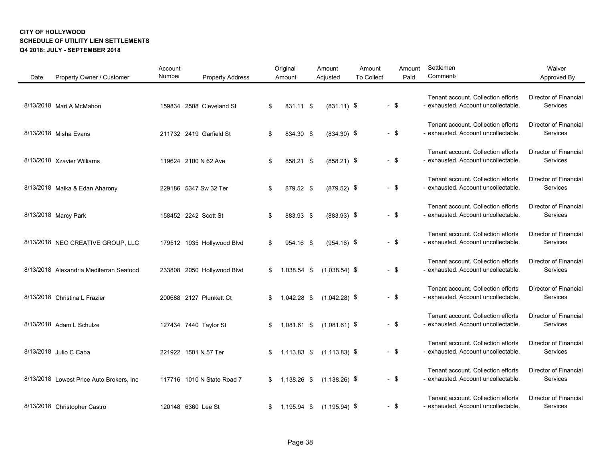| Date | Property Owner / Customer                 | Account<br>Number | <b>Property Address</b>    | Original<br>Amount | Amount<br>Adjusted | Amount<br><b>To Collect</b> |        | Amount<br>Paid | Settlemen<br>Comment:                                                     | Waiver<br>Approved By                    |
|------|-------------------------------------------|-------------------|----------------------------|--------------------|--------------------|-----------------------------|--------|----------------|---------------------------------------------------------------------------|------------------------------------------|
|      | 8/13/2018 Mari A McMahon                  |                   | 159834 2508 Cleveland St   | \$<br>831.11 \$    | $(831.11)$ \$      |                             | $-$ \$ |                | Tenant account. Collection efforts<br>- exhausted. Account uncollectable. | Director of Financial<br>Services        |
|      | 8/13/2018 Misha Evans                     |                   | 211732 2419 Garfield St    | \$<br>834.30 \$    | $(834.30)$ \$      |                             | $-$ \$ |                | Tenant account. Collection efforts<br>- exhausted. Account uncollectable. | Director of Financial<br>Services        |
|      | 8/13/2018 Xzavier Williams                |                   | 119624 2100 N 62 Ave       | \$<br>858.21 \$    | $(858.21)$ \$      |                             | $-$ \$ |                | Tenant account. Collection efforts<br>- exhausted. Account uncollectable. | <b>Director of Financial</b><br>Services |
|      | 8/13/2018 Malka & Edan Aharony            |                   | 229186 5347 Sw 32 Ter      | \$<br>879.52 \$    | $(879.52)$ \$      |                             | $-$ \$ |                | Tenant account. Collection efforts<br>- exhausted. Account uncollectable. | Director of Financial<br>Services        |
|      | 8/13/2018 Marcy Park                      |                   | 158452 2242 Scott St       | \$<br>883.93 \$    | $(883.93)$ \$      |                             | $-$ \$ |                | Tenant account. Collection efforts<br>- exhausted. Account uncollectable. | Director of Financial<br>Services        |
|      | 8/13/2018 NEO CREATIVE GROUP, LLC         |                   | 179512 1935 Hollywood Blvd | \$<br>954.16 \$    | $(954.16)$ \$      |                             | $-$ \$ |                | Tenant account. Collection efforts<br>- exhausted. Account uncollectable. | <b>Director of Financial</b><br>Services |
|      | 8/13/2018 Alexandria Mediterran Seafood   |                   | 233808 2050 Hollywood Blvd | \$<br>1,038.54 \$  | $(1,038.54)$ \$    |                             | $-$ \$ |                | Tenant account. Collection efforts<br>- exhausted. Account uncollectable. | Director of Financial<br>Services        |
|      | 8/13/2018 Christina L Frazier             |                   | 200688 2127 Plunkett Ct    | \$<br>1,042.28 \$  | $(1,042.28)$ \$    |                             | $-$ \$ |                | Tenant account. Collection efforts<br>- exhausted. Account uncollectable. | Director of Financial<br>Services        |
|      | 8/13/2018 Adam L Schulze                  |                   | 127434 7440 Taylor St      | \$<br>1,081.61 \$  | $(1,081.61)$ \$    |                             | $-$ \$ |                | Tenant account. Collection efforts<br>- exhausted. Account uncollectable. | <b>Director of Financial</b><br>Services |
|      | 8/13/2018 Julio C Caba                    |                   | 221922 1501 N 57 Ter       | \$<br>1,113.83 \$  | $(1, 113.83)$ \$   |                             | $-$ \$ |                | Tenant account. Collection efforts<br>- exhausted. Account uncollectable. | <b>Director of Financial</b><br>Services |
|      | 8/13/2018 Lowest Price Auto Brokers, Inc. |                   | 117716 1010 N State Road 7 | \$<br>1,138.26 \$  | $(1, 138.26)$ \$   |                             | $-$ \$ |                | Tenant account. Collection efforts<br>- exhausted. Account uncollectable. | Director of Financial<br>Services        |
|      | 8/13/2018 Christopher Castro              |                   | 120148 6360 Lee St         | \$<br>1,195.94 \$  | $(1, 195.94)$ \$   |                             | $-$ \$ |                | Tenant account. Collection efforts<br>- exhausted. Account uncollectable. | <b>Director of Financial</b><br>Services |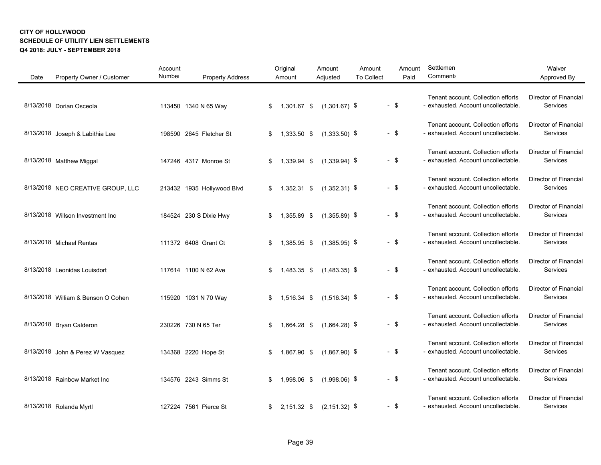| Date | Property Owner / Customer          | Account<br>Number | <b>Property Address</b>    | Original<br>Amount | Amount<br>Adjusted | Amount<br>To Collect |        | Amount<br>Paid | Settlemen<br>Comment:                                                     | Waiver<br>Approved By                    |
|------|------------------------------------|-------------------|----------------------------|--------------------|--------------------|----------------------|--------|----------------|---------------------------------------------------------------------------|------------------------------------------|
|      | 8/13/2018 Dorian Osceola           |                   | 113450 1340 N 65 Way       | \$<br>1,301.67 \$  | $(1,301.67)$ \$    |                      | $-$ \$ |                | Tenant account. Collection efforts<br>- exhausted. Account uncollectable. | Director of Financial<br>Services        |
|      | 8/13/2018 Joseph & Labithia Lee    |                   | 198590 2645 Fletcher St    | \$<br>1,333.50 \$  | $(1,333.50)$ \$    |                      | $-$ \$ |                | Tenant account. Collection efforts<br>- exhausted. Account uncollectable. | Director of Financial<br>Services        |
|      | 8/13/2018 Matthew Miggal           |                   | 147246 4317 Monroe St      | \$<br>1,339.94 \$  | $(1,339.94)$ \$    |                      | $-$ \$ |                | Tenant account. Collection efforts<br>- exhausted. Account uncollectable. | <b>Director of Financial</b><br>Services |
|      | 8/13/2018 NEO CREATIVE GROUP, LLC  |                   | 213432 1935 Hollywood Blvd | \$<br>1,352.31 \$  | $(1,352.31)$ \$    |                      | $-$ \$ |                | Tenant account. Collection efforts<br>- exhausted. Account uncollectable. | <b>Director of Financial</b><br>Services |
|      | 8/13/2018 Willson Investment Inc   |                   | 184524 230 S Dixie Hwy     | \$<br>1,355.89 \$  | $(1,355.89)$ \$    |                      | $-$ \$ |                | Tenant account. Collection efforts<br>- exhausted. Account uncollectable. | <b>Director of Financial</b><br>Services |
|      | 8/13/2018 Michael Rentas           |                   | 111372 6408 Grant Ct       | \$<br>1,385.95 \$  | $(1,385.95)$ \$    |                      | - \$   |                | Tenant account. Collection efforts<br>- exhausted. Account uncollectable. | <b>Director of Financial</b><br>Services |
|      | 8/13/2018 Leonidas Louisdort       |                   | 117614 1100 N 62 Ave       | \$<br>1,483.35 \$  | $(1,483.35)$ \$    |                      | $-$ \$ |                | Tenant account. Collection efforts<br>- exhausted. Account uncollectable. | <b>Director of Financial</b><br>Services |
|      | 8/13/2018 William & Benson O Cohen |                   | 115920 1031 N 70 Way       | \$<br>1,516.34 \$  | $(1,516.34)$ \$    |                      | - \$   |                | Tenant account. Collection efforts<br>- exhausted. Account uncollectable. | Director of Financial<br>Services        |
|      | 8/13/2018 Bryan Calderon           |                   | 230226 730 N 65 Ter        | \$<br>1,664.28 \$  | $(1,664.28)$ \$    |                      | - \$   |                | Tenant account. Collection efforts<br>- exhausted. Account uncollectable. | Director of Financial<br>Services        |
|      | 8/13/2018 John & Perez W Vasquez   |                   | 134368 2220 Hope St        | \$<br>1,867.90 \$  | $(1,867.90)$ \$    |                      | $-$ \$ |                | Tenant account. Collection efforts<br>- exhausted. Account uncollectable. | Director of Financial<br>Services        |
|      | 8/13/2018 Rainbow Market Inc       |                   | 134576 2243 Simms St       | \$<br>1,998.06 \$  | $(1,998.06)$ \$    |                      | - \$   |                | Tenant account. Collection efforts<br>- exhausted. Account uncollectable. | Director of Financial<br>Services        |
|      | 8/13/2018 Rolanda Myrtl            |                   | 127224 7561 Pierce St      | \$<br>2,151.32 \$  | $(2, 151.32)$ \$   |                      | - \$   |                | Tenant account. Collection efforts<br>- exhausted. Account uncollectable. | <b>Director of Financial</b><br>Services |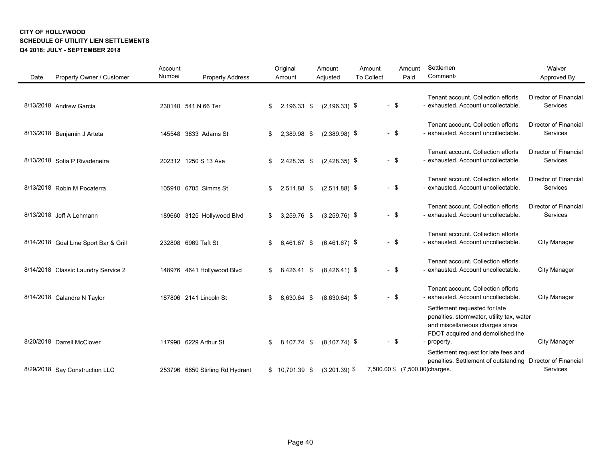| Date | Property Owner / Customer             | Account<br>Number | <b>Property Address</b>         | Original<br>Amount | Amount<br>Adjusted | Amount<br><b>To Collect</b> |        | Amount<br>Paid | Settlemen<br><b>Comment:</b>                                                                                                                                     | Waiver<br>Approved By                           |
|------|---------------------------------------|-------------------|---------------------------------|--------------------|--------------------|-----------------------------|--------|----------------|------------------------------------------------------------------------------------------------------------------------------------------------------------------|-------------------------------------------------|
|      | 8/13/2018 Andrew Garcia               |                   | 230140 541 N 66 Ter             | \$<br>2,196.33 \$  | $(2, 196.33)$ \$   |                             | $-$ \$ |                | Tenant account. Collection efforts<br>- exhausted. Account uncollectable.                                                                                        | <b>Director of Financial</b><br><b>Services</b> |
|      | 8/13/2018 Benjamin J Arteta           |                   | 145548 3833 Adams St            | \$<br>2,389.98 \$  | $(2,389.98)$ \$    |                             | $-$ \$ |                | Tenant account. Collection efforts<br>- exhausted. Account uncollectable.                                                                                        | <b>Director of Financial</b><br>Services        |
|      | 8/13/2018 Sofia P Rivadeneira         |                   | 202312 1250 S 13 Ave            | \$<br>2,428.35 \$  | $(2,428.35)$ \$    |                             | $-$ \$ |                | Tenant account. Collection efforts<br>- exhausted. Account uncollectable.                                                                                        | <b>Director of Financial</b><br>Services        |
|      | 8/13/2018 Robin M Pocaterra           |                   | 105910 6705 Simms St            | \$<br>2,511.88 \$  | $(2,511.88)$ \$    |                             | $-$ \$ |                | Tenant account. Collection efforts<br>- exhausted. Account uncollectable.                                                                                        | <b>Director of Financial</b><br>Services        |
|      | 8/13/2018 Jeff A Lehmann              |                   | 189660 3125 Hollywood Blvd      | \$<br>3,259.76 \$  | $(3,259.76)$ \$    |                             | $-$ \$ |                | Tenant account. Collection efforts<br>- exhausted. Account uncollectable.                                                                                        | <b>Director of Financial</b><br><b>Services</b> |
|      | 8/14/2018 Goal Line Sport Bar & Grill |                   | 232808 6969 Taft St             | \$<br>6,461.67 \$  | $(6,461.67)$ \$    |                             | $-$ \$ |                | Tenant account. Collection efforts<br>- exhausted. Account uncollectable.                                                                                        | <b>City Manager</b>                             |
|      | 8/14/2018 Classic Laundry Service 2   |                   | 148976 4641 Hollywood Blvd      | \$<br>8,426.41 \$  | $(8,426.41)$ \$    |                             | $-$ \$ |                | Tenant account. Collection efforts<br>- exhausted. Account uncollectable.                                                                                        | <b>City Manager</b>                             |
|      | 8/14/2018 Calandre N Taylor           |                   | 187806 2141 Lincoln St          | \$<br>8,630.64 \$  | $(8,630.64)$ \$    |                             | $-$ \$ |                | Tenant account. Collection efforts<br>- exhausted. Account uncollectable.                                                                                        | <b>City Manager</b>                             |
|      | 8/20/2018 Darrell McClover            |                   | 117990 6229 Arthur St           | \$<br>8,107.74 \$  | $(8, 107.74)$ \$   |                             | $-$ \$ |                | Settlement requested for late<br>penalties, stormwater, utility tax, water<br>and miscellaneous charges since<br>FDOT acquired and demolished the<br>- property. | <b>City Manager</b>                             |
|      | 8/29/2018 Say Construction LLC        |                   | 253796 6650 Stirling Rd Hydrant | \$<br>10,701.39 \$ | $(3,201.39)$ \$    |                             |        |                | Settlement request for late fees and<br>penalties. Settlement of outstanding<br>7,500.00 \$ (7,500.00)charges.                                                   | Director of Financial<br>Services               |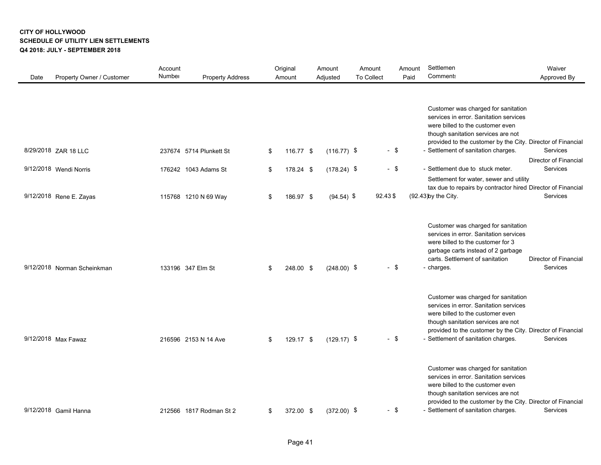| Date | Property Owner / Customer                                                 | Account<br>Number | <b>Property Address</b>                                                 |                | Original<br>Amount                  | Amount<br>Adjusted                             | Amount<br><b>To Collect</b> |                             | Amount<br>Paid | Settlemen<br>Comment:                                                                                                                                                                                                                                                                                                                                                                                                               | Waiver<br>Approved By                                     |
|------|---------------------------------------------------------------------------|-------------------|-------------------------------------------------------------------------|----------------|-------------------------------------|------------------------------------------------|-----------------------------|-----------------------------|----------------|-------------------------------------------------------------------------------------------------------------------------------------------------------------------------------------------------------------------------------------------------------------------------------------------------------------------------------------------------------------------------------------------------------------------------------------|-----------------------------------------------------------|
|      | 8/29/2018 ZAR 18 LLC<br>9/12/2018 Wendi Norris<br>9/12/2018 Rene E. Zayas |                   | 237674 5714 Plunkett St<br>176242 1043 Adams St<br>115768 1210 N 69 Way | \$<br>\$<br>\$ | 116.77 \$<br>178.24 \$<br>186.97 \$ | $(116.77)$ \$<br>$(178.24)$ \$<br>$(94.54)$ \$ |                             | $-$ \$<br>$-$ \$<br>92.43\$ |                | Customer was charged for sanitation<br>services in error. Sanitation services<br>were billed to the customer even<br>though sanitation services are not<br>provided to the customer by the City. Director of Financial<br>- Settlement of sanitation charges.<br>- Settlement due to stuck meter.<br>Settlement for water, sewer and utility<br>tax due to repairs by contractor hired Director of Financial<br>(92.43)by the City. | Services<br>Director of Financial<br>Services<br>Services |
|      | 9/12/2018 Norman Scheinkman                                               |                   | 133196 347 Elm St                                                       | \$             | 248.00 \$                           | $(248.00)$ \$                                  |                             | - \$                        |                | Customer was charged for sanitation<br>services in error. Sanitation services<br>were billed to the customer for 3<br>garbage carts instead of 2 garbage<br>carts. Settlement of sanitation<br>- charges.                                                                                                                                                                                                                           | <b>Director of Financial</b><br><b>Services</b>           |
|      | 9/12/2018 Max Fawaz                                                       |                   | 216596 2153 N 14 Ave                                                    | \$             | 129.17 \$                           | $(129.17)$ \$                                  |                             | $-$ \$                      |                | Customer was charged for sanitation<br>services in error. Sanitation services<br>were billed to the customer even<br>though sanitation services are not<br>provided to the customer by the City. Director of Financial<br>- Settlement of sanitation charges.                                                                                                                                                                       | Services                                                  |
|      | 9/12/2018 Gamil Hanna                                                     |                   | 212566 1817 Rodman St 2                                                 | \$             | 372.00 \$                           | $(372.00)$ \$                                  |                             | $-$ \$                      |                | Customer was charged for sanitation<br>services in error. Sanitation services<br>were billed to the customer even<br>though sanitation services are not<br>provided to the customer by the City. Director of Financial<br>- Settlement of sanitation charges.                                                                                                                                                                       | Services                                                  |